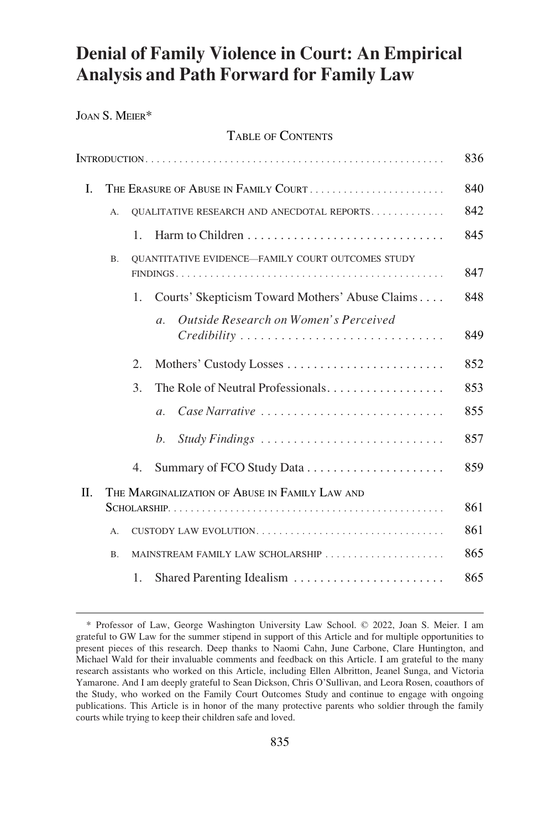# <span id="page-0-0"></span>**Denial of Family Violence in Court: An Empirical Analysis and Path Forward for Family Law**

JOAN S. MEIER\*

# TABLE OF CONTENTS

|     |                                                                       |    |                                                           | 836 |
|-----|-----------------------------------------------------------------------|----|-----------------------------------------------------------|-----|
| L.  | THE ERASURE OF ABUSE IN FAMILY COURT                                  |    |                                                           |     |
|     | А.                                                                    |    | QUALITATIVE RESEARCH AND ANECDOTAL REPORTS.               | 842 |
|     |                                                                       | 1. |                                                           | 845 |
|     | <b>OUANTITATIVE EVIDENCE-FAMILY COURT OUTCOMES STUDY</b><br><b>B.</b> |    |                                                           | 847 |
|     |                                                                       | 1. | Courts' Skepticism Toward Mothers' Abuse Claims           | 848 |
|     |                                                                       |    | Outside Research on Women's Perceived<br>$\overline{a}$ . | 849 |
|     |                                                                       | 2. | Mothers' Custody Losses                                   | 852 |
|     |                                                                       | 3. | The Role of Neutral Professionals                         | 853 |
|     |                                                                       |    | Case Narrative<br>$\mathfrak{a}$ .                        | 855 |
|     |                                                                       |    | $h_{\cdot}$                                               | 857 |
|     |                                                                       | 4. |                                                           | 859 |
| II. | THE MARGINALIZATION OF ABUSE IN FAMILY LAW AND                        |    |                                                           |     |
|     |                                                                       |    |                                                           | 861 |
|     | А.                                                                    |    | CUSTODY LAW EVOLUTION                                     | 861 |
|     | B <sub>1</sub>                                                        |    |                                                           | 865 |
|     |                                                                       | 1. | Shared Parenting Idealism                                 | 865 |

<sup>\*</sup> Professor of Law, George Washington University Law School. © 2022, Joan S. Meier. I am grateful to GW Law for the summer stipend in support of this Article and for multiple opportunities to present pieces of this research. Deep thanks to Naomi Cahn, June Carbone, Clare Huntington, and Michael Wald for their invaluable comments and feedback on this Article. I am grateful to the many research assistants who worked on this Article, including Ellen Albritton, Jeanel Sunga, and Victoria Yamarone. And I am deeply grateful to Sean Dickson, Chris O'Sullivan, and Leora Rosen, coauthors of the Study, who worked on the Family Court Outcomes Study and continue to engage with ongoing publications. This Article is in honor of the many protective parents who soldier through the family courts while trying to keep their children safe and loved.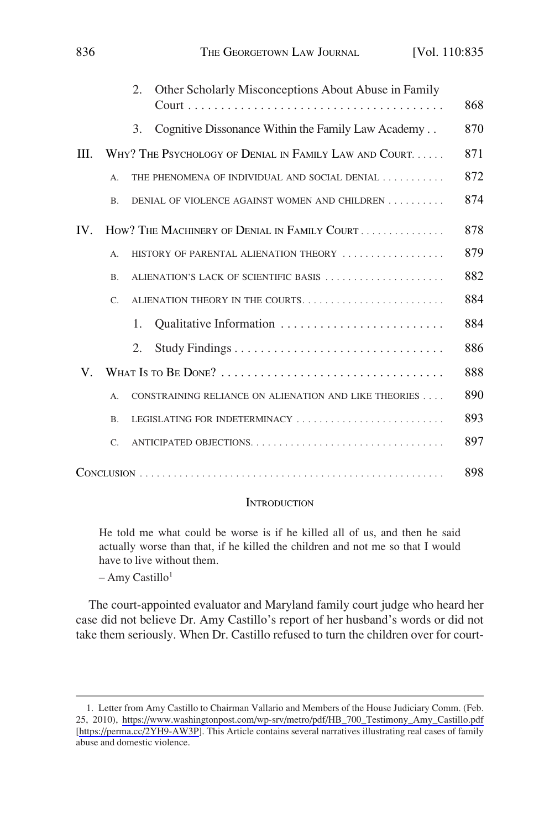<span id="page-1-0"></span>

|             |                                                        | Other Scholarly Misconceptions About Abuse in Family<br>2. | 868 |
|-------------|--------------------------------------------------------|------------------------------------------------------------|-----|
|             |                                                        | Cognitive Dissonance Within the Family Law Academy<br>3.   | 870 |
| III.        | WHY? THE PSYCHOLOGY OF DENIAL IN FAMILY LAW AND COURT. |                                                            |     |
|             | A.                                                     | THE PHENOMENA OF INDIVIDUAL AND SOCIAL DENIAL              | 872 |
|             | <b>B.</b>                                              | DENIAL OF VIOLENCE AGAINST WOMEN AND CHILDREN              | 874 |
| IV.         | HOW? THE MACHINERY OF DENIAL IN FAMILY COURT           |                                                            |     |
|             | $A$ .                                                  | HISTORY OF PARENTAL ALIENATION THEORY                      |     |
|             | B.                                                     | ALIENATION'S LACK OF SCIENTIFIC BASIS                      | 882 |
|             | $C_{\cdot}$                                            |                                                            | 884 |
|             |                                                        | 1.                                                         | 884 |
|             |                                                        | 2.                                                         | 886 |
| $V_{\cdot}$ |                                                        |                                                            |     |
|             | $A$ .                                                  | CONSTRAINING RELIANCE ON ALIENATION AND LIKE THEORIES      |     |
|             | B.                                                     | LEGISLATING FOR INDETERMINACY                              | 893 |
|             | $C_{\cdot}$                                            | ANTICIPATED OBJECTIONS                                     | 897 |
|             |                                                        |                                                            | 898 |

# **INTRODUCTION**

He told me what could be worse is if he killed all of us, and then he said actually worse than that, if he killed the children and not me so that I would have to live without them.

 $-$  Amy Castillo<sup>1</sup>

The court-appointed evaluator and Maryland family court judge who heard her case did not believe Dr. Amy Castillo's report of her husband's words or did not take them seriously. When Dr. Castillo refused to turn the children over for court-

<sup>1.</sup> Letter from Amy Castillo to Chairman Vallario and Members of the House Judiciary Comm. (Feb. 25, 2010), [https://www.washingtonpost.com/wp-srv/metro/pdf/HB\\_700\\_Testimony\\_Amy\\_Castillo.pdf](https://www.washingtonpost.com/wp-srv/metro/pdf/HB_700_Testimony_Amy_Castillo.pdf)  [[https://perma.cc/2YH9-AW3P\]](https://perma.cc/2YH9-AW3P). This Article contains several narratives illustrating real cases of family abuse and domestic violence.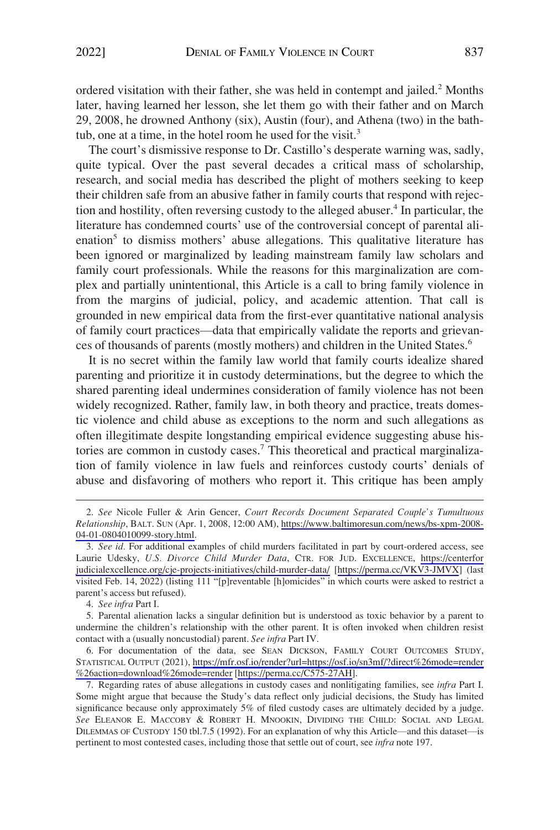ordered visitation with their father, she was held in contempt and jailed.<sup>2</sup> Months later, having learned her lesson, she let them go with their father and on March 29, 2008, he drowned Anthony (six), Austin (four), and Athena (two) in the bathtub, one at a time, in the hotel room he used for the visit.<sup>3</sup>

The court's dismissive response to Dr. Castillo's desperate warning was, sadly, quite typical. Over the past several decades a critical mass of scholarship, research, and social media has described the plight of mothers seeking to keep their children safe from an abusive father in family courts that respond with rejection and hostility, often reversing custody to the alleged abuser.<sup>4</sup> In particular, the literature has condemned courts' use of the controversial concept of parental alienation<sup>5</sup> to dismiss mothers' abuse allegations. This qualitative literature has been ignored or marginalized by leading mainstream family law scholars and family court professionals. While the reasons for this marginalization are complex and partially unintentional, this Article is a call to bring family violence in from the margins of judicial, policy, and academic attention. That call is grounded in new empirical data from the first-ever quantitative national analysis of family court practices—data that empirically validate the reports and grievances of thousands of parents (mostly mothers) and children in the United States.6

It is no secret within the family law world that family courts idealize shared parenting and prioritize it in custody determinations, but the degree to which the shared parenting ideal undermines consideration of family violence has not been widely recognized. Rather, family law, in both theory and practice, treats domestic violence and child abuse as exceptions to the norm and such allegations as often illegitimate despite longstanding empirical evidence suggesting abuse histories are common in custody cases.<sup>7</sup> This theoretical and practical marginalization of family violence in law fuels and reinforces custody courts' denials of abuse and disfavoring of mothers who report it. This critique has been amply

6. For documentation of the data, see SEAN DICKSON, FAMILY COURT OUTCOMES STUDY, STATISTICAL OUTPUT (2021), [https://mfr.osf.io/render?url=https://osf.io/sn3mf/?direct%26mode=render](https://mfr.osf.io/render?url=https://osf.io/sn3mf/?direct%26mode=render%26action=download%26mode=render)  [%26action=download%26mode=render](https://mfr.osf.io/render?url=https://osf.io/sn3mf/?direct%26mode=render%26action=download%26mode=render) [[https://perma.cc/C575-27AH\]](https://perma.cc/C575-27AH).

*See* Nicole Fuller & Arin Gencer, *Court Records Document Separated Couple's Tumultuous*  2. *Relationship*, BALT. SUN (Apr. 1, 2008, 12:00 AM), [https://www.baltimoresun.com/news/bs-xpm-2008-](https://www.baltimoresun.com/news/bs-xpm-2008-04-01-0804010099-story.html)  [04-01-0804010099-story.html.](https://www.baltimoresun.com/news/bs-xpm-2008-04-01-0804010099-story.html)

*See id.* For additional examples of child murders facilitated in part by court-ordered access, see 3. Laurie Udesky, *U.S. Divorce Child Murder Data*, CTR. FOR JUD. EXCELLENCE, [https://centerfor](https://centerforjudicialexcellence.org/cje-projects-initiatives/child-murder-data/)  [judicialexcellence.org/cje-projects-initiatives/child-murder-data/](https://centerforjudicialexcellence.org/cje-projects-initiatives/child-murder-data/) [\[https://perma.cc/VKV3-JMVX\]](https://perma.cc/VKV3-JMVX) (last visited Feb. 14, 2022) (listing 111 "[p]reventable [h]omicides" in which courts were asked to restrict a parent's access but refused).

<sup>4.</sup> *See infra* Part I.

<sup>5.</sup> Parental alienation lacks a singular definition but is understood as toxic behavior by a parent to undermine the children's relationship with the other parent. It is often invoked when children resist contact with a (usually noncustodial) parent. *See infra* Part IV.

<sup>7.</sup> Regarding rates of abuse allegations in custody cases and nonlitigating families, see *infra* Part I. Some might argue that because the Study's data reflect only judicial decisions, the Study has limited significance because only approximately 5% of filed custody cases are ultimately decided by a judge. *See* ELEANOR E. MACCOBY & ROBERT H. MNOOKIN, DIVIDING THE CHILD: SOCIAL AND LEGAL DILEMMAS OF CUSTODY 150 tbl.7.5 (1992). For an explanation of why this Article—and this dataset—is pertinent to most contested cases, including those that settle out of court, see *infra* note 197.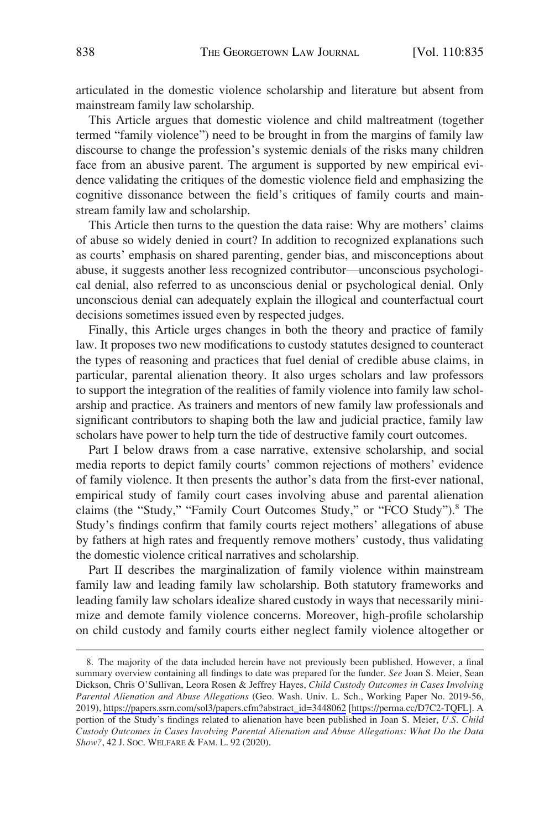articulated in the domestic violence scholarship and literature but absent from mainstream family law scholarship.

This Article argues that domestic violence and child maltreatment (together termed "family violence") need to be brought in from the margins of family law discourse to change the profession's systemic denials of the risks many children face from an abusive parent. The argument is supported by new empirical evidence validating the critiques of the domestic violence field and emphasizing the cognitive dissonance between the field's critiques of family courts and mainstream family law and scholarship.

This Article then turns to the question the data raise: Why are mothers' claims of abuse so widely denied in court? In addition to recognized explanations such as courts' emphasis on shared parenting, gender bias, and misconceptions about abuse, it suggests another less recognized contributor—unconscious psychological denial, also referred to as unconscious denial or psychological denial. Only unconscious denial can adequately explain the illogical and counterfactual court decisions sometimes issued even by respected judges.

Finally, this Article urges changes in both the theory and practice of family law. It proposes two new modifications to custody statutes designed to counteract the types of reasoning and practices that fuel denial of credible abuse claims, in particular, parental alienation theory. It also urges scholars and law professors to support the integration of the realities of family violence into family law scholarship and practice. As trainers and mentors of new family law professionals and significant contributors to shaping both the law and judicial practice, family law scholars have power to help turn the tide of destructive family court outcomes.

Part I below draws from a case narrative, extensive scholarship, and social media reports to depict family courts' common rejections of mothers' evidence of family violence. It then presents the author's data from the first-ever national, empirical study of family court cases involving abuse and parental alienation claims (the "Study," "Family Court Outcomes Study," or "FCO Study").8 The Study's findings confirm that family courts reject mothers' allegations of abuse by fathers at high rates and frequently remove mothers' custody, thus validating the domestic violence critical narratives and scholarship.

Part II describes the marginalization of family violence within mainstream family law and leading family law scholarship. Both statutory frameworks and leading family law scholars idealize shared custody in ways that necessarily minimize and demote family violence concerns. Moreover, high-profile scholarship on child custody and family courts either neglect family violence altogether or

<sup>8.</sup> The majority of the data included herein have not previously been published. However, a final summary overview containing all findings to date was prepared for the funder. *See* Joan S. Meier, Sean Dickson, Chris O'Sullivan, Leora Rosen & Jeffrey Hayes, *Child Custody Outcomes in Cases Involving Parental Alienation and Abuse Allegations* (Geo. Wash. Univ. L. Sch., Working Paper No. 2019-56, 2019), [https://papers.ssrn.com/sol3/papers.cfm?abstract\\_id=3448062](https://papers.ssrn.com/sol3/papers.cfm?abstract_id=3448062) [\[https://perma.cc/D7C2-TQFL\]](https://perma.cc/D7C2-TQFL). A portion of the Study's findings related to alienation have been published in Joan S. Meier, *U.S. Child Custody Outcomes in Cases Involving Parental Alienation and Abuse Allegations: What Do the Data Show?*, 42 J. SOC. WELFARE & FAM. L. 92 (2020).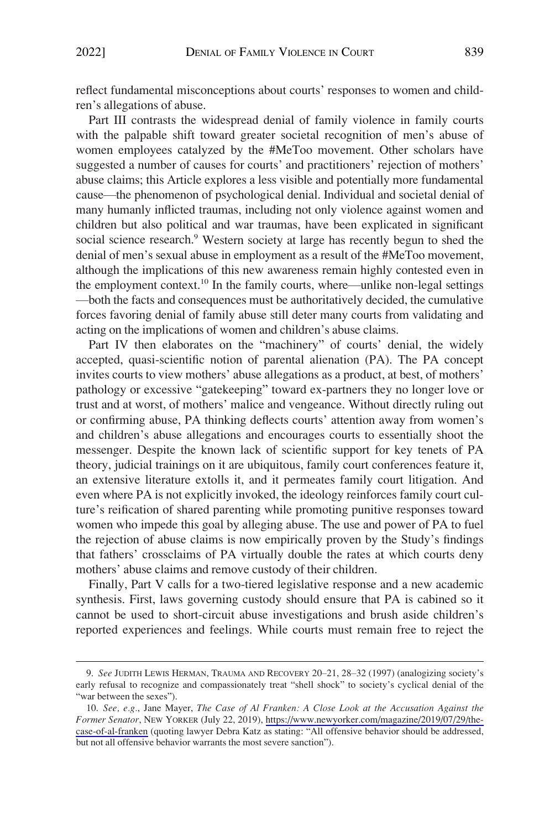reflect fundamental misconceptions about courts' responses to women and children's allegations of abuse.

Part III contrasts the widespread denial of family violence in family courts with the palpable shift toward greater societal recognition of men's abuse of women employees catalyzed by the #MeToo movement. Other scholars have suggested a number of causes for courts' and practitioners' rejection of mothers' abuse claims; this Article explores a less visible and potentially more fundamental cause—the phenomenon of psychological denial. Individual and societal denial of many humanly inflicted traumas, including not only violence against women and children but also political and war traumas, have been explicated in significant social science research.<sup>9</sup> Western society at large has recently begun to shed the denial of men's sexual abuse in employment as a result of the #MeToo movement, although the implications of this new awareness remain highly contested even in the employment context.<sup>10</sup> In the family courts, where—unlike non-legal settings —both the facts and consequences must be authoritatively decided, the cumulative forces favoring denial of family abuse still deter many courts from validating and acting on the implications of women and children's abuse claims.

Part IV then elaborates on the "machinery" of courts' denial, the widely accepted, quasi-scientific notion of parental alienation (PA). The PA concept invites courts to view mothers' abuse allegations as a product, at best, of mothers' pathology or excessive "gatekeeping" toward ex-partners they no longer love or trust and at worst, of mothers' malice and vengeance. Without directly ruling out or confirming abuse, PA thinking deflects courts' attention away from women's and children's abuse allegations and encourages courts to essentially shoot the messenger. Despite the known lack of scientific support for key tenets of PA theory, judicial trainings on it are ubiquitous, family court conferences feature it, an extensive literature extolls it, and it permeates family court litigation. And even where PA is not explicitly invoked, the ideology reinforces family court culture's reification of shared parenting while promoting punitive responses toward women who impede this goal by alleging abuse. The use and power of PA to fuel the rejection of abuse claims is now empirically proven by the Study's findings that fathers' crossclaims of PA virtually double the rates at which courts deny mothers' abuse claims and remove custody of their children.

Finally, Part V calls for a two-tiered legislative response and a new academic synthesis. First, laws governing custody should ensure that PA is cabined so it cannot be used to short-circuit abuse investigations and brush aside children's reported experiences and feelings. While courts must remain free to reject the

<sup>9.</sup> *See* JUDITH LEWIS HERMAN, TRAUMA AND RECOVERY 20–21, 28–32 (1997) (analogizing society's early refusal to recognize and compassionately treat "shell shock" to society's cyclical denial of the "war between the sexes").

*See, e.g.*, Jane Mayer, *The Case of Al Franken: A Close Look at the Accusation Against the*  10. *Former Senator*, NEW YORKER (July 22, 2019), [https://www.newyorker.com/magazine/2019/07/29/the](https://www.newyorker.com/magazine/2019/07/29/the-case-of-al-franken)[case-of-al-franken](https://www.newyorker.com/magazine/2019/07/29/the-case-of-al-franken) (quoting lawyer Debra Katz as stating: "All offensive behavior should be addressed, but not all offensive behavior warrants the most severe sanction").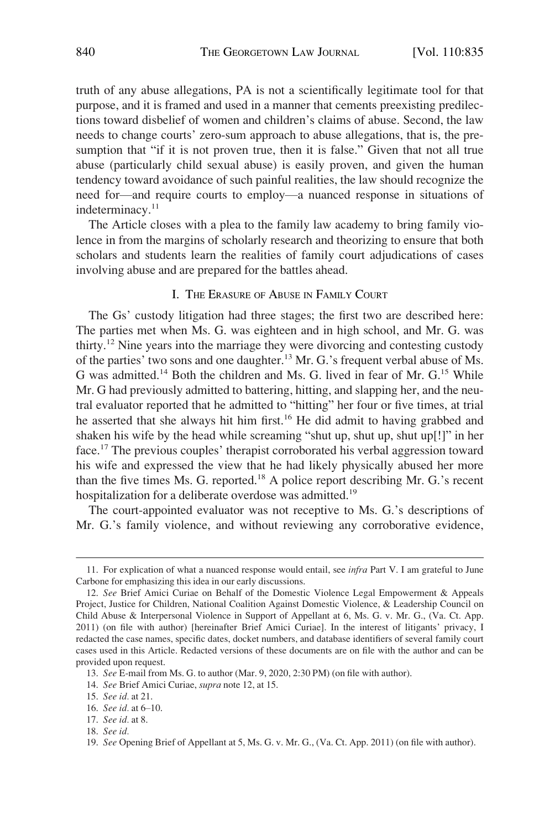<span id="page-5-0"></span>truth of any abuse allegations, PA is not a scientifically legitimate tool for that purpose, and it is framed and used in a manner that cements preexisting predilections toward disbelief of women and children's claims of abuse. Second, the law needs to change courts' zero-sum approach to abuse allegations, that is, the presumption that "if it is not proven true, then it is false." Given that not all true abuse (particularly child sexual abuse) is easily proven, and given the human tendency toward avoidance of such painful realities, the law should recognize the need for—and require courts to employ—a nuanced response in situations of indeterminacy.<sup>11</sup>

The Article closes with a plea to the family law academy to bring family violence in from the margins of scholarly research and theorizing to ensure that both scholars and students learn the realities of family court adjudications of cases involving abuse and are prepared for the battles ahead.

# I. THE ERASURE OF ABUSE IN FAMILY COURT

The Gs' custody litigation had three stages; the first two are described here: The parties met when Ms. G. was eighteen and in high school, and Mr. G. was thirty.12 Nine years into the marriage they were divorcing and contesting custody of the parties' two sons and one daughter.13 Mr. G.'s frequent verbal abuse of Ms. G was admitted.<sup>14</sup> Both the children and Ms. G. lived in fear of Mr. G.<sup>15</sup> While Mr. G had previously admitted to battering, hitting, and slapping her, and the neutral evaluator reported that he admitted to "hitting" her four or five times, at trial he asserted that she always hit him first.<sup>16</sup> He did admit to having grabbed and shaken his wife by the head while screaming "shut up, shut up, shut up[!]" in her face.<sup>17</sup> The previous couples' therapist corroborated his verbal aggression toward his wife and expressed the view that he had likely physically abused her more than the five times Ms. G. reported.<sup>18</sup> A police report describing Mr. G.'s recent hospitalization for a deliberate overdose was admitted.<sup>19</sup>

The court-appointed evaluator was not receptive to Ms. G.'s descriptions of Mr. G.'s family violence, and without reviewing any corroborative evidence,

<sup>11.</sup> For explication of what a nuanced response would entail, see *infra* Part V. I am grateful to June Carbone for emphasizing this idea in our early discussions.

<sup>12.</sup> *See* Brief Amici Curiae on Behalf of the Domestic Violence Legal Empowerment & Appeals Project, Justice for Children, National Coalition Against Domestic Violence, & Leadership Council on Child Abuse & Interpersonal Violence in Support of Appellant at 6, Ms. G. v. Mr. G., (Va. Ct. App. 2011) (on file with author) [hereinafter Brief Amici Curiae]. In the interest of litigants' privacy, I redacted the case names, specific dates, docket numbers, and database identifiers of several family court cases used in this Article. Redacted versions of these documents are on file with the author and can be provided upon request.

<sup>13.</sup> *See* E-mail from Ms. G. to author (Mar. 9, 2020, 2:30 PM) (on file with author).

<sup>14.</sup> *See* Brief Amici Curiae, *supra* note 12, at 15.

<sup>15.</sup> *See id.* at 21.

<sup>16.</sup> *See id.* at 6–10.

<sup>17.</sup> *See id.* at 8.

<sup>18.</sup> *See id.* 

<sup>19.</sup> *See* Opening Brief of Appellant at 5, Ms. G. v. Mr. G., (Va. Ct. App. 2011) (on file with author).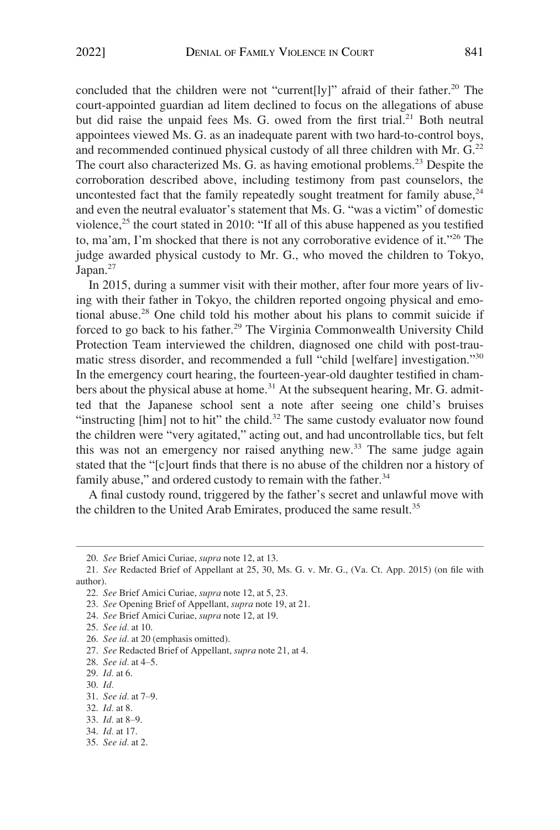concluded that the children were not "current[ly]" afraid of their father.<sup>20</sup> The court-appointed guardian ad litem declined to focus on the allegations of abuse but did raise the unpaid fees Ms. G. owed from the first trial.<sup>21</sup> Both neutral appointees viewed Ms. G. as an inadequate parent with two hard-to-control boys, and recommended continued physical custody of all three children with Mr.  $G<sup>22</sup>$ The court also characterized Ms. G. as having emotional problems.<sup>23</sup> Despite the corroboration described above, including testimony from past counselors, the uncontested fact that the family repeatedly sought treatment for family abuse,  $24$ and even the neutral evaluator's statement that Ms. G. "was a victim" of domestic violence, $^{25}$  the court stated in 2010: "If all of this abuse happened as you testified to, ma'am, I'm shocked that there is not any corroborative evidence of it."26 The judge awarded physical custody to Mr. G., who moved the children to Tokyo, Japan. $27$ 

In 2015, during a summer visit with their mother, after four more years of living with their father in Tokyo, the children reported ongoing physical and emotional abuse.28 One child told his mother about his plans to commit suicide if forced to go back to his father.<sup>29</sup> The Virginia Commonwealth University Child Protection Team interviewed the children, diagnosed one child with post-traumatic stress disorder, and recommended a full "child [welfare] investigation."<sup>30</sup> In the emergency court hearing, the fourteen-year-old daughter testified in chambers about the physical abuse at home.<sup>31</sup> At the subsequent hearing, Mr. G. admitted that the Japanese school sent a note after seeing one child's bruises "instructing [him] not to hit" the child. $32$  The same custody evaluator now found the children were "very agitated," acting out, and had uncontrollable tics, but felt this was not an emergency nor raised anything new.<sup>33</sup> The same judge again stated that the "[c]ourt finds that there is no abuse of the children nor a history of family abuse," and ordered custody to remain with the father.<sup>34</sup>

A final custody round, triggered by the father's secret and unlawful move with the children to the United Arab Emirates, produced the same result.<sup>35</sup>

<sup>20.</sup> *See* Brief Amici Curiae, *supra* note 12, at 13.

<sup>21.</sup> *See* Redacted Brief of Appellant at 25, 30, Ms. G. v. Mr. G., (Va. Ct. App. 2015) (on file with author).

<sup>22.</sup> *See* Brief Amici Curiae, *supra* note 12, at 5, 23.

<sup>23.</sup> *See* Opening Brief of Appellant, *supra* note 19, at 21.

<sup>24.</sup> *See* Brief Amici Curiae, *supra* note 12, at 19.

<sup>25.</sup> *See id.* at 10.

<sup>26.</sup> *See id.* at 20 (emphasis omitted).

<sup>27.</sup> *See* Redacted Brief of Appellant, *supra* note 21, at 4.

<sup>28.</sup> *See id.* at 4–5.

<sup>29.</sup> *Id.* at 6.

<sup>30.</sup> *Id.* 

<sup>31.</sup> *See id.* at 7–9.

<sup>32.</sup> *Id.* at 8.

<sup>33.</sup> *Id.* at 8–9.

<sup>34.</sup> *Id.* at 17.

<sup>35.</sup> *See id.* at 2.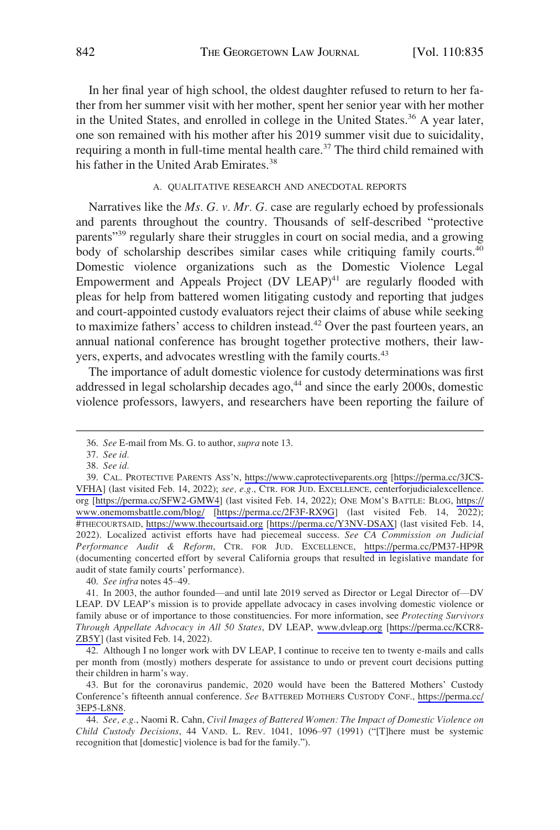<span id="page-7-0"></span>In her final year of high school, the oldest daughter refused to return to her father from her summer visit with her mother, spent her senior year with her mother in the United States, and enrolled in college in the United States.<sup>36</sup> A year later, one son remained with his mother after his 2019 summer visit due to suicidality, requiring a month in full-time mental health care.<sup>37</sup> The third child remained with his father in the United Arab Emirates.<sup>38</sup>

# A. QUALITATIVE RESEARCH AND ANECDOTAL REPORTS

Narratives like the *Ms. G. v. Mr. G.* case are regularly echoed by professionals and parents throughout the country. Thousands of self-described "protective parents"<sup>39</sup> regularly share their struggles in court on social media, and a growing body of scholarship describes similar cases while critiquing family courts.<sup>40</sup> Domestic violence organizations such as the Domestic Violence Legal Empowerment and Appeals Project  $(DV LEAP)^{41}$  are regularly flooded with pleas for help from battered women litigating custody and reporting that judges and court-appointed custody evaluators reject their claims of abuse while seeking to maximize fathers' access to children instead.<sup>42</sup> Over the past fourteen years, an annual national conference has brought together protective mothers, their lawyers, experts, and advocates wrestling with the family courts.<sup>43</sup>

The importance of adult domestic violence for custody determinations was first addressed in legal scholarship decades ago,<sup>44</sup> and since the early 2000s, domestic violence professors, lawyers, and researchers have been reporting the failure of

40. *See infra* notes 45–49.

<sup>36.</sup> *See* E-mail from Ms. G. to author, *supra* note 13.

<sup>37.</sup> *See id.* 

<sup>38.</sup> *See id.* 

CAL. PROTECTIVE PARENTS ASS'N, <https://www.caprotectiveparents.org>[\[https://perma.cc/3JCS-](https://perma.cc/3JCS-VFHA)39. [VFHA\]](https://perma.cc/3JCS-VFHA) (last visited Feb. 14, 2022); *see, e.g.*, CTR. FOR JUD. EXCELLENCE, centerforjudicialexcellence. org [[https://perma.cc/SFW2-GMW4\]](https://perma.cc/SFW2-GMW4) (last visited Feb. 14, 2022); ONE MOM'S BATTLE: BLOG, [https://](https://www.onemomsbattle.com/blog/)  [www.onemomsbattle.com/blog/](https://www.onemomsbattle.com/blog/) [\[https://perma.cc/2F3F-RX9G\]](https://perma.cc/2F3F-RX9G) (last visited Feb. 14, 2022); #THECOURTSAID, <https://www.thecourtsaid.org>[\[https://perma.cc/Y3NV-DSAX\]](https://perma.cc/Y3NV-DSAX) (last visited Feb. 14, 2022). Localized activist efforts have had piecemeal success. *See CA Commission on Judicial Performance Audit & Reform*, CTR. FOR JUD. EXCELLENCE, <https://perma.cc/PM37-HP9R> (documenting concerted effort by several California groups that resulted in legislative mandate for audit of state family courts' performance).

In 2003, the author founded—and until late 2019 served as Director or Legal Director of—DV 41. LEAP. DV LEAP's mission is to provide appellate advocacy in cases involving domestic violence or family abuse or of importance to those constituencies. For more information, see *Protecting Survivors Through Appellate Advocacy in All 50 States*, DV LEAP, [www.dvleap.org](http://www.dvleap.org) [\[https://perma.cc/KCR8-](https://perma.cc/KCR8-ZB5Y)  [ZB5Y](https://perma.cc/KCR8-ZB5Y)] (last visited Feb. 14, 2022).

<sup>42.</sup> Although I no longer work with DV LEAP, I continue to receive ten to twenty e-mails and calls per month from (mostly) mothers desperate for assistance to undo or prevent court decisions putting their children in harm's way.

<sup>43.</sup> But for the coronavirus pandemic, 2020 would have been the Battered Mothers' Custody Conference's fifteenth annual conference. *See* BATTERED MOTHERS CUSTODY CONF., [https://perma.cc/](https://perma.cc/3EP5-L8N8)  [3EP5-L8N8](https://perma.cc/3EP5-L8N8).

<sup>44.</sup> *See, e.g.*, Naomi R. Cahn, *Civil Images of Battered Women: The Impact of Domestic Violence on Child Custody Decisions*, 44 VAND. L. REV. 1041, 1096–97 (1991) ("[T]here must be systemic recognition that [domestic] violence is bad for the family.").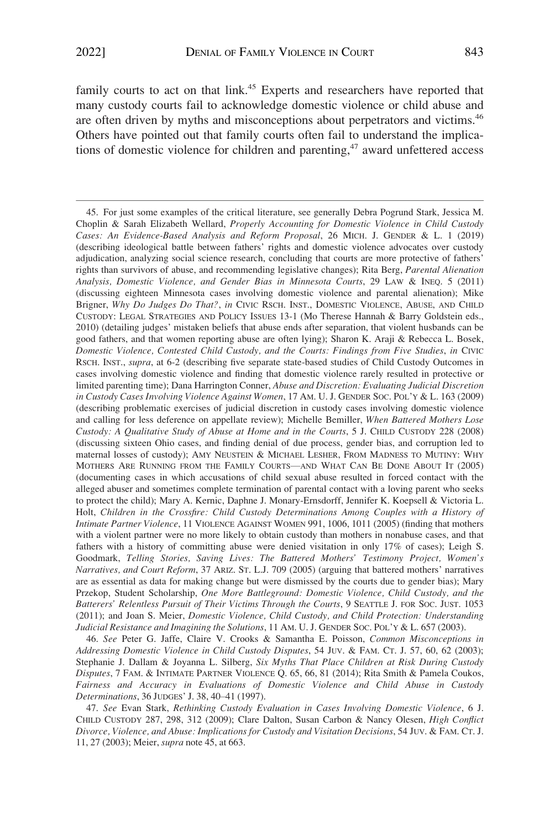family courts to act on that link.<sup>45</sup> Experts and researchers have reported that many custody courts fail to acknowledge domestic violence or child abuse and are often driven by myths and misconceptions about perpetrators and victims.<sup>46</sup> Others have pointed out that family courts often fail to understand the implications of domestic violence for children and parenting, $47$  award unfettered access

46. *See* Peter G. Jaffe, Claire V. Crooks & Samantha E. Poisson, *Common Misconceptions in Addressing Domestic Violence in Child Custody Disputes*, 54 JUV. & FAM. CT. J. 57, 60, 62 (2003); Stephanie J. Dallam & Joyanna L. Silberg, *Six Myths That Place Children at Risk During Custody Disputes*, 7 FAM. & INTIMATE PARTNER VIOLENCE Q. 65, 66, 81 (2014); Rita Smith & Pamela Coukos, *Fairness and Accuracy in Evaluations of Domestic Violence and Child Abuse in Custody Determinations*, 36 JUDGES' J. 38, 40–41 (1997).

47. *See* Evan Stark, *Rethinking Custody Evaluation in Cases Involving Domestic Violence*, 6 J. CHILD CUSTODY 287, 298, 312 (2009); Clare Dalton, Susan Carbon & Nancy Olesen, *High Conflict Divorce, Violence, and Abuse: Implications for Custody and Visitation Decisions*, 54 JUV. & FAM. CT. J. 11, 27 (2003); Meier, *supra* note 45, at 663.

<sup>45.</sup> For just some examples of the critical literature, see generally Debra Pogrund Stark, Jessica M. Choplin & Sarah Elizabeth Wellard, *Properly Accounting for Domestic Violence in Child Custody Cases: An Evidence-Based Analysis and Reform Proposal*, 26 MICH. J. GENDER & L. 1 (2019) (describing ideological battle between fathers' rights and domestic violence advocates over custody adjudication, analyzing social science research, concluding that courts are more protective of fathers' rights than survivors of abuse, and recommending legislative changes); Rita Berg, *Parental Alienation Analysis, Domestic Violence, and Gender Bias in Minnesota Courts*, 29 LAW & INEQ. 5 (2011) (discussing eighteen Minnesota cases involving domestic violence and parental alienation); Mike Brigner, *Why Do Judges Do That?*, *in* CIVIC RSCH. INST., DOMESTIC VIOLENCE, ABUSE, AND CHILD CUSTODY: LEGAL STRATEGIES AND POLICY ISSUES 13-1 (Mo Therese Hannah & Barry Goldstein eds., 2010) (detailing judges' mistaken beliefs that abuse ends after separation, that violent husbands can be good fathers, and that women reporting abuse are often lying); Sharon K. Araji & Rebecca L. Bosek, *Domestic Violence, Contested Child Custody, and the Courts: Findings from Five Studies*, *in* CIVIC RSCH. INST., *supra*, at 6-2 (describing five separate state-based studies of Child Custody Outcomes in cases involving domestic violence and finding that domestic violence rarely resulted in protective or limited parenting time); Dana Harrington Conner, *Abuse and Discretion: Evaluating Judicial Discretion in Custody Cases Involving Violence Against Women*, 17 AM. U. J. GENDER SOC. POL'Y & L. 163 (2009) (describing problematic exercises of judicial discretion in custody cases involving domestic violence and calling for less deference on appellate review); Michelle Bemiller, *When Battered Mothers Lose Custody: A Qualitative Study of Abuse at Home and in the Courts*, 5 J. CHILD CUSTODY 228 (2008) (discussing sixteen Ohio cases, and finding denial of due process, gender bias, and corruption led to maternal losses of custody); AMY NEUSTEIN & MICHAEL LESHER, FROM MADNESS TO MUTINY: WHY MOTHERS ARE RUNNING FROM THE FAMILY COURTS—AND WHAT CAN BE DONE ABOUT IT (2005) (documenting cases in which accusations of child sexual abuse resulted in forced contact with the alleged abuser and sometimes complete termination of parental contact with a loving parent who seeks to protect the child); Mary A. Kernic, Daphne J. Monary-Ernsdorff, Jennifer K. Koepsell & Victoria L. Holt, *Children in the Crossfire: Child Custody Determinations Among Couples with a History of Intimate Partner Violence*, 11 VIOLENCE AGAINST WOMEN 991, 1006, 1011 (2005) (finding that mothers with a violent partner were no more likely to obtain custody than mothers in nonabuse cases, and that fathers with a history of committing abuse were denied visitation in only 17% of cases); Leigh S. Goodmark, *Telling Stories, Saving Lives: The Battered Mothers' Testimony Project, Women's Narratives, and Court Reform*, 37 ARIZ. ST. L.J. 709 (2005) (arguing that battered mothers' narratives are as essential as data for making change but were dismissed by the courts due to gender bias); Mary Przekop, Student Scholarship, *One More Battleground: Domestic Violence, Child Custody, and the Batterers' Relentless Pursuit of Their Victims Through the Courts*, 9 SEATTLE J. FOR SOC. JUST. 1053 (2011); and Joan S. Meier, *Domestic Violence, Child Custody, and Child Protection: Understanding Judicial Resistance and Imagining the Solutions*, 11 AM. U. J. GENDER SOC. POL'Y & L. 657 (2003).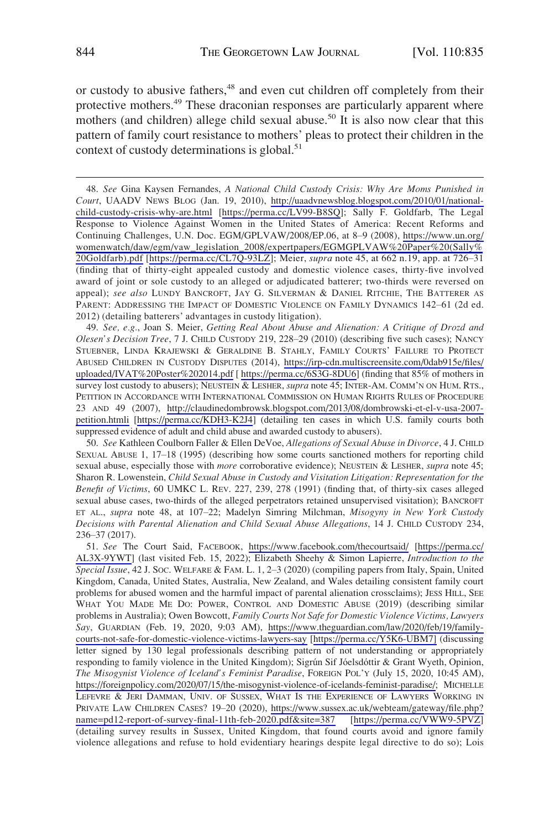or custody to abusive fathers,<sup>48</sup> and even cut children off completely from their protective mothers.<sup>49</sup> These draconian responses are particularly apparent where mothers (and children) allege child sexual abuse.<sup>50</sup> It is also now clear that this pattern of family court resistance to mothers' pleas to protect their children in the context of custody determinations is global.<sup>51</sup>

*See, e.g.*, Joan S. Meier, *Getting Real About Abuse and Alienation: A Critique of Drozd and*  49. *Olesen's Decision Tree*, 7 J. CHILD CUSTODY 219, 228–29 (2010) (describing five such cases); NANCY STUEBNER, LINDA KRAJEWSKI & GERALDINE B. STAHLY, FAMILY COURTS' FAILURE TO PROTECT ABUSED CHILDREN IN CUSTODY DISPUTES (2014), [https://irp-cdn.multiscreensite.com/0dab915e/files/](https://irp-cdn.multiscreensite.com/0dab915e/files/uploaded/IVAT%20Poster%202014.pdf)  [uploaded/IVAT%20Poster%202014.pdf](https://irp-cdn.multiscreensite.com/0dab915e/files/uploaded/IVAT%20Poster%202014.pdf) [<https://perma.cc/6S3G-8DU6>] (finding that 85% of mothers in survey lost custody to abusers); NEUSTEIN & LESHER, *supra* note 45; INTER-AM. COMM'N ON HUM. RTS., PETITION IN ACCORDANCE WITH INTERNATIONAL COMMISSION ON HUMAN RIGHTS RULES OF PROCEDURE 23 AND 49 (2007), [http://claudinedombrowsk.blogspot.com/2013/08/dombrowski-et-el-v-usa-2007](http://claudinedombrowski.blogspot.com/2013/08/dombrowski-et-el-v-usa-2007-petition.htmli)  [petition.htmli](http://claudinedombrowski.blogspot.com/2013/08/dombrowski-et-el-v-usa-2007-petition.htmli) [\[https://perma.cc/KDH3-K2J4\]](https://perma.cc/KDH3-K2J4) (detailing ten cases in which U.S. family courts both suppressed evidence of adult and child abuse and awarded custody to abusers).

50. *See* Kathleen Coulborn Faller & Ellen DeVoe, *Allegations of Sexual Abuse in Divorce*, 4 J. CHILD SEXUAL ABUSE 1, 17–18 (1995) (describing how some courts sanctioned mothers for reporting child sexual abuse, especially those with *more* corroborative evidence); NEUSTEIN & LESHER, *supra* note 45; Sharon R. Lowenstein, *Child Sexual Abuse in Custody and Visitation Litigation: Representation for the Benefit of Victims*, 60 UMKC L. REV. 227, 239, 278 (1991) (finding that, of thirty-six cases alleged sexual abuse cases, two-thirds of the alleged perpetrators retained unsupervised visitation); BANCROFT ET AL., *supra* note 48, at 107–22; Madelyn Simring Milchman, *Misogyny in New York Custody Decisions with Parental Alienation and Child Sexual Abuse Allegations*, 14 J. CHILD CUSTODY 234, 236–37 (2017).

51. See The Court Said, FACEBOOK, <https://www.facebook.com/thecourtsaid/>[https://perma.cc/ [AL3X-9YWT](https://perma.cc/AL3X-9YWT)] (last visited Feb. 15, 2022); Elizabeth Sheehy & Simon Lapierre, *Introduction to the Special Issue*, 42 J. SOC. WELFARE & FAM. L. 1, 2–3 (2020) (compiling papers from Italy, Spain, United Kingdom, Canada, United States, Australia, New Zealand, and Wales detailing consistent family court problems for abused women and the harmful impact of parental alienation crossclaims); JESS HILL, SEE WHAT YOU MADE ME DO: POWER, CONTROL AND DOMESTIC ABUSE (2019) (describing similar problems in Australia); Owen Bowcott, *Family Courts Not Safe for Domestic Violence Victims, Lawyers Say*, GUARDIAN (Feb. 19, 2020, 9:03 AM), [https://www.theguardian.com/law/2020/feb/19/family](https://www.theguardian.com/law/2020/feb/19/family-courts-not-safe-for-domestic-violence-victims-lawyers-say)[courts-not-safe-for-domestic-violence-victims-lawyers-say](https://www.theguardian.com/law/2020/feb/19/family-courts-not-safe-for-domestic-violence-victims-lawyers-say) [\[https://perma.cc/Y5K6-UBM7\]](https://perma.cc/Y5K6-UBM7]) (discussing letter signed by 130 legal professionals describing pattern of not understanding or appropriately responding to family violence in the United Kingdom); Sigrún Sif Jóelsdóttir & Grant Wyeth, Opinion, *The Misogynist Violence of Iceland's Feminist Paradise*, FOREIGN POL'Y (July 15, 2020, 10:45 AM), [https://foreignpolicy.com/2020/07/15/the-misogynist-violence-of-icelands-feminist-paradise/](https://foreignpolicy.com/2020/07/15/the-misogynist-violence-of-icelands-feminist-paradise/;); MICHELLE LEFEVRE & JERI DAMMAN, UNIV. OF SUSSEX, WHAT IS THE EXPERIENCE OF LAWYERS WORKING IN PRIVATE LAW CHILDREN CASES? 19–20 (2020), [https://www.sussex.ac.uk/webteam/gateway/file.php?](https://www.sussex.ac.uk/webteam/gateway/file.php?name=pd12-report-of-survey-final-11th-feb-2020.pdf&site=387) [name=pd12-report-of-survey-final-11th-feb-2020.pdf&site=387](https://www.sussex.ac.uk/webteam/gateway/file.php?name=pd12-report-of-survey-final-11th-feb-2020.pdf&site=387) [<https://perma.cc/VWW9-5PVZ>] (detailing survey results in Sussex, United Kingdom, that found courts avoid and ignore family violence allegations and refuse to hold evidentiary hearings despite legal directive to do so); Lois

*See* Gina Kaysen Fernandes, *A National Child Custody Crisis: Why Are Moms Punished in*  48. *Court*, UAADV NEWS BLOG (Jan. 19, 2010), [http://uaadvnewsblog.blogspot.com/2010/01/national](http://uaadvnewsblog.blogspot.com/2010/01/national-child-custody-crisis-why-are.html)[child-custody-crisis-why-are.html](http://uaadvnewsblog.blogspot.com/2010/01/national-child-custody-crisis-why-are.html) [[https://perma.cc/LV99-B8SQ\]](https://perma.cc/LV99-B8SQ); Sally F. Goldfarb, The Legal Response to Violence Against Women in the United States of America: Recent Reforms and Continuing Challenges, U.N. Doc. EGM/GPLVAW/2008/EP.06, at 8–9 (2008), [https://www.un.org/](https://www.un.org/womenwatch/daw/egm/vaw_legislation_2008/expertpapers/EGMGPLVAW%20Paper%20(Sally%20Goldfarb).pdf) [womenwatch/daw/egm/vaw\\_legislation\\_2008/expertpapers/EGMGPLVAW%20Paper%20\(Sally%](https://www.un.org/womenwatch/daw/egm/vaw_legislation_2008/expertpapers/EGMGPLVAW%20Paper%20(Sally%20Goldfarb).pdf) [20Goldfarb\).pdf](https://www.un.org/womenwatch/daw/egm/vaw_legislation_2008/expertpapers/EGMGPLVAW%20Paper%20(Sally%20Goldfarb).pdf) [[https://perma.cc/CL7Q-93LZ\]](https://perma.cc/CL7Q-93LZ); Meier, *supra* note 45, at 662 n.19, app. at 726–31 (finding that of thirty-eight appealed custody and domestic violence cases, thirty-five involved award of joint or sole custody to an alleged or adjudicated batterer; two-thirds were reversed on appeal); *see also* LUNDY BANCROFT, JAY G. SILVERMAN & DANIEL RITCHIE, THE BATTERER AS PARENT: ADDRESSING THE IMPACT OF DOMESTIC VIOLENCE ON FAMILY DYNAMICS 142–61 (2d ed. 2012) (detailing batterers' advantages in custody litigation).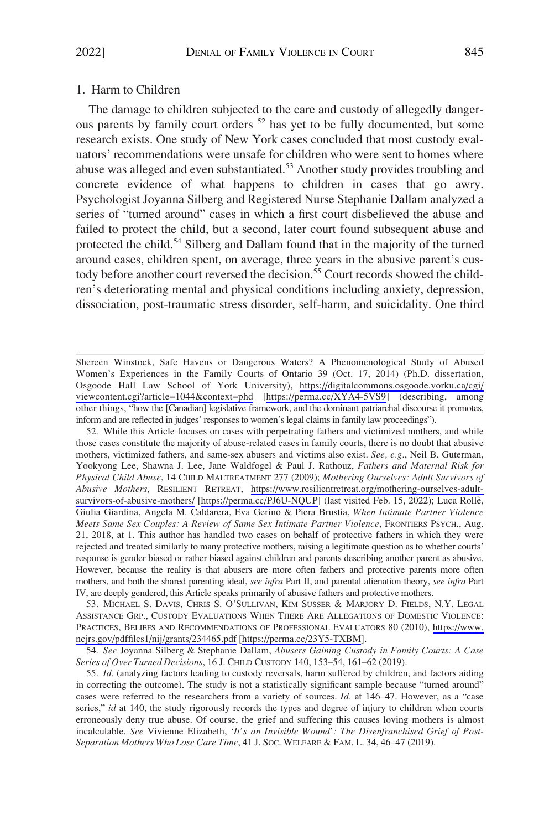# <span id="page-10-0"></span>1. Harm to Children

The damage to children subjected to the care and custody of allegedly dangerous parents by family court orders <sup>52</sup> has yet to be fully documented, but some research exists. One study of New York cases concluded that most custody evaluators' recommendations were unsafe for children who were sent to homes where abuse was alleged and even substantiated.<sup>53</sup> Another study provides troubling and concrete evidence of what happens to children in cases that go awry. Psychologist Joyanna Silberg and Registered Nurse Stephanie Dallam analyzed a series of "turned around" cases in which a first court disbelieved the abuse and failed to protect the child, but a second, later court found subsequent abuse and protected the child.54 Silberg and Dallam found that in the majority of the turned around cases, children spent, on average, three years in the abusive parent's custody before another court reversed the decision.<sup>55</sup> Court records showed the children's deteriorating mental and physical conditions including anxiety, depression, dissociation, post-traumatic stress disorder, self-harm, and suicidality. One third

53. MICHAEL S. DAVIS, CHRIS S. O'SULLIVAN, KIM SUSSER & MARJORY D. FIELDS, N.Y. LEGAL ASSISTANCE GRP., CUSTODY EVALUATIONS WHEN THERE ARE ALLEGATIONS OF DOMESTIC VIOLENCE: PRACTICES, BELIEFS AND RECOMMENDATIONS OF PROFESSIONAL EVALUATORS 80 (2010), [https://www.](https://www.ncjrs.gov/pdffiles1/nij/grants/234465.pdf)  [ncjrs.gov/pdffiles1/nij/grants/234465.pdf](https://www.ncjrs.gov/pdffiles1/nij/grants/234465.pdf) [\[https://perma.cc/23Y5-TXBM\]](https://perma.cc/23Y5-TXBM).

54. *See* Joyanna Silberg & Stephanie Dallam, *Abusers Gaining Custody in Family Courts: A Case Series of Over Turned Decisions*, 16 J. CHILD CUSTODY 140, 153–54, 161–62 (2019).

Shereen Winstock, Safe Havens or Dangerous Waters? A Phenomenological Study of Abused Women's Experiences in the Family Courts of Ontario 39 (Oct. 17, 2014) (Ph.D. dissertation, Osgoode Hall Law School of York University), [https://digitalcommons.osgoode.yorku.ca/cgi/](https://digitalcommons.osgoode.yorku.ca/cgi/viewcontent.cgi?article=1044&context=phd) [viewcontent.cgi?article=1044&context=phd](https://digitalcommons.osgoode.yorku.ca/cgi/viewcontent.cgi?article=1044&context=phd) [\[https://perma.cc/XYA4-5VS9](https://perma.cc/XYA4-5VS9)] (describing, among other things, "how the [Canadian] legislative framework, and the dominant patriarchal discourse it promotes, inform and are reflected in judges' responses to women's legal claims in family law proceedings").

While this Article focuses on cases with perpetrating fathers and victimized mothers, and while 52. those cases constitute the majority of abuse-related cases in family courts, there is no doubt that abusive mothers, victimized fathers, and same-sex abusers and victims also exist. *See, e.g.*, Neil B. Guterman, Yookyong Lee, Shawna J. Lee, Jane Waldfogel & Paul J. Rathouz, *Fathers and Maternal Risk for Physical Child Abuse*, 14 CHILD MALTREATMENT 277 (2009); *Mothering Ourselves: Adult Survivors of Abusive Mothers*, RESILIENT RETREAT, [https://www.resilientretreat.org/mothering-ourselves-adult](https://www.resilientretreat.org/mothering-ourselves-adult-survivors-of-abusive-mothers/)[survivors-of-abusive-mothers/](https://www.resilientretreat.org/mothering-ourselves-adult-survivors-of-abusive-mothers/) [[https://perma.cc/PJ6U-NQUP\]](https://perma.cc/PJ6U-NQUP) (last visited Feb. 15, 2022); Luca Rolle`, Giulia Giardina, Angela M. Caldarera, Eva Gerino & Piera Brustia, *When Intimate Partner Violence Meets Same Sex Couples: A Review of Same Sex Intimate Partner Violence*, FRONTIERS PSYCH., Aug. 21, 2018, at 1. This author has handled two cases on behalf of protective fathers in which they were rejected and treated similarly to many protective mothers, raising a legitimate question as to whether courts' response is gender biased or rather biased against children and parents describing another parent as abusive. However, because the reality is that abusers are more often fathers and protective parents more often mothers, and both the shared parenting ideal, *see infra* Part II, and parental alienation theory, *see infra* Part IV, are deeply gendered, this Article speaks primarily of abusive fathers and protective mothers.

<sup>55.</sup> *Id.* (analyzing factors leading to custody reversals, harm suffered by children, and factors aiding in correcting the outcome). The study is not a statistically significant sample because "turned around" cases were referred to the researchers from a variety of sources. *Id.* at 146–47. However, as a "case series," *id* at 140, the study rigorously records the types and degree of injury to children when courts erroneously deny true abuse. Of course, the grief and suffering this causes loving mothers is almost incalculable. *See* Vivienne Elizabeth, '*It's an Invisible Wound': The Disenfranchised Grief of Post-Separation Mothers Who Lose Care Time*, 41 J. SOC. WELFARE & FAM. L. 34, 46–47 (2019).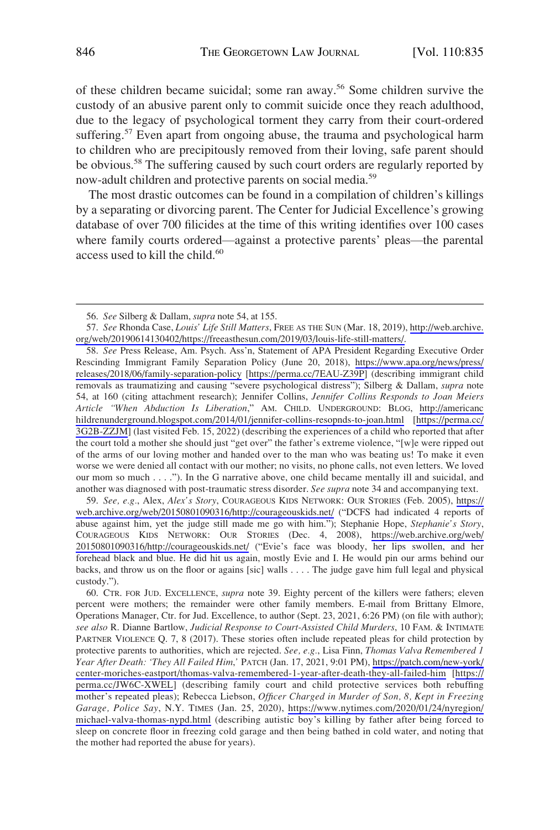of these children became suicidal; some ran away.56 Some children survive the custody of an abusive parent only to commit suicide once they reach adulthood, due to the legacy of psychological torment they carry from their court-ordered suffering.<sup>57</sup> Even apart from ongoing abuse, the trauma and psychological harm to children who are precipitously removed from their loving, safe parent should be obvious.<sup>58</sup> The suffering caused by such court orders are regularly reported by now-adult children and protective parents on social media.59

The most drastic outcomes can be found in a compilation of children's killings by a separating or divorcing parent. The Center for Judicial Excellence's growing database of over 700 filicides at the time of this writing identifies over 100 cases where family courts ordered—against a protective parents' pleas—the parental access used to kill the child.<sup>60</sup>

*See, e.g.*, Alex, *Alex's Story*, COURAGEOUS KIDS NETWORK: OUR STORIES (Feb. 2005), [https://](https://web.archive.org/web/20150801090316/http://courageouskids.net/)  59. [web.archive.org/web/20150801090316/http://courageouskids.net/](https://web.archive.org/web/20150801090316/http://courageouskids.net/) ("DCFS had indicated 4 reports of abuse against him, yet the judge still made me go with him."); Stephanie Hope, *Stephanie's Story*, COURAGEOUS KIDS NETWORK: OUR STORIES (Dec. 4, 2008), [https://web.archive.org/web/](https://web.archive.org/web/20150801090316/http://courageouskids.net/)  [20150801090316/http://courageouskids.net/](https://web.archive.org/web/20150801090316/http://courageouskids.net/) ("Evie's face was bloody, her lips swollen, and her forehead black and blue. He did hit us again, mostly Evie and I. He would pin our arms behind our backs, and throw us on the floor or agains [sic] walls . . . . The judge gave him full legal and physical custody.").

60. CTR. FOR JUD. EXCELLENCE, *supra* note 39. Eighty percent of the killers were fathers; eleven percent were mothers; the remainder were other family members. E-mail from Brittany Elmore, Operations Manager, Ctr. for Jud. Excellence, to author (Sept. 23, 2021, 6:26 PM) (on file with author); *see also* R. Dianne Bartlow, *Judicial Response to Court-Assisted Child Murders*, 10 FAM. & INTIMATE PARTNER VIOLENCE Q. 7, 8 (2017). These stories often include repeated pleas for child protection by protective parents to authorities, which are rejected. *See, e.g.*, Lisa Finn, *Thomas Valva Remembered 1 Year After Death: 'They All Failed Him*,*'* PATCH (Jan. 17, 2021, 9:01 PM), [https://patch.com/new-york/](https://patch.com/new-york/center-moriches-eastport/thomas-valva-remembered-1-year-after-death-they-all-failed-him)  [center-moriches-eastport/thomas-valva-remembered-1-year-after-death-they-all-failed-him](https://patch.com/new-york/center-moriches-eastport/thomas-valva-remembered-1-year-after-death-they-all-failed-him) [\[https://](https://perma.cc/JW6C-XWEL) [perma.cc/JW6C-XWEL](https://perma.cc/JW6C-XWEL)] (describing family court and child protective services both rebuffing mother's repeated pleas); Rebecca Liebson, *Officer Charged in Murder of Son, 8, Kept in Freezing Garage, Police Say*, N.Y. TIMES (Jan. 25, 2020), [https://www.nytimes.com/2020/01/24/nyregion/](https://www.nytimes.com/2020/01/24/nyregion/michael-valva-thomas-nypd.html) [michael-valva-thomas-nypd.html](https://www.nytimes.com/2020/01/24/nyregion/michael-valva-thomas-nypd.html) (describing autistic boy's killing by father after being forced to sleep on concrete floor in freezing cold garage and then being bathed in cold water, and noting that the mother had reported the abuse for years).

<sup>56.</sup> *See* Silberg & Dallam, *supra* note 54, at 155.

*See* Rhonda Case, *Louis' Life Still Matters*, FREE AS THE SUN (Mar. 18, 2019), [http://web.archive.](http://web.archive.org/web/20190614130402/https://freeasthesun.com/2019/03/louis-life-still-matters/)  57. [org/web/20190614130402/https://freeasthesun.com/2019/03/louis-life-still-matters/.](http://web.archive.org/web/20190614130402/https://freeasthesun.com/2019/03/louis-life-still-matters/)

<sup>58.</sup> See Press Release, Am. Psych. Ass'n, Statement of APA President Regarding Executive Order Rescinding Immigrant Family Separation Policy (June 20, 2018), [https://www.apa.org/news/press/](https://www.apa.org/news/press/releases/2018/06/family-separation-policy)  [releases/2018/06/family-separation-policy](https://www.apa.org/news/press/releases/2018/06/family-separation-policy) [\[https://perma.cc/7EAU-Z39P](https://perma.cc/7EAU-Z39P)] (describing immigrant child removals as traumatizing and causing "severe psychological distress"); Silberg & Dallam, *supra* note 54, at 160 (citing attachment research); Jennifer Collins, *Jennifer Collins Responds to Joan Meiers Article "When Abduction Is Liberation*," AM. CHILD. UNDERGROUND: BLOG, [http://americanc](http://americanchildrenunderground.blogspot.com/2014/01/jennifer-collins-resopnds-to-joan.html)  [hildrenunderground.blogspot.com/2014/01/jennifer-collins-resopnds-to-joan.html](http://americanchildrenunderground.blogspot.com/2014/01/jennifer-collins-resopnds-to-joan.html) [\[https://perma.cc/](https://perma.cc/3G2B-ZZJM) [3G2B-ZZJM](https://perma.cc/3G2B-ZZJM)] (last visited Feb. 15, 2022) (describing the experiences of a child who reported that after the court told a mother she should just "get over" the father's extreme violence, "[w]e were ripped out of the arms of our loving mother and handed over to the man who was beating us! To make it even worse we were denied all contact with our mother; no visits, no phone calls, not even letters. We loved our mom so much . . . ."). In the G narrative above, one child became mentally ill and suicidal, and another was diagnosed with post-traumatic stress disorder. *See supra* note 34 and accompanying text.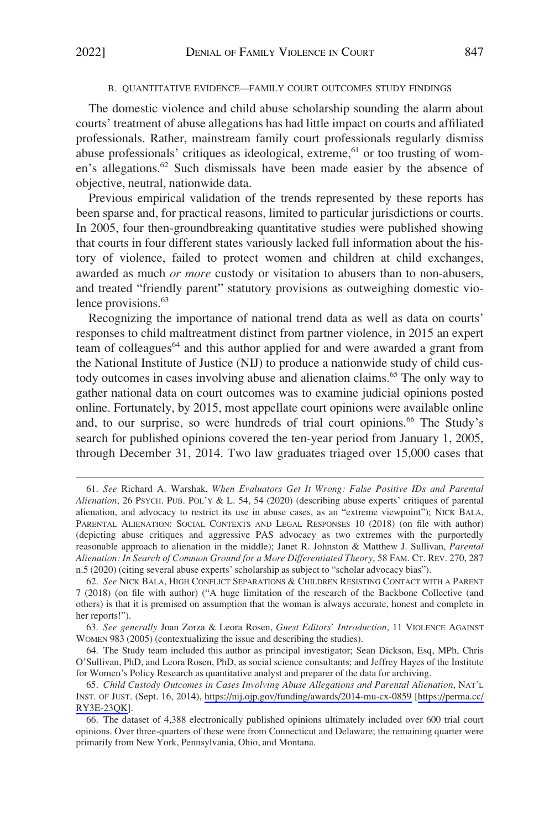#### B. QUANTITATIVE EVIDENCE—FAMILY COURT OUTCOMES STUDY FINDINGS

<span id="page-12-0"></span>The domestic violence and child abuse scholarship sounding the alarm about courts' treatment of abuse allegations has had little impact on courts and affiliated professionals. Rather, mainstream family court professionals regularly dismiss abuse professionals' critiques as ideological, extreme,<sup>61</sup> or too trusting of women's allegations.<sup>62</sup> Such dismissals have been made easier by the absence of objective, neutral, nationwide data.

Previous empirical validation of the trends represented by these reports has been sparse and, for practical reasons, limited to particular jurisdictions or courts. In 2005, four then-groundbreaking quantitative studies were published showing that courts in four different states variously lacked full information about the history of violence, failed to protect women and children at child exchanges, awarded as much *or more* custody or visitation to abusers than to non-abusers, and treated "friendly parent" statutory provisions as outweighing domestic violence provisions.<sup>63</sup>

Recognizing the importance of national trend data as well as data on courts' responses to child maltreatment distinct from partner violence, in 2015 an expert team of colleagues<sup>64</sup> and this author applied for and were awarded a grant from the National Institute of Justice (NIJ) to produce a nationwide study of child custody outcomes in cases involving abuse and alienation claims.<sup>65</sup> The only way to gather national data on court outcomes was to examine judicial opinions posted online. Fortunately, by 2015, most appellate court opinions were available online and, to our surprise, so were hundreds of trial court opinions.66 The Study's search for published opinions covered the ten-year period from January 1, 2005, through December 31, 2014. Two law graduates triaged over 15,000 cases that

<sup>61.</sup> *See* Richard A. Warshak, *When Evaluators Get It Wrong: False Positive IDs and Parental Alienation*, 26 PSYCH. PUB. POL'Y & L. 54, 54 (2020) (describing abuse experts' critiques of parental alienation, and advocacy to restrict its use in abuse cases, as an "extreme viewpoint"); NICK BALA, PARENTAL ALIENATION: SOCIAL CONTEXTS AND LEGAL RESPONSES 10 (2018) (on file with author) (depicting abuse critiques and aggressive PAS advocacy as two extremes with the purportedly reasonable approach to alienation in the middle); Janet R. Johnston & Matthew J. Sullivan, *Parental Alienation: In Search of Common Ground for a More Differentiated Theory*, 58 FAM. CT. REV. 270, 287 n.5 (2020) (citing several abuse experts' scholarship as subject to "scholar advocacy bias").

<sup>62.</sup> *See* NICK BALA, HIGH CONFLICT SEPARATIONS & CHILDREN RESISTING CONTACT WITH A PARENT 7 (2018) (on file with author) ("A huge limitation of the research of the Backbone Collective (and others) is that it is premised on assumption that the woman is always accurate, honest and complete in her reports!").

<sup>63.</sup> *See generally* Joan Zorza & Leora Rosen, *Guest Editors' Introduction*, 11 VIOLENCE AGAINST WOMEN 983 (2005) (contextualizing the issue and describing the studies).

<sup>64.</sup> The Study team included this author as principal investigator; Sean Dickson, Esq, MPh, Chris O'Sullivan, PhD, and Leora Rosen, PhD, as social science consultants; and Jeffrey Hayes of the Institute for Women's Policy Research as quantitative analyst and preparer of the data for archiving.

*Child Custody Outcomes in Cases Involving Abuse Allegations and Parental Alienation*, NAT'L 65. INST. OF JUST. (Sept. 16, 2014), <https://nij.ojp.gov/funding/awards/2014-mu-cx-0859> [[https://perma.cc/](https://perma.cc/RY3E-23QK)  [RY3E-23QK\]](https://perma.cc/RY3E-23QK).

<sup>66.</sup> The dataset of 4,388 electronically published opinions ultimately included over 600 trial court opinions. Over three-quarters of these were from Connecticut and Delaware; the remaining quarter were primarily from New York, Pennsylvania, Ohio, and Montana.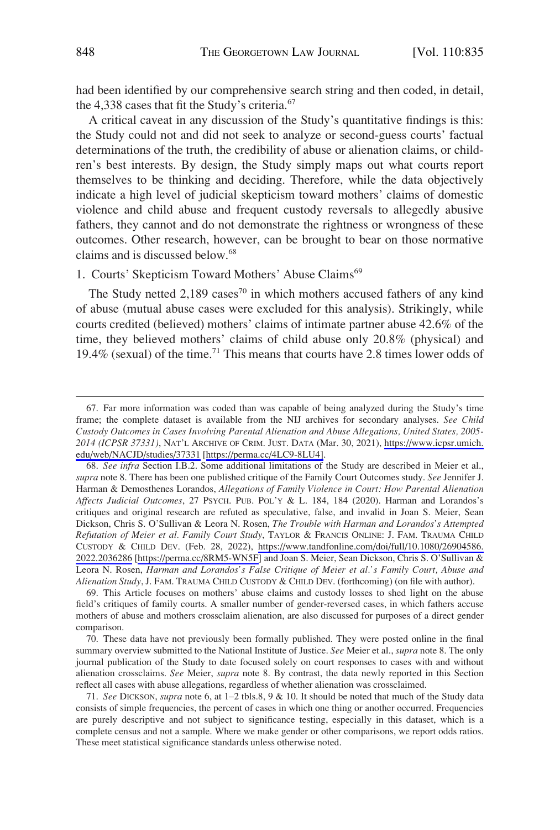<span id="page-13-0"></span>had been identified by our comprehensive search string and then coded, in detail, the 4,338 cases that fit the Study's criteria.<sup>67</sup>

A critical caveat in any discussion of the Study's quantitative findings is this: the Study could not and did not seek to analyze or second-guess courts' factual determinations of the truth, the credibility of abuse or alienation claims, or children's best interests. By design, the Study simply maps out what courts report themselves to be thinking and deciding. Therefore, while the data objectively indicate a high level of judicial skepticism toward mothers' claims of domestic violence and child abuse and frequent custody reversals to allegedly abusive fathers, they cannot and do not demonstrate the rightness or wrongness of these outcomes. Other research, however, can be brought to bear on those normative claims and is discussed below.<sup>68</sup>

## 1. Courts' Skepticism Toward Mothers' Abuse Claims<sup>69</sup>

The Study netted  $2,189$  cases<sup>70</sup> in which mothers accused fathers of any kind of abuse (mutual abuse cases were excluded for this analysis). Strikingly, while courts credited (believed) mothers' claims of intimate partner abuse 42.6% of the time, they believed mothers' claims of child abuse only 20.8% (physical) and 19.4% (sexual) of the time.71 This means that courts have 2.8 times lower odds of

<sup>67.</sup> Far more information was coded than was capable of being analyzed during the Study's time frame; the complete dataset is available from the NIJ archives for secondary analyses. *See Child Custody Outcomes in Cases Involving Parental Alienation and Abuse Allegations, United States, 2005- 2014 (ICPSR 37331)*, NAT'L ARCHIVE OF CRIM. JUST. DATA (Mar. 30, 2021), [https://www.icpsr.umich.](https://www.icpsr.umich.edu/web/NACJD/studies/37331)  [edu/web/NACJD/studies/37331](https://www.icpsr.umich.edu/web/NACJD/studies/37331) [[https://perma.cc/4LC9-8LU4\].](https://perma.cc/4LC9-8LU4])

*See infra* Section I.B.2. Some additional limitations of the Study are described in Meier et al., 68. *supra* note 8. There has been one published critique of the Family Court Outcomes study. *See* Jennifer J. Harman & Demosthenes Lorandos, *Allegations of Family Violence in Court: How Parental Alienation Affects Judicial Outcomes*, 27 PSYCH. PUB. POL'Y & L. 184, 184 (2020). Harman and Lorandos's critiques and original research are refuted as speculative, false, and invalid in Joan S. Meier, Sean Dickson, Chris S. O'Sullivan & Leora N. Rosen, *The Trouble with Harman and Lorandos's Attempted Refutation of Meier et al. Family Court Study*, TAYLOR & FRANCIS ONLINE: J. FAM. TRAUMA CHILD CUSTODY & CHILD DEV. (Feb. 28, 2022), [https://www.tandfonline.com/doi/full/10.1080/26904586.](https://www.tandfonline.com/doi/full/10.1080/26904586.2022.2036286)  [2022.2036286](https://www.tandfonline.com/doi/full/10.1080/26904586.2022.2036286) [<https://perma.cc/8RM5-WN5F>] and Joan S. Meier, Sean Dickson, Chris S. O'Sullivan & Leora N. Rosen, *Harman and Lorandos's False Critique of Meier et al.'s Family Court, Abuse and Alienation Study*, J. FAM. TRAUMA CHILD CUSTODY & CHILD DEV. (forthcoming) (on file with author).

<sup>69.</sup> This Article focuses on mothers' abuse claims and custody losses to shed light on the abuse field's critiques of family courts. A smaller number of gender-reversed cases, in which fathers accuse mothers of abuse and mothers crossclaim alienation, are also discussed for purposes of a direct gender comparison.

<sup>70.</sup> These data have not previously been formally published. They were posted online in the final summary overview submitted to the National Institute of Justice. *See* Meier et al., *supra* note 8. The only journal publication of the Study to date focused solely on court responses to cases with and without alienation crossclaims. *See* Meier, *supra* note 8. By contrast, the data newly reported in this Section reflect all cases with abuse allegations, regardless of whether alienation was crossclaimed.

<sup>71.</sup> *See* DICKSON, *supra* note 6, at 1–2 tbls.8, 9 & 10. It should be noted that much of the Study data consists of simple frequencies, the percent of cases in which one thing or another occurred. Frequencies are purely descriptive and not subject to significance testing, especially in this dataset, which is a complete census and not a sample. Where we make gender or other comparisons, we report odds ratios. These meet statistical significance standards unless otherwise noted.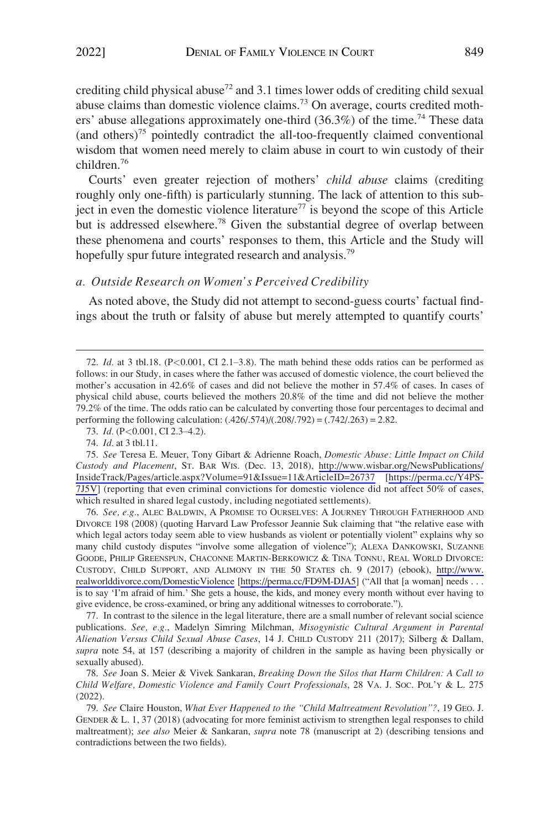<span id="page-14-0"></span>crediting child physical abuse<sup>72</sup> and 3.1 times lower odds of crediting child sexual abuse claims than domestic violence claims.73 On average, courts credited mothers' abuse allegations approximately one-third  $(36.3\%)$  of the time.<sup>74</sup> These data (and others)<sup>75</sup> pointedly contradict the all-too-frequently claimed conventional wisdom that women need merely to claim abuse in court to win custody of their children.76

Courts' even greater rejection of mothers' *child abuse* claims (crediting roughly only one-fifth) is particularly stunning. The lack of attention to this subject in even the domestic violence literature<sup>77</sup> is beyond the scope of this Article but is addressed elsewhere.<sup>78</sup> Given the substantial degree of overlap between these phenomena and courts' responses to them, this Article and the Study will hopefully spur future integrated research and analysis.<sup>79</sup>

# *a. Outside Research on Women's Perceived Credibility*

As noted above, the Study did not attempt to second-guess courts' factual findings about the truth or falsity of abuse but merely attempted to quantify courts'

76. See, e.g., ALEC BALDWIN, A PROMISE TO OURSELVES: A JOURNEY THROUGH FATHERHOOD AND DIVORCE 198 (2008) (quoting Harvard Law Professor Jeannie Suk claiming that "the relative ease with which legal actors today seem able to view husbands as violent or potentially violent" explains why so many child custody disputes "involve some allegation of violence"); ALEXA DANKOWSKI, SUZANNE GOODE, PHILIP GREENSPUN, CHACONNE MARTIN-BERKOWICZ & TINA TONNU, REAL WORLD DIVORCE: CUSTODY, CHILD SUPPORT, AND ALIMONY IN THE 50 STATES ch. 9 (2017) (ebook), [http://www.](http://www.realworlddivorce.com/DomesticViolence)  [realworlddivorce.com/DomesticViolence](http://www.realworlddivorce.com/DomesticViolence) [\[https://perma.cc/FD9M-DJA5](https://perma.cc/FD9M-DJA5)] ("All that [a woman] needs . . . is to say 'I'm afraid of him.' She gets a house, the kids, and money every month without ever having to give evidence, be cross-examined, or bring any additional witnesses to corroborate.").

77. In contrast to the silence in the legal literature, there are a small number of relevant social science publications. *See, e.g.*, Madelyn Simring Milchman, *Misogynistic Cultural Argument in Parental Alienation Versus Child Sexual Abuse Cases*, 14 J. CHILD CUSTODY 211 (2017); Silberg & Dallam, *supra* note 54, at 157 (describing a majority of children in the sample as having been physically or sexually abused).

78. *See* Joan S. Meier & Vivek Sankaran, *Breaking Down the Silos that Harm Children: A Call to Child Welfare, Domestic Violence and Family Court Professionals*, 28 VA. J. SOC. POL'Y & L. 275 (2022).

79. *See* Claire Houston, *What Ever Happened to the "Child Maltreatment Revolution"?*, 19 GEO. J. GENDER & L. 1, 37 (2018) (advocating for more feminist activism to strengthen legal responses to child maltreatment); *see also* Meier & Sankaran, *supra* note 78 (manuscript at 2) (describing tensions and contradictions between the two fields).

<sup>72.</sup> *Id.* at 3 tbl.18. (P*<*0.001, CI 2.1–3.8). The math behind these odds ratios can be performed as follows: in our Study, in cases where the father was accused of domestic violence, the court believed the mother's accusation in 42.6% of cases and did not believe the mother in 57.4% of cases. In cases of physical child abuse, courts believed the mothers 20.8% of the time and did not believe the mother 79.2% of the time. The odds ratio can be calculated by converting those four percentages to decimal and performing the following calculation: (.426/.574)/(.208/.792) = (.742/.263) = 2.82.

<sup>73.</sup> *Id.* (P*<*0.001, CI 2.3–4.2).

<sup>74.</sup> *Id.* at 3 tbl.11.

*See* Teresa E. Meuer, Tony Gibart & Adrienne Roach, *Domestic Abuse: Little Impact on Child*  75. *Custody and Placement*, ST. BAR WIS. (Dec. 13, 2018), [http://www.wisbar.org/NewsPublications/](http://www.wisbar.org/NewsPublications/InsideTrack/Pages/article.aspx?Volume=91&Issue=11&ArticleID=26737)  [InsideTrack/Pages/article.aspx?Volume=91&Issue=11&ArticleID=26737](http://www.wisbar.org/NewsPublications/InsideTrack/Pages/article.aspx?Volume=91&Issue=11&ArticleID=26737) [[https://perma.cc/Y4PS-](https://perma.cc/Y4PS-7J5V)[7J5V](https://perma.cc/Y4PS-7J5V)] (reporting that even criminal convictions for domestic violence did not affect 50% of cases, which resulted in shared legal custody, including negotiated settlements).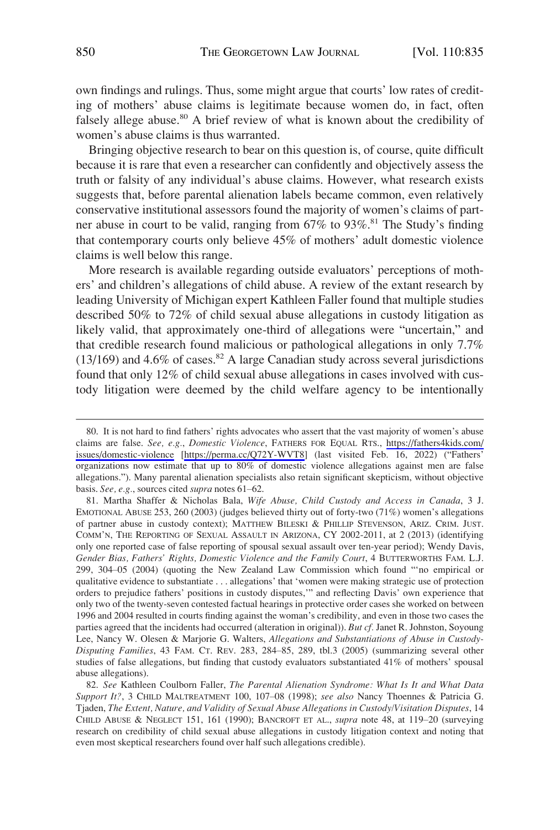own findings and rulings. Thus, some might argue that courts' low rates of crediting of mothers' abuse claims is legitimate because women do, in fact, often falsely allege abuse.<sup>80</sup> A brief review of what is known about the credibility of women's abuse claims is thus warranted.

Bringing objective research to bear on this question is, of course, quite difficult because it is rare that even a researcher can confidently and objectively assess the truth or falsity of any individual's abuse claims. However, what research exists suggests that, before parental alienation labels became common, even relatively conservative institutional assessors found the majority of women's claims of partner abuse in court to be valid, ranging from  $67\%$  to  $93\%$ .<sup>81</sup> The Study's finding that contemporary courts only believe 45% of mothers' adult domestic violence claims is well below this range.

More research is available regarding outside evaluators' perceptions of mothers' and children's allegations of child abuse. A review of the extant research by leading University of Michigan expert Kathleen Faller found that multiple studies described 50% to 72% of child sexual abuse allegations in custody litigation as likely valid, that approximately one-third of allegations were "uncertain," and that credible research found malicious or pathological allegations in only 7.7% (13/169) and 4.6% of cases. $82$  A large Canadian study across several jurisdictions found that only 12% of child sexual abuse allegations in cases involved with custody litigation were deemed by the child welfare agency to be intentionally

<sup>80.</sup> It is not hard to find fathers' rights advocates who assert that the vast majority of women's abuse claims are false. *See, e.g.*, *Domestic Violence*, FATHERS FOR EQUAL RTS., [https://fathers4kids.com/](https://fathers4kids.com/issues/domestic-violence)  [issues/domestic-violence](https://fathers4kids.com/issues/domestic-violence) [<https://perma.cc/Q72Y-WVT8>] (last visited Feb. 16, 2022) ("Fathers' organizations now estimate that up to 80% of domestic violence allegations against men are false allegations."). Many parental alienation specialists also retain significant skepticism, without objective basis. *See, e.g.*, sources cited *supra* notes 61–62.

<sup>81.</sup> Martha Shaffer & Nicholas Bala, *Wife Abuse, Child Custody and Access in Canada*, 3 J. EMOTIONAL ABUSE 253, 260 (2003) (judges believed thirty out of forty-two (71%) women's allegations of partner abuse in custody context); MATTHEW BILESKI & PHILLIP STEVENSON, ARIZ. CRIM. JUST. COMM'N, THE REPORTING OF SEXUAL ASSAULT IN ARIZONA, CY 2002-2011, at 2 (2013) (identifying only one reported case of false reporting of spousal sexual assault over ten-year period); Wendy Davis, *Gender Bias, Fathers' Rights, Domestic Violence and the Family Court*, 4 BUTTERWORTHS FAM. L.J. 299, 304–05 (2004) (quoting the New Zealand Law Commission which found "'no empirical or qualitative evidence to substantiate . . . allegations' that 'women were making strategic use of protection orders to prejudice fathers' positions in custody disputes,'" and reflecting Davis' own experience that only two of the twenty-seven contested factual hearings in protective order cases she worked on between 1996 and 2004 resulted in courts finding against the woman's credibility, and even in those two cases the parties agreed that the incidents had occurred (alteration in original)). *But cf.* Janet R. Johnston, Soyoung Lee, Nancy W. Olesen & Marjorie G. Walters, *Allegations and Substantiations of Abuse in Custody-Disputing Families*, 43 FAM. CT. REV. 283, 284–85, 289, tbl.3 (2005) (summarizing several other studies of false allegations, but finding that custody evaluators substantiated 41% of mothers' spousal abuse allegations).

<sup>82.</sup> *See* Kathleen Coulborn Faller, *The Parental Alienation Syndrome: What Is It and What Data Support It?*, 3 CHILD MALTREATMENT 100, 107–08 (1998); *see also* Nancy Thoennes & Patricia G. Tjaden, *The Extent, Nature, and Validity of Sexual Abuse Allegations in Custody/Visitation Disputes*, 14 CHILD ABUSE & NEGLECT 151, 161 (1990); BANCROFT ET AL., *supra* note 48, at 119–20 (surveying research on credibility of child sexual abuse allegations in custody litigation context and noting that even most skeptical researchers found over half such allegations credible).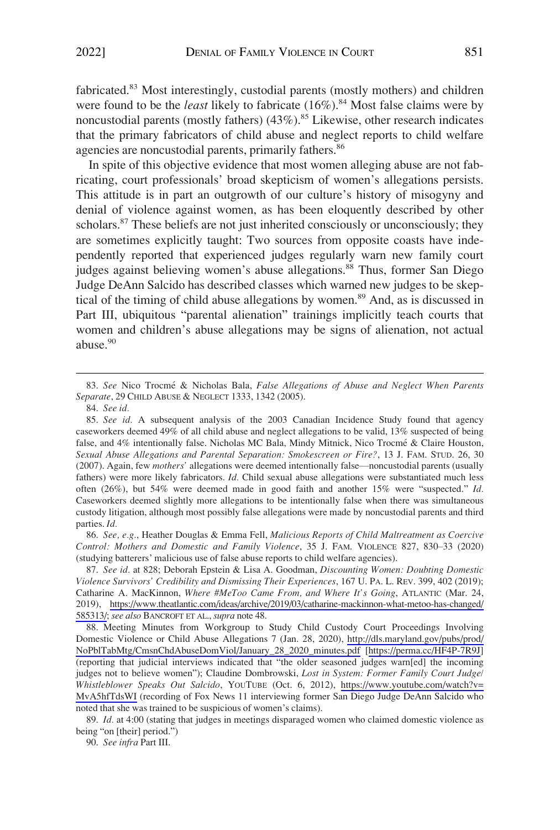fabricated.83 Most interestingly, custodial parents (mostly mothers) and children were found to be the *least* likely to fabricate (16%).<sup>84</sup> Most false claims were by noncustodial parents (mostly fathers)  $(43\%)$ .<sup>85</sup> Likewise, other research indicates that the primary fabricators of child abuse and neglect reports to child welfare agencies are noncustodial parents, primarily fathers.<sup>86</sup>

In spite of this objective evidence that most women alleging abuse are not fabricating, court professionals' broad skepticism of women's allegations persists. This attitude is in part an outgrowth of our culture's history of misogyny and denial of violence against women, as has been eloquently described by other scholars.<sup>87</sup> These beliefs are not just inherited consciously or unconsciously; they are sometimes explicitly taught: Two sources from opposite coasts have independently reported that experienced judges regularly warn new family court judges against believing women's abuse allegations.<sup>88</sup> Thus, former San Diego Judge DeAnn Salcido has described classes which warned new judges to be skeptical of the timing of child abuse allegations by women.<sup>89</sup> And, as is discussed in Part III, ubiquitous "parental alienation" trainings implicitly teach courts that women and children's abuse allegations may be signs of alienation, not actual abuse.<sup>90</sup>

86. *See, e.g.*, Heather Douglas & Emma Fell, *Malicious Reports of Child Maltreatment as Coercive Control: Mothers and Domestic and Family Violence*, 35 J. FAM. VIOLENCE 827, 830–33 (2020) (studying batterers' malicious use of false abuse reports to child welfare agencies).

*See id.* at 828; Deborah Epstein & Lisa A. Goodman, *Discounting Women: Doubting Domestic*  87. *Violence Survivors' Credibility and Dismissing Their Experiences*, 167 U. PA. L. REV. 399, 402 (2019); Catharine A. MacKinnon, *Where #MeToo Came From, and Where It's Going*, ATLANTIC (Mar. 24, 2019), [https://www.theatlantic.com/ideas/archive/2019/03/catharine-mackinnon-what-metoo-has-changed/](https://www.theatlantic.com/ideas/archive/2019/03/catharine-mackinnon-what-metoo-has-changed/585313/)  [585313/;](https://www.theatlantic.com/ideas/archive/2019/03/catharine-mackinnon-what-metoo-has-changed/585313/) *see also* BANCROFT ET AL., *supra* note 48.

88. Meeting Minutes from Workgroup to Study Child Custody Court Proceedings Involving Domestic Violence or Child Abuse Allegations 7 (Jan. 28, 2020), [http://dls.maryland.gov/pubs/prod/](http://dls.maryland.gov/pubs/prod/NoPblTabMtg/CmsnChdAbuseDomViol/January_28_2020_minutes.pdf)  [NoPblTabMtg/CmsnChdAbuseDomViol/January\\_28\\_2020\\_minutes.pdf](http://dls.maryland.gov/pubs/prod/NoPblTabMtg/CmsnChdAbuseDomViol/January_28_2020_minutes.pdf) [<https://perma.cc/HF4P-7R9J>] (reporting that judicial interviews indicated that "the older seasoned judges warn[ed] the incoming judges not to believe women"); Claudine Dombrowski, *Lost in System: Former Family Court Judge/ Whistleblower Speaks Out Salcido*, YOUTUBE (Oct. 6, 2012), [https://www.youtube.com/watch?v=](https://www.youtube.com/watch?v=MvA5hfTdsWI)  [MvA5hfTdsWI](https://www.youtube.com/watch?v=MvA5hfTdsWI) (recording of Fox News 11 interviewing former San Diego Judge DeAnn Salcido who noted that she was trained to be suspicious of women's claims).

89. *Id.* at 4:00 (stating that judges in meetings disparaged women who claimed domestic violence as being "on [their] period.")

90. *See infra* Part III.

<sup>83.</sup> *See* Nico Trocme´ & Nicholas Bala, *False Allegations of Abuse and Neglect When Parents Separate*, 29 CHILD ABUSE & NEGLECT 1333, 1342 (2005).

<sup>84.</sup> *See id.* 

<sup>85.</sup> *See id.* A subsequent analysis of the 2003 Canadian Incidence Study found that agency caseworkers deemed 49% of all child abuse and neglect allegations to be valid, 13% suspected of being false, and 4% intentionally false. Nicholas MC Bala, Mindy Mitnick, Nico Trocmé & Claire Houston, *Sexual Abuse Allegations and Parental Separation: Smokescreen or Fire?*, 13 J. FAM. STUD. 26, 30 (2007). Again, few *mothers'* allegations were deemed intentionally false—noncustodial parents (usually fathers) were more likely fabricators. *Id.* Child sexual abuse allegations were substantiated much less often (26%), but 54% were deemed made in good faith and another 15% were "suspected." *Id.*  Caseworkers deemed slightly more allegations to be intentionally false when there was simultaneous custody litigation, although most possibly false allegations were made by noncustodial parents and third parties. *Id.*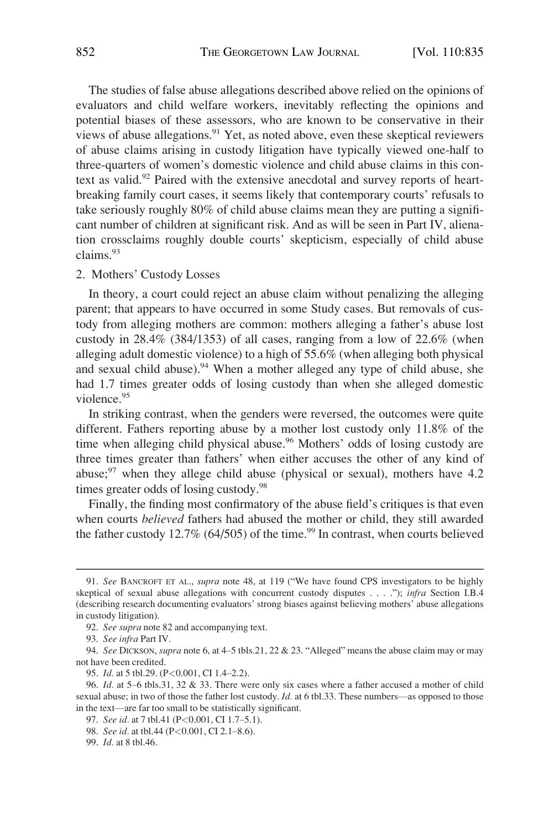<span id="page-17-0"></span>The studies of false abuse allegations described above relied on the opinions of evaluators and child welfare workers, inevitably reflecting the opinions and potential biases of these assessors, who are known to be conservative in their views of abuse allegations.<sup>91</sup> Yet, as noted above, even these skeptical reviewers of abuse claims arising in custody litigation have typically viewed one-half to three-quarters of women's domestic violence and child abuse claims in this context as valid.<sup>92</sup> Paired with the extensive anecdotal and survey reports of heartbreaking family court cases, it seems likely that contemporary courts' refusals to take seriously roughly 80% of child abuse claims mean they are putting a significant number of children at significant risk. And as will be seen in Part IV, alienation crossclaims roughly double courts' skepticism, especially of child abuse claims.<sup>93</sup>

2. Mothers' Custody Losses

In theory, a court could reject an abuse claim without penalizing the alleging parent; that appears to have occurred in some Study cases. But removals of custody from alleging mothers are common: mothers alleging a father's abuse lost custody in 28.4% (384/1353) of all cases, ranging from a low of 22.6% (when alleging adult domestic violence) to a high of 55.6% (when alleging both physical and sexual child abuse).<sup>94</sup> When a mother alleged any type of child abuse, she had 1.7 times greater odds of losing custody than when she alleged domestic violence.<sup>95</sup>

In striking contrast, when the genders were reversed, the outcomes were quite different. Fathers reporting abuse by a mother lost custody only 11.8% of the time when alleging child physical abuse.<sup>96</sup> Mothers' odds of losing custody are three times greater than fathers' when either accuses the other of any kind of abuse; $97$  when they allege child abuse (physical or sexual), mothers have 4.2 times greater odds of losing custody.<sup>98</sup>

Finally, the finding most confirmatory of the abuse field's critiques is that even when courts *believed* fathers had abused the mother or child, they still awarded the father custody 12.7% (64/505) of the time.<sup>99</sup> In contrast, when courts believed

<sup>91.</sup> *See* BANCROFT ET AL., *supra* note 48, at 119 ("We have found CPS investigators to be highly skeptical of sexual abuse allegations with concurrent custody disputes . . . ."); *infra* Section I.B.4 (describing research documenting evaluators' strong biases against believing mothers' abuse allegations in custody litigation).

<sup>92.</sup> *See supra* note 82 and accompanying text.

<sup>93.</sup> *See infra* Part IV.

<sup>94.</sup> *See* DICKSON, *supra* note 6, at 4–5 tbls.21, 22 & 23. "Alleged" means the abuse claim may or may not have been credited.

<sup>95.</sup> *Id.* at 5 tbl.29. (P*<*0.001, CI 1.4–2.2).

<sup>96.</sup> *Id.* at 5–6 tbls.31, 32 & 33. There were only six cases where a father accused a mother of child sexual abuse; in two of those the father lost custody. *Id.* at 6 tbl.33. These numbers—as opposed to those in the text—are far too small to be statistically significant.

<sup>97.</sup> *See id.* at 7 tbl.41 (P*<*0.001, CI 1.7–5.1).

<sup>98.</sup> *See id.* at tbl.44 (P*<*0.001, CI 2.1–8.6).

<sup>99.</sup> *Id.* at 8 tbl.46.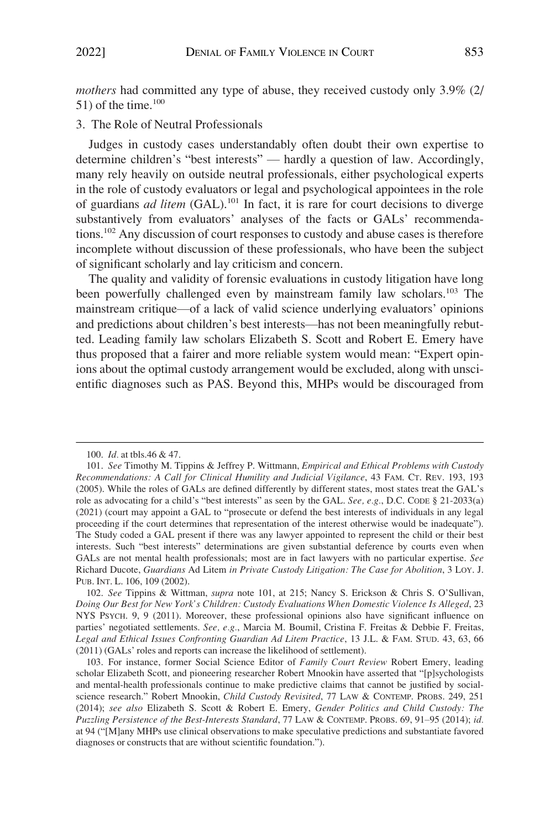<span id="page-18-0"></span>*mothers* had committed any type of abuse, they received custody only 3.9% (2/ 51) of the time. $100$ 

3. The Role of Neutral Professionals

Judges in custody cases understandably often doubt their own expertise to determine children's "best interests" — hardly a question of law. Accordingly, many rely heavily on outside neutral professionals, either psychological experts in the role of custody evaluators or legal and psychological appointees in the role of guardians *ad litem* (GAL).<sup>101</sup> In fact, it is rare for court decisions to diverge substantively from evaluators' analyses of the facts or GALs' recommendations.102 Any discussion of court responses to custody and abuse cases is therefore incomplete without discussion of these professionals, who have been the subject of significant scholarly and lay criticism and concern.

The quality and validity of forensic evaluations in custody litigation have long been powerfully challenged even by mainstream family law scholars.<sup>103</sup> The mainstream critique—of a lack of valid science underlying evaluators' opinions and predictions about children's best interests—has not been meaningfully rebutted. Leading family law scholars Elizabeth S. Scott and Robert E. Emery have thus proposed that a fairer and more reliable system would mean: "Expert opinions about the optimal custody arrangement would be excluded, along with unscientific diagnoses such as PAS. Beyond this, MHPs would be discouraged from

<sup>100.</sup> *Id.* at tbls.46 & 47.

<sup>101.</sup> *See* Timothy M. Tippins & Jeffrey P. Wittmann, *Empirical and Ethical Problems with Custody Recommendations: A Call for Clinical Humility and Judicial Vigilance*, 43 FAM. CT. REV. 193, 193 (2005). While the roles of GALs are defined differently by different states, most states treat the GAL's role as advocating for a child's "best interests" as seen by the GAL. *See, e.g.*, D.C. CODE § 21-2033(a) (2021) (court may appoint a GAL to "prosecute or defend the best interests of individuals in any legal proceeding if the court determines that representation of the interest otherwise would be inadequate"). The Study coded a GAL present if there was any lawyer appointed to represent the child or their best interests. Such "best interests" determinations are given substantial deference by courts even when GALs are not mental health professionals; most are in fact lawyers with no particular expertise. *See*  Richard Ducote, *Guardians* Ad Litem *in Private Custody Litigation: The Case for Abolition*, 3 LOY. J. PUB. INT. L. 106, 109 (2002).

<sup>102.</sup> *See* Tippins & Wittman, *supra* note 101, at 215; Nancy S. Erickson & Chris S. O'Sullivan, *Doing Our Best for New York's Children: Custody Evaluations When Domestic Violence Is Alleged*, 23 NYS PSYCH. 9, 9 (2011). Moreover, these professional opinions also have significant influence on parties' negotiated settlements. *See, e.g.*, Marcia M. Boumil, Cristina F. Freitas & Debbie F. Freitas, *Legal and Ethical Issues Confronting Guardian Ad Litem Practice*, 13 J.L. & FAM. STUD. 43, 63, 66 (2011) (GALs' roles and reports can increase the likelihood of settlement).

<sup>103.</sup> For instance, former Social Science Editor of *Family Court Review* Robert Emery, leading scholar Elizabeth Scott, and pioneering researcher Robert Mnookin have asserted that "[p]sychologists and mental-health professionals continue to make predictive claims that cannot be justified by socialscience research." Robert Mnookin, *Child Custody Revisited*, 77 LAW & CONTEMP. PROBS. 249, 251 (2014); *see also* Elizabeth S. Scott & Robert E. Emery, *Gender Politics and Child Custody: The Puzzling Persistence of the Best-Interests Standard*, 77 LAW & CONTEMP. PROBS. 69, 91–95 (2014); *id.*  at 94 ("[M]any MHPs use clinical observations to make speculative predictions and substantiate favored diagnoses or constructs that are without scientific foundation.").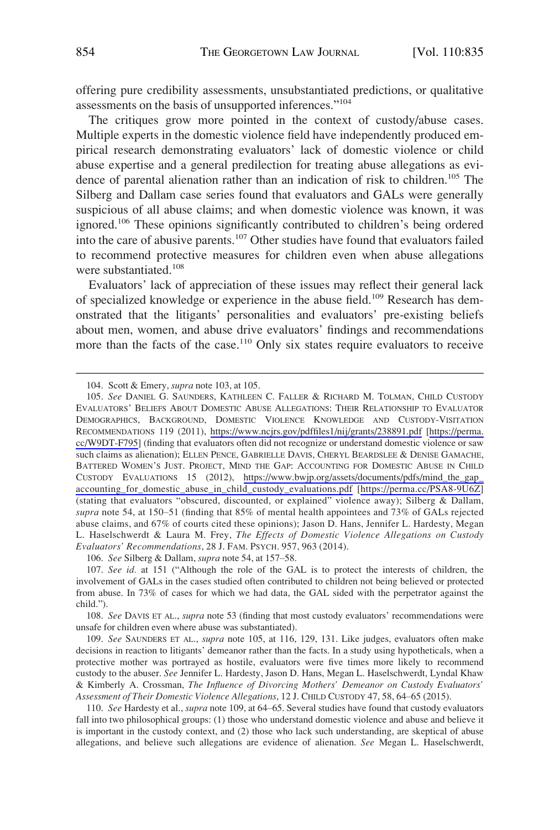offering pure credibility assessments, unsubstantiated predictions, or qualitative assessments on the basis of unsupported inferences."<sup>104</sup>

The critiques grow more pointed in the context of custody/abuse cases. Multiple experts in the domestic violence field have independently produced empirical research demonstrating evaluators' lack of domestic violence or child abuse expertise and a general predilection for treating abuse allegations as evidence of parental alienation rather than an indication of risk to children.<sup>105</sup> The Silberg and Dallam case series found that evaluators and GALs were generally suspicious of all abuse claims; and when domestic violence was known, it was ignored.<sup>106</sup> These opinions significantly contributed to children's being ordered into the care of abusive parents.107 Other studies have found that evaluators failed to recommend protective measures for children even when abuse allegations were substantiated.<sup>108</sup>

Evaluators' lack of appreciation of these issues may reflect their general lack of specialized knowledge or experience in the abuse field.<sup>109</sup> Research has demonstrated that the litigants' personalities and evaluators' pre-existing beliefs about men, women, and abuse drive evaluators' findings and recommendations more than the facts of the case.<sup>110</sup> Only six states require evaluators to receive

106. *See* Silberg & Dallam, *supra* note 54, at 157–58.

<sup>104.</sup> Scott & Emery, *supra* note 103, at 105.

<sup>105.</sup> See DANIEL G. SAUNDERS, KATHLEEN C. FALLER & RICHARD M. TOLMAN, CHILD CUSTODY EVALUATORS' BELIEFS ABOUT DOMESTIC ABUSE ALLEGATIONS: THEIR RELATIONSHIP TO EVALUATOR DEMOGRAPHICS, BACKGROUND, DOMESTIC VIOLENCE KNOWLEDGE AND CUSTODY-VISITATION RECOMMENDATIONS 119 (2011), <https://www.ncjrs.gov/pdffiles1/nij/grants/238891.pdf> [[https://perma.](https://perma.cc/W9DT-F795)  [cc/W9DT-F795\]](https://perma.cc/W9DT-F795) (finding that evaluators often did not recognize or understand domestic violence or saw such claims as alienation); ELLEN PENCE, GABRIELLE DAVIS, CHERYL BEARDSLEE & DENISE GAMACHE, BATTERED WOMEN'S JUST. PROJECT, MIND THE GAP: ACCOUNTING FOR DOMESTIC ABUSE IN CHILD CUSTODY EVALUATIONS 15 (2012), [https://www.bwjp.org/assets/documents/pdfs/mind\\_the\\_gap\\_](https://www.bwjp.org/assets/documents/pdfs/mind_the_gap_accounting_for_domestic_abuse_in_child_custody_evaluations.pdf)  [accounting\\_for\\_domestic\\_abuse\\_in\\_child\\_custody\\_evaluations.pdf](https://www.bwjp.org/assets/documents/pdfs/mind_the_gap_accounting_for_domestic_abuse_in_child_custody_evaluations.pdf) [<https://perma.cc/PSA8-9U6Z>] (stating that evaluators "obscured, discounted, or explained" violence away); Silberg & Dallam, *supra* note 54, at 150–51 (finding that 85% of mental health appointees and 73% of GALs rejected abuse claims, and 67% of courts cited these opinions); Jason D. Hans, Jennifer L. Hardesty, Megan L. Haselschwerdt & Laura M. Frey, *The Effects of Domestic Violence Allegations on Custody Evaluators' Recommendations*, 28 J. FAM. PSYCH. 957, 963 (2014).

<sup>107.</sup> *See id.* at 151 ("Although the role of the GAL is to protect the interests of children, the involvement of GALs in the cases studied often contributed to children not being believed or protected from abuse. In 73% of cases for which we had data, the GAL sided with the perpetrator against the child.").

<sup>108.</sup> *See* DAVIS ET AL., *supra* note 53 (finding that most custody evaluators' recommendations were unsafe for children even where abuse was substantiated).

<sup>109.</sup> *See* SAUNDERS ET AL., *supra* note 105, at 116, 129, 131. Like judges, evaluators often make decisions in reaction to litigants' demeanor rather than the facts. In a study using hypotheticals, when a protective mother was portrayed as hostile, evaluators were five times more likely to recommend custody to the abuser. *See* Jennifer L. Hardesty, Jason D. Hans, Megan L. Haselschwerdt, Lyndal Khaw & Kimberly A. Crossman, *The Influence of Divorcing Mothers' Demeanor on Custody Evaluators' Assessment of Their Domestic Violence Allegations*, 12 J. CHILD CUSTODY 47, 58, 64–65 (2015).

<sup>110.</sup> *See* Hardesty et al., *supra* note 109, at 64–65. Several studies have found that custody evaluators fall into two philosophical groups: (1) those who understand domestic violence and abuse and believe it is important in the custody context, and (2) those who lack such understanding, are skeptical of abuse allegations, and believe such allegations are evidence of alienation. *See* Megan L. Haselschwerdt,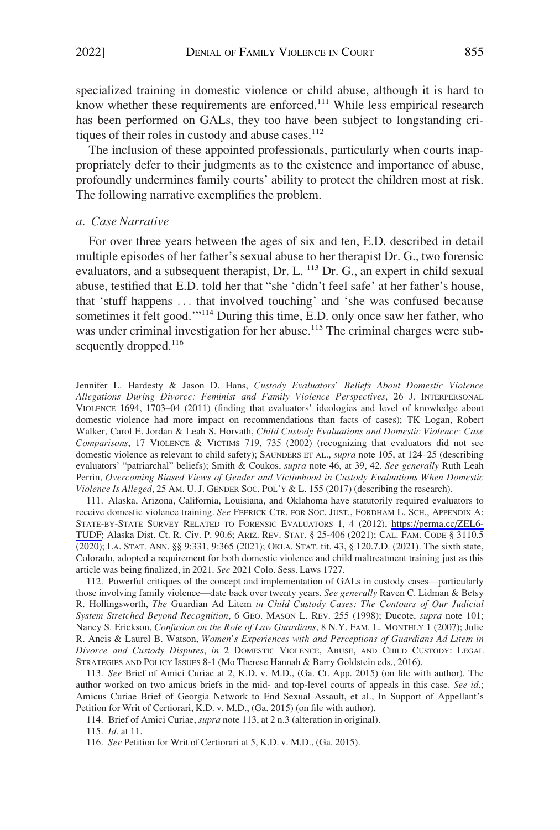<span id="page-20-0"></span>specialized training in domestic violence or child abuse, although it is hard to know whether these requirements are enforced.<sup>111</sup> While less empirical research has been performed on GALs, they too have been subject to longstanding critiques of their roles in custody and abuse cases.<sup>112</sup>

The inclusion of these appointed professionals, particularly when courts inappropriately defer to their judgments as to the existence and importance of abuse, profoundly undermines family courts' ability to protect the children most at risk. The following narrative exemplifies the problem.

## *a. Case Narrative*

For over three years between the ages of six and ten, E.D. described in detail multiple episodes of her father's sexual abuse to her therapist Dr. G., two forensic evaluators, and a subsequent therapist, Dr. L. <sup>113</sup> Dr. G., an expert in child sexual abuse, testified that E.D. told her that "she 'didn't feel safe' at her father's house, that 'stuff happens . . . that involved touching' and 'she was confused because sometimes it felt good.'"114 During this time, E.D. only once saw her father, who was under criminal investigation for her abuse.<sup>115</sup> The criminal charges were subsequently dropped.<sup>116</sup>

Jennifer L. Hardesty & Jason D. Hans, *Custody Evaluators' Beliefs About Domestic Violence Allegations During Divorce: Feminist and Family Violence Perspectives*, 26 J. INTERPERSONAL VIOLENCE 1694, 1703–04 (2011) (finding that evaluators' ideologies and level of knowledge about domestic violence had more impact on recommendations than facts of cases); TK Logan, Robert Walker, Carol E. Jordan & Leah S. Horvath, *Child Custody Evaluations and Domestic Violence: Case Comparisons*, 17 VIOLENCE & VICTIMS 719, 735 (2002) (recognizing that evaluators did not see domestic violence as relevant to child safety); SAUNDERS ET AL., *supra* note 105, at 124–25 (describing evaluators' "patriarchal" beliefs); Smith & Coukos, *supra* note 46, at 39, 42. *See generally* Ruth Leah Perrin, *Overcoming Biased Views of Gender and Victimhood in Custody Evaluations When Domestic Violence Is Alleged*, 25 AM. U. J. GENDER SOC. POL'Y & L. 155 (2017) (describing the research).

111. Alaska, Arizona, California, Louisiana, and Oklahoma have statutorily required evaluators to receive domestic violence training. *See* FEERICK CTR. FOR SOC. JUST., FORDHAM L. SCH., APPENDIX A: STATE-BY-STATE SURVEY RELATED TO FORENSIC EVALUATORS 1, 4 (2012), [https://perma.cc/ZEL6-](https://perma.cc/ZEL6-TUDF)  [TUDF](https://perma.cc/ZEL6-TUDF); Alaska Dist. Ct. R. Civ. P. 90.6; ARIZ. REV. STAT. § 25-406 (2021); CAL. FAM. CODE § 3110.5 (2020); LA. STAT. ANN. §§ 9:331, 9:365 (2021); OKLA. STAT. tit. 43, § 120.7.D. (2021). The sixth state, Colorado, adopted a requirement for both domestic violence and child maltreatment training just as this article was being finalized, in 2021. *See* 2021 Colo. Sess. Laws 1727.

112. Powerful critiques of the concept and implementation of GALs in custody cases—particularly those involving family violence—date back over twenty years. *See generally* Raven C. Lidman & Betsy R. Hollingsworth, *The* Guardian Ad Litem *in Child Custody Cases: The Contours of Our Judicial System Stretched Beyond Recognition*, 6 GEO. MASON L. REV. 255 (1998); Ducote, *supra* note 101; Nancy S. Erickson, *Confusion on the Role of Law Guardians*, 8 N.Y. FAM. L. MONTHLY 1 (2007); Julie R. Ancis & Laurel B. Watson, *Women's Experiences with and Perceptions of Guardians Ad Litem in Divorce and Custody Disputes*, *in* 2 DOMESTIC VIOLENCE, ABUSE, AND CHILD CUSTODY: LEGAL STRATEGIES AND POLICY ISSUES 8-1 (Mo Therese Hannah & Barry Goldstein eds., 2016).

113. *See* Brief of Amici Curiae at 2, K.D. v. M.D., (Ga. Ct. App. 2015) (on file with author). The author worked on two amicus briefs in the mid- and top-level courts of appeals in this case. *See id.*; Amicus Curiae Brief of Georgia Network to End Sexual Assault, et al., In Support of Appellant's Petition for Writ of Certiorari, K.D. v. M.D., (Ga. 2015) (on file with author).

114. Brief of Amici Curiae, *supra* note 113, at 2 n.3 (alteration in original).

115. *Id.* at 11.

<sup>116.</sup> *See* Petition for Writ of Certiorari at 5, K.D. v. M.D., (Ga. 2015).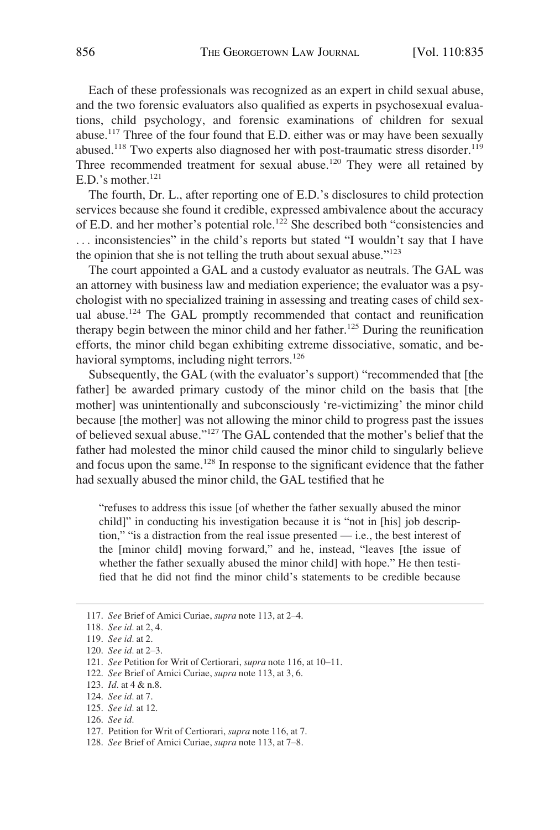Each of these professionals was recognized as an expert in child sexual abuse, and the two forensic evaluators also qualified as experts in psychosexual evaluations, child psychology, and forensic examinations of children for sexual abuse.117 Three of the four found that E.D. either was or may have been sexually abused.<sup>118</sup> Two experts also diagnosed her with post-traumatic stress disorder.<sup>119</sup> Three recommended treatment for sexual abuse.<sup>120</sup> They were all retained by E.D.'s mother. $^{121}$ 

The fourth, Dr. L., after reporting one of E.D.'s disclosures to child protection services because she found it credible, expressed ambivalence about the accuracy of E.D. and her mother's potential role.<sup>122</sup> She described both "consistencies and . . . inconsistencies" in the child's reports but stated "I wouldn't say that I have the opinion that she is not telling the truth about sexual abuse." $123$ 

The court appointed a GAL and a custody evaluator as neutrals. The GAL was an attorney with business law and mediation experience; the evaluator was a psychologist with no specialized training in assessing and treating cases of child sexual abuse.<sup>124</sup> The GAL promptly recommended that contact and reunification therapy begin between the minor child and her father.<sup>125</sup> During the reunification efforts, the minor child began exhibiting extreme dissociative, somatic, and behavioral symptoms, including night terrors.<sup>126</sup>

Subsequently, the GAL (with the evaluator's support) "recommended that [the father] be awarded primary custody of the minor child on the basis that [the mother] was unintentionally and subconsciously 're-victimizing' the minor child because [the mother] was not allowing the minor child to progress past the issues of believed sexual abuse."127 The GAL contended that the mother's belief that the father had molested the minor child caused the minor child to singularly believe and focus upon the same.<sup>128</sup> In response to the significant evidence that the father had sexually abused the minor child, the GAL testified that he

"refuses to address this issue [of whether the father sexually abused the minor child]" in conducting his investigation because it is "not in [his] job description," "is a distraction from the real issue presented — i.e., the best interest of the [minor child] moving forward," and he, instead, "leaves [the issue of whether the father sexually abused the minor child] with hope." He then testified that he did not find the minor child's statements to be credible because

126. *See id.* 

128. *See* Brief of Amici Curiae, *supra* note 113, at 7–8.

<sup>117.</sup> *See* Brief of Amici Curiae, *supra* note 113, at 2–4.

<sup>118.</sup> *See id.* at 2, 4.

<sup>119.</sup> *See id.* at 2.

<sup>120.</sup> *See id.* at 2–3.

<sup>121.</sup> *See* Petition for Writ of Certiorari, *supra* note 116, at 10–11.

<sup>122.</sup> *See* Brief of Amici Curiae, *supra* note 113, at 3, 6.

<sup>123.</sup> *Id.* at 4 & n.8.

<sup>124.</sup> *See id.* at 7.

<sup>125.</sup> *See id.* at 12.

<sup>127.</sup> Petition for Writ of Certiorari, *supra* note 116, at 7.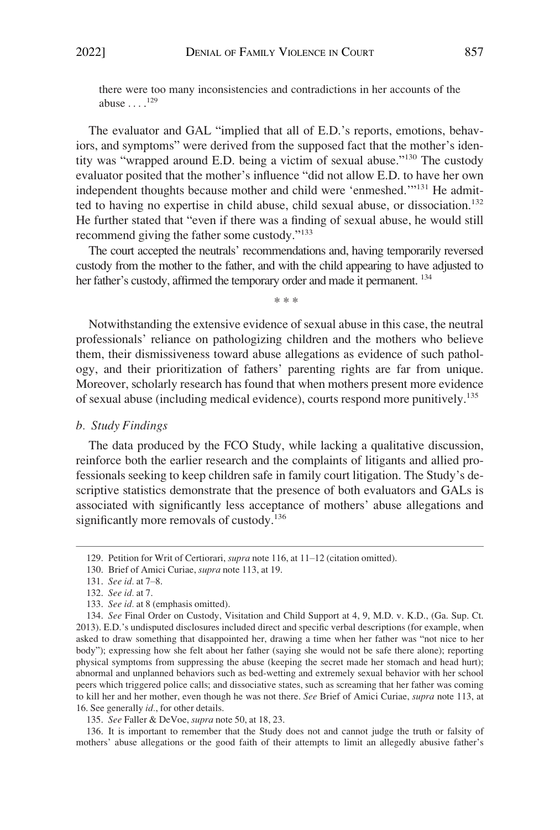<span id="page-22-0"></span>there were too many inconsistencies and contradictions in her accounts of the abuse  $\ldots$ .<sup>129</sup>

The evaluator and GAL "implied that all of E.D.'s reports, emotions, behaviors, and symptoms" were derived from the supposed fact that the mother's identity was "wrapped around E.D. being a victim of sexual abuse."130 The custody evaluator posited that the mother's influence "did not allow E.D. to have her own independent thoughts because mother and child were 'enmeshed.'"<sup>131</sup> He admitted to having no expertise in child abuse, child sexual abuse, or dissociation.<sup>132</sup> He further stated that "even if there was a finding of sexual abuse, he would still recommend giving the father some custody."<sup>133</sup>

The court accepted the neutrals' recommendations and, having temporarily reversed custody from the mother to the father, and with the child appearing to have adjusted to her father's custody, affirmed the temporary order and made it permanent. <sup>134</sup>

\* \* \*

Notwithstanding the extensive evidence of sexual abuse in this case, the neutral professionals' reliance on pathologizing children and the mothers who believe them, their dismissiveness toward abuse allegations as evidence of such pathology, and their prioritization of fathers' parenting rights are far from unique. Moreover, scholarly research has found that when mothers present more evidence of sexual abuse (including medical evidence), courts respond more punitively.135

#### *b. Study Findings*

The data produced by the FCO Study, while lacking a qualitative discussion, reinforce both the earlier research and the complaints of litigants and allied professionals seeking to keep children safe in family court litigation. The Study's descriptive statistics demonstrate that the presence of both evaluators and GALs is associated with significantly less acceptance of mothers' abuse allegations and significantly more removals of custody.<sup>136</sup>

136. It is important to remember that the Study does not and cannot judge the truth or falsity of mothers' abuse allegations or the good faith of their attempts to limit an allegedly abusive father's

<sup>129.</sup> Petition for Writ of Certiorari, *supra* note 116, at 11–12 (citation omitted).

<sup>130.</sup> Brief of Amici Curiae, *supra* note 113, at 19.

<sup>131.</sup> *See id.* at 7–8.

<sup>132.</sup> *See id.* at 7.

<sup>133.</sup> *See id.* at 8 (emphasis omitted).

<sup>134.</sup> *See* Final Order on Custody, Visitation and Child Support at 4, 9, M.D. v. K.D., (Ga. Sup. Ct. 2013). E.D.'s undisputed disclosures included direct and specific verbal descriptions (for example, when asked to draw something that disappointed her, drawing a time when her father was "not nice to her body"); expressing how she felt about her father (saying she would not be safe there alone); reporting physical symptoms from suppressing the abuse (keeping the secret made her stomach and head hurt); abnormal and unplanned behaviors such as bed-wetting and extremely sexual behavior with her school peers which triggered police calls; and dissociative states, such as screaming that her father was coming to kill her and her mother, even though he was not there. *See* Brief of Amici Curiae, *supra* note 113, at 16. See generally *id.*, for other details.

<sup>135.</sup> *See* Faller & DeVoe, *supra* note 50, at 18, 23.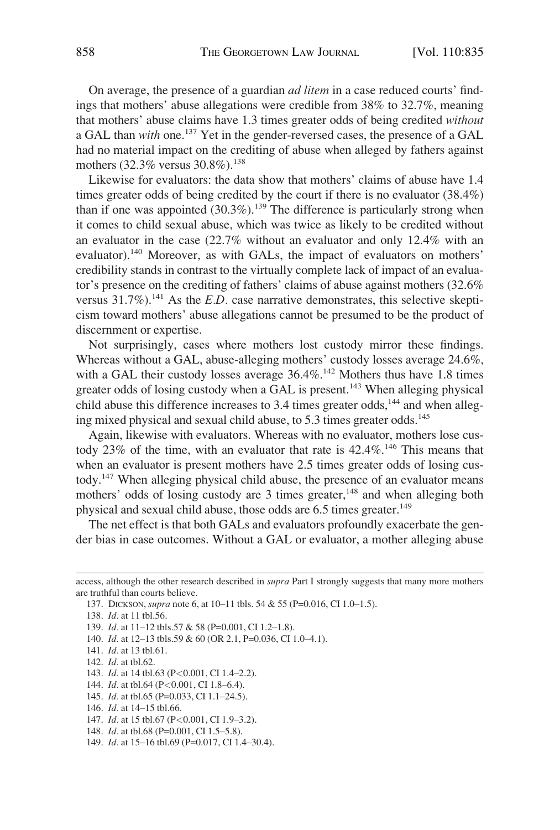On average, the presence of a guardian *ad litem* in a case reduced courts' findings that mothers' abuse allegations were credible from 38% to 32.7%, meaning that mothers' abuse claims have 1.3 times greater odds of being credited *without*  a GAL than *with* one.<sup>137</sup> Yet in the gender-reversed cases, the presence of a GAL had no material impact on the crediting of abuse when alleged by fathers against mothers  $(32.3\% \text{ versus } 30.8\%).^{138}$ 

Likewise for evaluators: the data show that mothers' claims of abuse have 1.4 times greater odds of being credited by the court if there is no evaluator (38.4%) than if one was appointed  $(30.3\%)$ .<sup>139</sup> The difference is particularly strong when it comes to child sexual abuse, which was twice as likely to be credited without an evaluator in the case (22.7% without an evaluator and only 12.4% with an evaluator).<sup>140</sup> Moreover, as with GALs, the impact of evaluators on mothers' credibility stands in contrast to the virtually complete lack of impact of an evaluator's presence on the crediting of fathers' claims of abuse against mothers (32.6% versus 31.7%).<sup>141</sup> As the *E.D.* case narrative demonstrates, this selective skepticism toward mothers' abuse allegations cannot be presumed to be the product of discernment or expertise.

Not surprisingly, cases where mothers lost custody mirror these findings. Whereas without a GAL, abuse-alleging mothers' custody losses average 24.6%, with a GAL their custody losses average  $36.4\%$ .<sup>142</sup> Mothers thus have 1.8 times greater odds of losing custody when a GAL is present.<sup>143</sup> When alleging physical child abuse this difference increases to  $3.4$  times greater odds,<sup>144</sup> and when alleging mixed physical and sexual child abuse, to 5.3 times greater odds.<sup>145</sup>

Again, likewise with evaluators. Whereas with no evaluator, mothers lose custody 23% of the time, with an evaluator that rate is  $42.4\%$ .<sup>146</sup> This means that when an evaluator is present mothers have 2.5 times greater odds of losing custody.147 When alleging physical child abuse, the presence of an evaluator means mothers' odds of losing custody are 3 times greater,<sup>148</sup> and when alleging both physical and sexual child abuse, those odds are 6.5 times greater.<sup>149</sup>

The net effect is that both GALs and evaluators profoundly exacerbate the gender bias in case outcomes. Without a GAL or evaluator, a mother alleging abuse

access, although the other research described in *supra* Part I strongly suggests that many more mothers are truthful than courts believe.

<sup>137.</sup> DICKSON, *supra* note 6, at 10–11 tbls. 54 & 55 (P=0.016, CI 1.0–1.5).

<sup>138.</sup> *Id.* at 11 tbl.56.

<sup>139.</sup> *Id.* at 11-12 tbls.57 & 58 (P=0.001, CI 1.2-1.8).

<sup>140.</sup> *Id.* at 12–13 tbls.59 & 60 (OR 2.1, P=0.036, CI 1.0–4.1).

<sup>141.</sup> *Id.* at 13 tbl.61.

<sup>142.</sup> *Id.* at tbl.62.

<sup>143.</sup> *Id.* at 14 tbl.63 (P*<*0.001, CI 1.4–2.2).

<sup>144.</sup> *Id.* at tbl.64 (P*<*0.001, CI 1.8–6.4).

<sup>145.</sup> *Id.* at tbl.65 (P=0.033, CI 1.1–24.5).

<sup>146.</sup> *Id.* at 14–15 tbl.66.

<sup>147.</sup> *Id.* at 15 tbl.67 (P*<*0.001, CI 1.9–3.2).

<sup>148.</sup> *Id.* at tbl.68 (P=0.001, CI 1.5–5.8).

<sup>149.</sup> *Id.* at 15–16 tbl.69 (P=0.017, CI 1.4–30.4).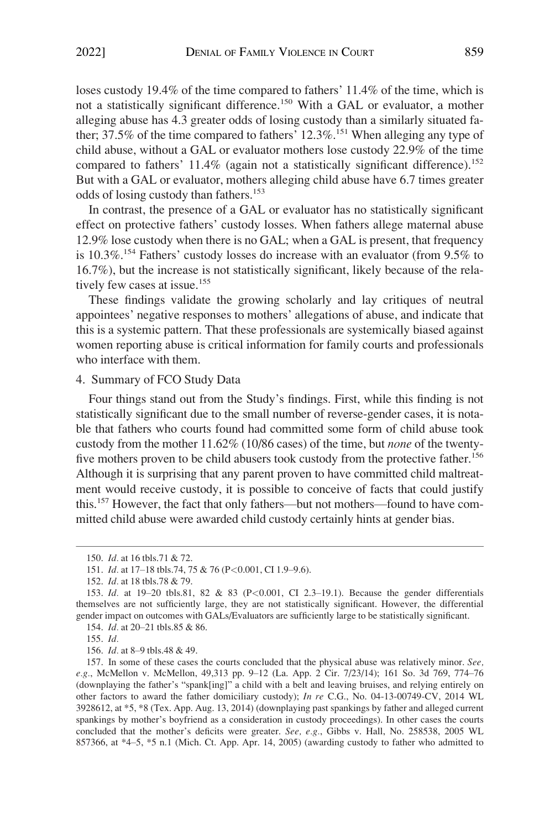<span id="page-24-0"></span>loses custody 19.4% of the time compared to fathers' 11.4% of the time, which is not a statistically significant difference.<sup>150</sup> With a GAL or evaluator, a mother alleging abuse has 4.3 greater odds of losing custody than a similarly situated father; 37.5% of the time compared to fathers'  $12.3\%$ <sup>151</sup> When alleging any type of child abuse, without a GAL or evaluator mothers lose custody 22.9% of the time compared to fathers'  $11.4\%$  (again not a statistically significant difference).<sup>152</sup> But with a GAL or evaluator, mothers alleging child abuse have 6.7 times greater odds of losing custody than fathers.<sup>153</sup>

In contrast, the presence of a GAL or evaluator has no statistically significant effect on protective fathers' custody losses. When fathers allege maternal abuse 12.9% lose custody when there is no GAL; when a GAL is present, that frequency is 10.3%.154 Fathers' custody losses do increase with an evaluator (from 9.5% to 16.7%), but the increase is not statistically significant, likely because of the relatively few cases at issue.<sup>155</sup>

These findings validate the growing scholarly and lay critiques of neutral appointees' negative responses to mothers' allegations of abuse, and indicate that this is a systemic pattern. That these professionals are systemically biased against women reporting abuse is critical information for family courts and professionals who interface with them.

# 4. Summary of FCO Study Data

Four things stand out from the Study's findings. First, while this finding is not statistically significant due to the small number of reverse-gender cases, it is notable that fathers who courts found had committed some form of child abuse took custody from the mother 11.62% (10/86 cases) of the time, but *none* of the twentyfive mothers proven to be child abusers took custody from the protective father.<sup>156</sup> Although it is surprising that any parent proven to have committed child maltreatment would receive custody, it is possible to conceive of facts that could justify this.157 However, the fact that only fathers—but not mothers—found to have committed child abuse were awarded child custody certainly hints at gender bias.

<sup>150.</sup> *Id.* at 16 tbls.71 & 72.

<sup>151.</sup> *Id.* at 17–18 tbls.74, 75 & 76 (P*<*0.001, CI 1.9–9.6).

<sup>152.</sup> *Id.* at 18 tbls.78 & 79.

<sup>153.</sup> *Id.* at 19–20 tbls.81, 82 & 83 (P*<*0.001, CI 2.3–19.1). Because the gender differentials themselves are not sufficiently large, they are not statistically significant. However, the differential gender impact on outcomes with GALs/Evaluators are sufficiently large to be statistically significant.

<sup>154.</sup> *Id.* at 20–21 tbls.85 & 86.

<sup>155.</sup> *Id.* 

<sup>156.</sup> *Id.* at 8–9 tbls.48 & 49.

<sup>157.</sup> In some of these cases the courts concluded that the physical abuse was relatively minor. *See, e.g.*, McMellon v. McMellon, 49,313 pp. 9–12 (La. App. 2 Cir. 7/23/14); 161 So. 3d 769, 774–76 (downplaying the father's "spank[ing]" a child with a belt and leaving bruises, and relying entirely on other factors to award the father domiciliary custody); *In re* C.G., No. 04-13-00749-CV, 2014 WL 3928612, at \*5, \*8 (Tex. App. Aug. 13, 2014) (downplaying past spankings by father and alleged current spankings by mother's boyfriend as a consideration in custody proceedings). In other cases the courts concluded that the mother's deficits were greater. *See, e.g.*, Gibbs v. Hall, No. 258538, 2005 WL 857366, at \*4–5, \*5 n.1 (Mich. Ct. App. Apr. 14, 2005) (awarding custody to father who admitted to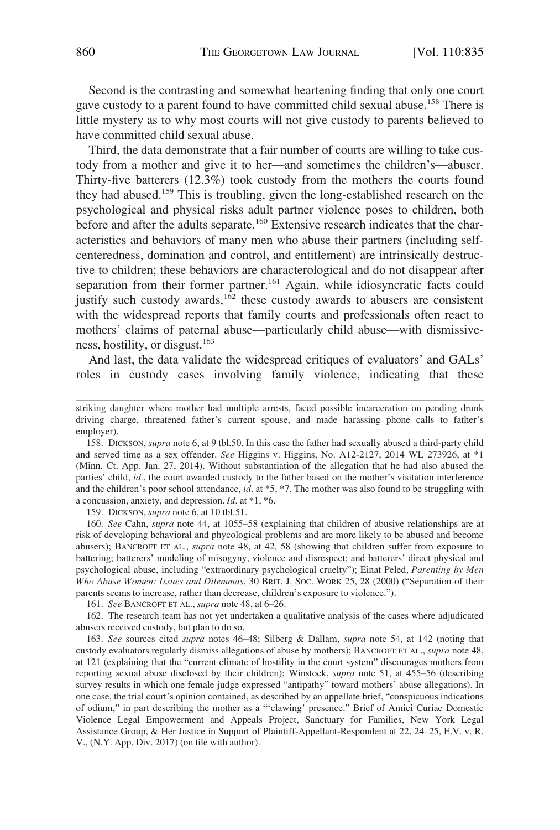Second is the contrasting and somewhat heartening finding that only one court gave custody to a parent found to have committed child sexual abuse.<sup>158</sup> There is little mystery as to why most courts will not give custody to parents believed to have committed child sexual abuse.

Third, the data demonstrate that a fair number of courts are willing to take custody from a mother and give it to her––and sometimes the children's––abuser. Thirty-five batterers (12.3%) took custody from the mothers the courts found they had abused.159 This is troubling, given the long-established research on the psychological and physical risks adult partner violence poses to children, both before and after the adults separate.<sup>160</sup> Extensive research indicates that the characteristics and behaviors of many men who abuse their partners (including selfcenteredness, domination and control, and entitlement) are intrinsically destructive to children; these behaviors are characterological and do not disappear after separation from their former partner.<sup>161</sup> Again, while idiosyncratic facts could justify such custody awards, $162$  these custody awards to abusers are consistent with the widespread reports that family courts and professionals often react to mothers' claims of paternal abuse—particularly child abuse—with dismissiveness, hostility, or disgust.<sup>163</sup>

And last, the data validate the widespread critiques of evaluators' and GALs' roles in custody cases involving family violence, indicating that these

158. DICKSON, *supra* note 6, at 9 tbl.50. In this case the father had sexually abused a third-party child and served time as a sex offender. *See* Higgins v. Higgins, No. A12-2127, 2014 WL 273926, at \*1 (Minn. Ct. App. Jan. 27, 2014). Without substantiation of the allegation that he had also abused the parties' child, *id.*, the court awarded custody to the father based on the mother's visitation interference and the children's poor school attendance, *id.* at \*5, \*7. The mother was also found to be struggling with a concussion, anxiety, and depression. *Id.* at \*1, \*6.

159. DICKSON, *supra* note 6, at 10 tbl.51.

160. *See* Cahn, *supra* note 44, at 1055–58 (explaining that children of abusive relationships are at risk of developing behavioral and phycological problems and are more likely to be abused and become abusers); BANCROFT ET AL., *supra* note 48, at 42, 58 (showing that children suffer from exposure to battering; batterers' modeling of misogyny, violence and disrespect; and batterers' direct physical and psychological abuse, including "extraordinary psychological cruelty"); Einat Peled, *Parenting by Men Who Abuse Women: Issues and Dilemmas*, 30 BRIT. J. SOC. WORK 25, 28 (2000) ("Separation of their parents seems to increase, rather than decrease, children's exposure to violence.").

161. *See* BANCROFT ET AL., *supra* note 48, at 6–26.

162. The research team has not yet undertaken a qualitative analysis of the cases where adjudicated abusers received custody, but plan to do so.

163. *See* sources cited *supra* notes 46–48; Silberg & Dallam, *supra* note 54, at 142 (noting that custody evaluators regularly dismiss allegations of abuse by mothers); BANCROFT ET AL., *supra* note 48, at 121 (explaining that the "current climate of hostility in the court system" discourages mothers from reporting sexual abuse disclosed by their children); Winstock, *supra* note 51, at 455–56 (describing survey results in which one female judge expressed "antipathy" toward mothers' abuse allegations). In one case, the trial court's opinion contained, as described by an appellate brief, "conspicuous indications of odium," in part describing the mother as a "'clawing' presence." Brief of Amici Curiae Domestic Violence Legal Empowerment and Appeals Project, Sanctuary for Families, New York Legal Assistance Group, & Her Justice in Support of Plaintiff-Appellant-Respondent at 22, 24–25, E.V. v. R. V., (N.Y. App. Div. 2017) (on file with author).

striking daughter where mother had multiple arrests, faced possible incarceration on pending drunk driving charge, threatened father's current spouse, and made harassing phone calls to father's employer).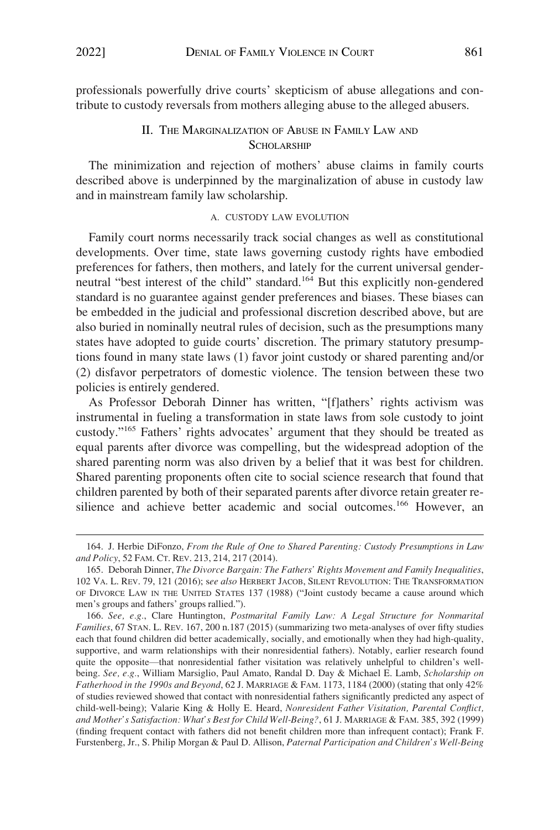<span id="page-26-0"></span>professionals powerfully drive courts' skepticism of abuse allegations and contribute to custody reversals from mothers alleging abuse to the alleged abusers.

# II. THE MARGINALIZATION OF ABUSE IN FAMILY LAW AND SCHOLARSHIP

The minimization and rejection of mothers' abuse claims in family courts described above is underpinned by the marginalization of abuse in custody law and in mainstream family law scholarship.

#### A. CUSTODY LAW EVOLUTION

Family court norms necessarily track social changes as well as constitutional developments. Over time, state laws governing custody rights have embodied preferences for fathers, then mothers, and lately for the current universal genderneutral "best interest of the child" standard.164 But this explicitly non-gendered standard is no guarantee against gender preferences and biases. These biases can be embedded in the judicial and professional discretion described above, but are also buried in nominally neutral rules of decision, such as the presumptions many states have adopted to guide courts' discretion. The primary statutory presumptions found in many state laws (1) favor joint custody or shared parenting and/or (2) disfavor perpetrators of domestic violence. The tension between these two policies is entirely gendered.

As Professor Deborah Dinner has written, "[f]athers' rights activism was instrumental in fueling a transformation in state laws from sole custody to joint custody."165 Fathers' rights advocates' argument that they should be treated as equal parents after divorce was compelling, but the widespread adoption of the shared parenting norm was also driven by a belief that it was best for children. Shared parenting proponents often cite to social science research that found that children parented by both of their separated parents after divorce retain greater resilience and achieve better academic and social outcomes.<sup>166</sup> However, an

<sup>164.</sup> J. Herbie DiFonzo, *From the Rule of One to Shared Parenting: Custody Presumptions in Law and Policy*, 52 FAM. CT. REV. 213, 214, 217 (2014).

<sup>165.</sup> Deborah Dinner, *The Divorce Bargain: The Fathers' Rights Movement and Family Inequalities*, 102 VA. L. REV. 79, 121 (2016); s*ee also* HERBERT JACOB, SILENT REVOLUTION: THE TRANSFORMATION OF DIVORCE LAW IN THE UNITED STATES 137 (1988) ("Joint custody became a cause around which men's groups and fathers' groups rallied.").

<sup>166.</sup> *See, e.g.*, Clare Huntington, *Postmarital Family Law: A Legal Structure for Nonmarital Families*, 67 STAN. L. REV. 167, 200 n.187 (2015) (summarizing two meta-analyses of over fifty studies each that found children did better academically, socially, and emotionally when they had high-quality, supportive, and warm relationships with their nonresidential fathers). Notably, earlier research found quite the opposite—that nonresidential father visitation was relatively unhelpful to children's wellbeing. *See, e.g.*, William Marsiglio, Paul Amato, Randal D. Day & Michael E. Lamb, *Scholarship on Fatherhood in the 1990s and Beyond*, 62 J. MARRIAGE & FAM. 1173, 1184 (2000) (stating that only 42% of studies reviewed showed that contact with nonresidential fathers significantly predicted any aspect of child-well-being); Valarie King & Holly E. Heard, *Nonresident Father Visitation, Parental Conflict, and Mother's Satisfaction: What's Best for Child Well-Being?*, 61 J. MARRIAGE & FAM. 385, 392 (1999) (finding frequent contact with fathers did not benefit children more than infrequent contact); Frank F. Furstenberg, Jr., S. Philip Morgan & Paul D. Allison, *Paternal Participation and Children's Well-Being*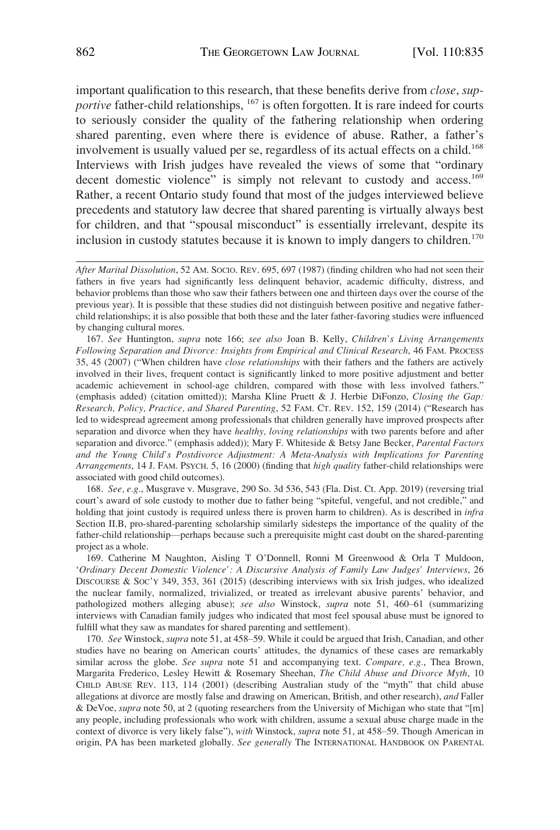important qualification to this research, that these benefits derive from *close*, *supportive* father-child relationships, <sup>167</sup> is often forgotten. It is rare indeed for courts to seriously consider the quality of the fathering relationship when ordering shared parenting, even where there is evidence of abuse. Rather, a father's involvement is usually valued per se, regardless of its actual effects on a child.<sup>168</sup> Interviews with Irish judges have revealed the views of some that "ordinary decent domestic violence" is simply not relevant to custody and access.<sup>169</sup> Rather, a recent Ontario study found that most of the judges interviewed believe precedents and statutory law decree that shared parenting is virtually always best for children, and that "spousal misconduct" is essentially irrelevant, despite its inclusion in custody statutes because it is known to imply dangers to children.<sup>170</sup>

167. *See* Huntington, *supra* note 166; *see also* Joan B. Kelly, *Children's Living Arrangements Following Separation and Divorce: Insights from Empirical and Clinical Research*, 46 FAM. PROCESS 35, 45 (2007) ("When children have *close relationships* with their fathers and the fathers are actively involved in their lives, frequent contact is significantly linked to more positive adjustment and better academic achievement in school-age children, compared with those with less involved fathers." (emphasis added) (citation omitted)); Marsha Kline Pruett & J. Herbie DiFonzo, *Closing the Gap: Research, Policy, Practice, and Shared Parenting*, 52 FAM. CT. REV. 152, 159 (2014) ("Research has led to widespread agreement among professionals that children generally have improved prospects after separation and divorce when they have *healthy, loving relationships* with two parents before and after separation and divorce." (emphasis added)); Mary F. Whiteside & Betsy Jane Becker, *Parental Factors and the Young Child's Postdivorce Adjustment: A Meta-Analysis with Implications for Parenting Arrangements*, 14 J. FAM. PSYCH. 5, 16 (2000) (finding that *high quality* father-child relationships were associated with good child outcomes).

168. *See, e.g.*, Musgrave v. Musgrave, 290 So. 3d 536, 543 (Fla. Dist. Ct. App. 2019) (reversing trial court's award of sole custody to mother due to father being "spiteful, vengeful, and not credible," and holding that joint custody is required unless there is proven harm to children). As is described in *infra*  Section II.B, pro-shared-parenting scholarship similarly sidesteps the importance of the quality of the father-child relationship—perhaps because such a prerequisite might cast doubt on the shared-parenting project as a whole.

169. Catherine M Naughton, Aisling T O'Donnell, Ronni M Greenwood & Orla T Muldoon, '*Ordinary Decent Domestic Violence': A Discursive Analysis of Family Law Judges' Interviews*, 26 DISCOURSE & Soc'y 349, 353, 361 (2015) (describing interviews with six Irish judges, who idealized the nuclear family, normalized, trivialized, or treated as irrelevant abusive parents' behavior, and pathologized mothers alleging abuse); *see also* Winstock, *supra* note 51, 460–61 (summarizing interviews with Canadian family judges who indicated that most feel spousal abuse must be ignored to fulfill what they saw as mandates for shared parenting and settlement).

170. *See* Winstock, *supra* note 51, at 458–59. While it could be argued that Irish, Canadian, and other studies have no bearing on American courts' attitudes, the dynamics of these cases are remarkably similar across the globe. *See supra* note 51 and accompanying text. *Compare, e.g.*, Thea Brown, Margarita Frederico, Lesley Hewitt & Rosemary Sheehan, *The Child Abuse and Divorce Myth*, 10 CHILD ABUSE REV. 113, 114 (2001) (describing Australian study of the "myth" that child abuse allegations at divorce are mostly false and drawing on American, British, and other research), *and* Faller & DeVoe, *supra* note 50, at 2 (quoting researchers from the University of Michigan who state that "[m] any people, including professionals who work with children, assume a sexual abuse charge made in the context of divorce is very likely false"), *with* Winstock, *supra* note 51, at 458–59. Though American in origin, PA has been marketed globally. *See generally* The INTERNATIONAL HANDBOOK ON PARENTAL

*After Marital Dissolution*, 52 AM. SOCIO. REV. 695, 697 (1987) (finding children who had not seen their fathers in five years had significantly less delinquent behavior, academic difficulty, distress, and behavior problems than those who saw their fathers between one and thirteen days over the course of the previous year). It is possible that these studies did not distinguish between positive and negative fatherchild relationships; it is also possible that both these and the later father-favoring studies were influenced by changing cultural mores.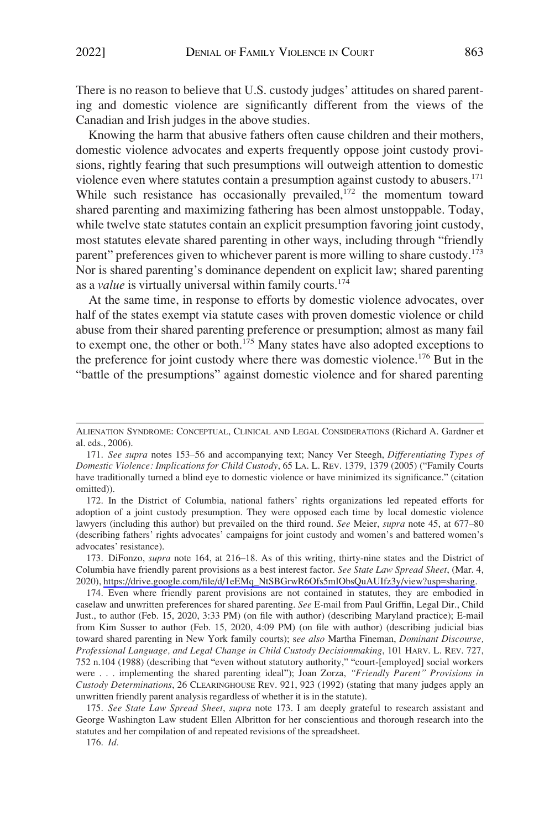There is no reason to believe that U.S. custody judges' attitudes on shared parenting and domestic violence are significantly different from the views of the Canadian and Irish judges in the above studies.

Knowing the harm that abusive fathers often cause children and their mothers, domestic violence advocates and experts frequently oppose joint custody provisions, rightly fearing that such presumptions will outweigh attention to domestic violence even where statutes contain a presumption against custody to abusers.<sup>171</sup> While such resistance has occasionally prevailed,<sup>172</sup> the momentum toward shared parenting and maximizing fathering has been almost unstoppable. Today, while twelve state statutes contain an explicit presumption favoring joint custody, most statutes elevate shared parenting in other ways, including through "friendly parent" preferences given to whichever parent is more willing to share custody.<sup>173</sup> Nor is shared parenting's dominance dependent on explicit law; shared parenting as a *value* is virtually universal within family courts.<sup>174</sup>

At the same time, in response to efforts by domestic violence advocates, over half of the states exempt via statute cases with proven domestic violence or child abuse from their shared parenting preference or presumption; almost as many fail to exempt one, the other or both.175 Many states have also adopted exceptions to the preference for joint custody where there was domestic violence.<sup>176</sup> But in the "battle of the presumptions" against domestic violence and for shared parenting

172. In the District of Columbia, national fathers' rights organizations led repeated efforts for adoption of a joint custody presumption. They were opposed each time by local domestic violence lawyers (including this author) but prevailed on the third round. *See* Meier, *supra* note 45, at 677–80 (describing fathers' rights advocates' campaigns for joint custody and women's and battered women's advocates' resistance).

173. DiFonzo, *supra* note 164, at 216–18. As of this writing, thirty-nine states and the District of Columbia have friendly parent provisions as a best interest factor. *See State Law Spread Sheet*, (Mar. 4, 2020), [https://drive.google.com/file/d/1eEMq\\_NtSBGrwR6Ofs5mlObsQuAUIfz3y/view?usp=sharing.](https://drive.google.com/file/d/1eEMq_NtSBGrwR6Ofs5mlObsQuAUIfz3y/view?usp=sharing)

174. Even where friendly parent provisions are not contained in statutes, they are embodied in caselaw and unwritten preferences for shared parenting. *See* E-mail from Paul Griffin, Legal Dir., Child Just., to author (Feb. 15, 2020, 3:33 PM) (on file with author) (describing Maryland practice); E-mail from Kim Susser to author (Feb. 15, 2020, 4:09 PM) (on file with author) (describing judicial bias toward shared parenting in New York family courts); s*ee also* Martha Fineman, *Dominant Discourse, Professional Language, and Legal Change in Child Custody Decisionmaking*, 101 HARV. L. REV. 727, 752 n.104 (1988) (describing that "even without statutory authority," "court-[employed] social workers were . . . implementing the shared parenting ideal"); Joan Zorza, *"Friendly Parent" Provisions in Custody Determinations*, 26 CLEARINGHOUSE REV. 921, 923 (1992) (stating that many judges apply an unwritten friendly parent analysis regardless of whether it is in the statute).

175. *See State Law Spread Sheet*, *supra* note 173. I am deeply grateful to research assistant and George Washington Law student Ellen Albritton for her conscientious and thorough research into the statutes and her compilation of and repeated revisions of the spreadsheet.

176. *Id.* 

ALIENATION SYNDROME: CONCEPTUAL, CLINICAL AND LEGAL CONSIDERATIONS (Richard A. Gardner et al. eds., 2006).

<sup>171.</sup> *See supra* notes 153–56 and accompanying text; Nancy Ver Steegh, *Differentiating Types of Domestic Violence: Implications for Child Custody*, 65 LA. L. REV. 1379, 1379 (2005) ("Family Courts have traditionally turned a blind eye to domestic violence or have minimized its significance." (citation omitted)).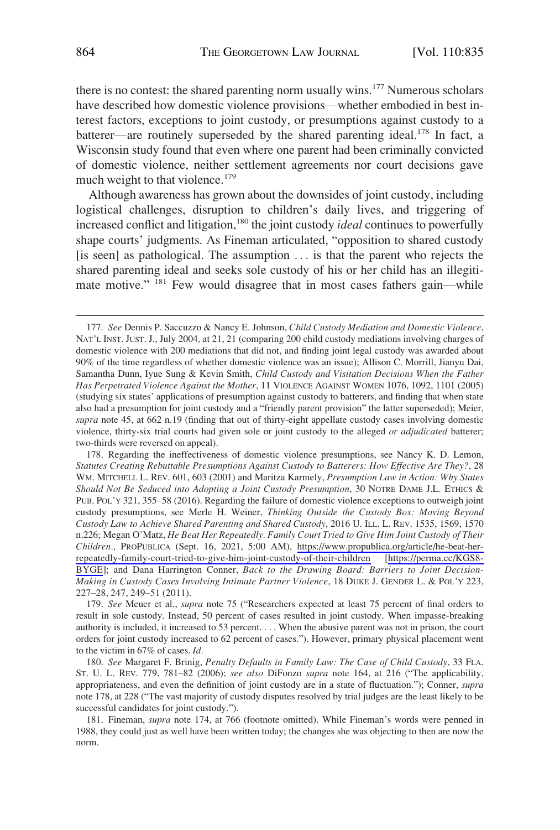there is no contest: the shared parenting norm usually wins.<sup>177</sup> Numerous scholars have described how domestic violence provisions—whether embodied in best interest factors, exceptions to joint custody, or presumptions against custody to a batterer—are routinely superseded by the shared parenting ideal.<sup>178</sup> In fact, a Wisconsin study found that even where one parent had been criminally convicted of domestic violence, neither settlement agreements nor court decisions gave much weight to that violence.<sup>179</sup>

Although awareness has grown about the downsides of joint custody, including logistical challenges, disruption to children's daily lives, and triggering of increased conflict and litigation,<sup>180</sup> the joint custody *ideal* continues to powerfully shape courts' judgments. As Fineman articulated, "opposition to shared custody [is seen] as pathological. The assumption . . . is that the parent who rejects the shared parenting ideal and seeks sole custody of his or her child has an illegitimate motive." <sup>181</sup> Few would disagree that in most cases fathers gain—while

<sup>177.</sup> *See* Dennis P. Saccuzzo & Nancy E. Johnson, *Child Custody Mediation and Domestic Violence*, NAT'L INST. JUST. J., July 2004, at 21, 21 (comparing 200 child custody mediations involving charges of domestic violence with 200 mediations that did not, and finding joint legal custody was awarded about 90% of the time regardless of whether domestic violence was an issue); Allison C. Morrill, Jianyu Dai, Samantha Dunn, Iyue Sung & Kevin Smith, *Child Custody and Visitation Decisions When the Father Has Perpetrated Violence Against the Mother*, 11 VIOLENCE AGAINST WOMEN 1076, 1092, 1101 (2005) (studying six states' applications of presumption against custody to batterers, and finding that when state also had a presumption for joint custody and a "friendly parent provision" the latter superseded); Meier, *supra* note 45, at 662 n.19 (finding that out of thirty-eight appellate custody cases involving domestic violence, thirty-six trial courts had given sole or joint custody to the alleged *or adjudicated* batterer; two-thirds were reversed on appeal).

<sup>178.</sup> Regarding the ineffectiveness of domestic violence presumptions, see Nancy K. D. Lemon, *Statutes Creating Rebuttable Presumptions Against Custody to Batterers: How Effective Are They?*, 28 WM. MITCHELL L. REV. 601, 603 (2001) and Maritza Karmely, *Presumption Law in Action: Why States Should Not Be Seduced into Adopting a Joint Custody Presumption*, 30 NOTRE DAME J.L. ETHICS & PUB. POL'Y 321, 355–58 (2016). Regarding the failure of domestic violence exceptions to outweigh joint custody presumptions, see Merle H. Weiner, *Thinking Outside the Custody Box: Moving Beyond Custody Law to Achieve Shared Parenting and Shared Custody*, 2016 U. ILL. L. REV. 1535, 1569, 1570 n.226; Megan O'Matz, *He Beat Her Repeatedly. Family Court Tried to Give Him Joint Custody of Their Children.*, PROPUBLICA (Sept. 16, 2021, 5:00 AM), [https://www.propublica.org/article/he-beat-her](https://www.propublica.org/article/he-beat-her-repeatedly-family-court-tried-to-give-him-joint-custody-of-their-children)[repeatedly-family-court-tried-to-give-him-joint-custody-of-their-children](https://www.propublica.org/article/he-beat-her-repeatedly-family-court-tried-to-give-him-joint-custody-of-their-children) [[https://perma.cc/KGS8-](https://perma.cc/KGS8-BYGE) [BYGE](https://perma.cc/KGS8-BYGE)]; and Dana Harrington Conner, *Back to the Drawing Board: Barriers to Joint Decision-Making in Custody Cases Involving Intimate Partner Violence*, 18 DUKE J. GENDER L. & POL'Y 223, 227–28, 247, 249–51 (2011).

<sup>179.</sup> *See* Meuer et al., *supra* note 75 ("Researchers expected at least 75 percent of final orders to result in sole custody. Instead, 50 percent of cases resulted in joint custody. When impasse-breaking authority is included, it increased to 53 percent. . . . When the abusive parent was not in prison, the court orders for joint custody increased to 62 percent of cases."). However, primary physical placement went to the victim in 67% of cases. *Id.* 

<sup>180.</sup> *See* Margaret F. Brinig, *Penalty Defaults in Family Law: The Case of Child Custody*, 33 FLA. ST. U. L. REV. 779, 781–82 (2006); *see also* DiFonzo *supra* note 164, at 216 ("The applicability, appropriateness, and even the definition of joint custody are in a state of fluctuation."); Conner, *supra*  note 178, at 228 ("The vast majority of custody disputes resolved by trial judges are the least likely to be successful candidates for joint custody.").

<sup>181.</sup> Fineman, *supra* note 174, at 766 (footnote omitted). While Fineman's words were penned in 1988, they could just as well have been written today; the changes she was objecting to then are now the norm.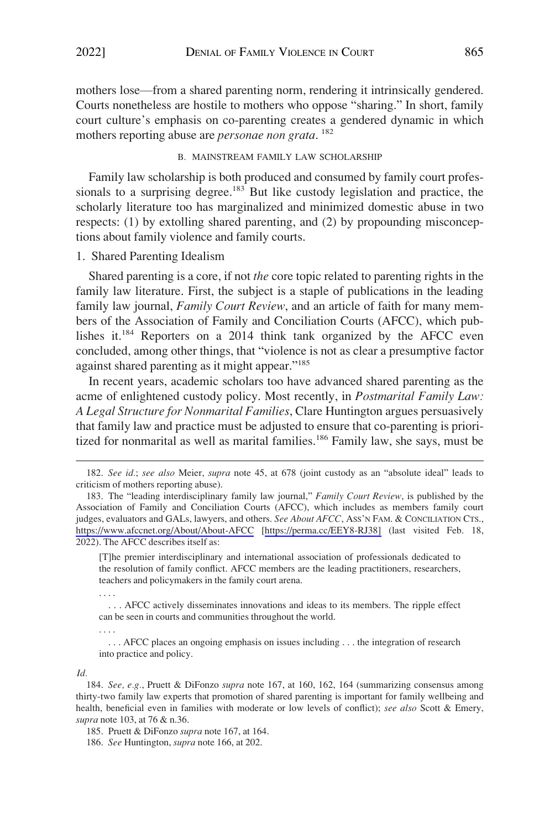<span id="page-30-0"></span>mothers lose—from a shared parenting norm, rendering it intrinsically gendered. Courts nonetheless are hostile to mothers who oppose "sharing." In short, family court culture's emphasis on co-parenting creates a gendered dynamic in which mothers reporting abuse are *personae non grata*. 182

## B. MAINSTREAM FAMILY LAW SCHOLARSHIP

Family law scholarship is both produced and consumed by family court professionals to a surprising degree.<sup>183</sup> But like custody legislation and practice, the scholarly literature too has marginalized and minimized domestic abuse in two respects: (1) by extolling shared parenting, and (2) by propounding misconceptions about family violence and family courts.

# 1. Shared Parenting Idealism

Shared parenting is a core, if not *the* core topic related to parenting rights in the family law literature. First, the subject is a staple of publications in the leading family law journal, *Family Court Review*, and an article of faith for many members of the Association of Family and Conciliation Courts (AFCC), which publishes it.184 Reporters on a 2014 think tank organized by the AFCC even concluded, among other things, that "violence is not as clear a presumptive factor against shared parenting as it might appear."<sup>185</sup>

In recent years, academic scholars too have advanced shared parenting as the acme of enlightened custody policy. Most recently, in *Postmarital Family Law: A Legal Structure for Nonmarital Families*, Clare Huntington argues persuasively that family law and practice must be adjusted to ensure that co-parenting is prioritized for nonmarital as well as marital families.<sup>186</sup> Family law, she says, must be

[T]he premier interdisciplinary and international association of professionals dedicated to the resolution of family conflict. AFCC members are the leading practitioners, researchers, teachers and policymakers in the family court arena.

. . . AFCC actively disseminates innovations and ideas to its members. The ripple effect can be seen in courts and communities throughout the world.

. . . AFCC places an ongoing emphasis on issues including . . . the integration of research into practice and policy.

*Id.* 

. . . .

. . . .

<sup>182.</sup> *See id.*; *see also* Meier, *supra* note 45, at 678 (joint custody as an "absolute ideal" leads to criticism of mothers reporting abuse).

<sup>183.</sup> The "leading interdisciplinary family law journal," *Family Court Review*, is published by the Association of Family and Conciliation Courts (AFCC), which includes as members family court judges, evaluators and GALs, lawyers, and others. *See About AFCC*, ASS'N FAM. & CONCILIATION CTS., <https://www.afccnet.org/About/About-AFCC>[[https://perma.cc/EEY8-RJ38\]](https://perma.cc/EEY8-RJ38]) (last visited Feb. 18, 2022). The AFCC describes itself as:

<sup>184.</sup> *See, e.g.*, Pruett & DiFonzo *supra* note 167, at 160, 162, 164 (summarizing consensus among thirty-two family law experts that promotion of shared parenting is important for family wellbeing and health, beneficial even in families with moderate or low levels of conflict); *see also* Scott & Emery, *supra* note 103, at 76 & n.36.

<sup>185.</sup> Pruett & DiFonzo *supra* note 167, at 164.

<sup>186.</sup> *See* Huntington, *supra* note 166, at 202.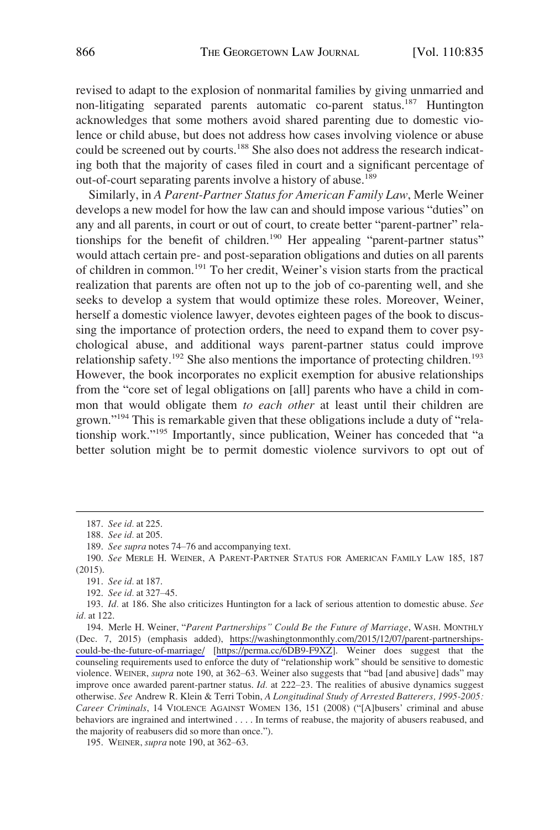revised to adapt to the explosion of nonmarital families by giving unmarried and non-litigating separated parents automatic co-parent status.<sup>187</sup> Huntington acknowledges that some mothers avoid shared parenting due to domestic violence or child abuse, but does not address how cases involving violence or abuse could be screened out by courts.<sup>188</sup> She also does not address the research indicating both that the majority of cases filed in court and a significant percentage of out-of-court separating parents involve a history of abuse.<sup>189</sup>

Similarly, in *A Parent-Partner Status for American Family Law*, Merle Weiner develops a new model for how the law can and should impose various "duties" on any and all parents, in court or out of court, to create better "parent-partner" relationships for the benefit of children.<sup>190</sup> Her appealing "parent-partner status" would attach certain pre*-* and post*-*separation obligations and duties on all parents of children in common.191 To her credit, Weiner's vision starts from the practical realization that parents are often not up to the job of co-parenting well, and she seeks to develop a system that would optimize these roles. Moreover, Weiner, herself a domestic violence lawyer, devotes eighteen pages of the book to discussing the importance of protection orders, the need to expand them to cover psychological abuse, and additional ways parent-partner status could improve relationship safety.<sup>192</sup> She also mentions the importance of protecting children.<sup>193</sup> However, the book incorporates no explicit exemption for abusive relationships from the "core set of legal obligations on [all] parents who have a child in common that would obligate them *to each other* at least until their children are grown."<sup>194</sup> This is remarkable given that these obligations include a duty of "relationship work."195 Importantly, since publication, Weiner has conceded that "a better solution might be to permit domestic violence survivors to opt out of

<sup>187.</sup> *See id.* at 225.

<sup>188.</sup> *See id.* at 205.

<sup>189.</sup> *See supra* notes 74–76 and accompanying text.

<sup>190.</sup> *See* MERLE H. WEINER, A PARENT-PARTNER STATUS FOR AMERICAN FAMILY LAW 185, 187 (2015).

<sup>191.</sup> *See id.* at 187.

<sup>192.</sup> *See id.* at 327–45.

<sup>193.</sup> *Id.* at 186. She also criticizes Huntington for a lack of serious attention to domestic abuse. *See id.* at 122.

Merle H. Weiner, "*Parent Partnerships" Could Be the Future of Marriage*, WASH. MONTHLY 194. (Dec. 7, 2015) (emphasis added), [https://washingtonmonthly.com/2015/12/07/parent-partnerships](https://washingtonmonthly.com/2015/12/07/parent-partnerships-could-be-the-future-of-marriage/)[could-be-the-future-of-marriage/](https://washingtonmonthly.com/2015/12/07/parent-partnerships-could-be-the-future-of-marriage/) [[https://perma.cc/6DB9-F9XZ\]](https://perma.cc/6DB9-F9XZ). Weiner does suggest that the counseling requirements used to enforce the duty of "relationship work" should be sensitive to domestic violence. WEINER, *supra* note 190, at 362–63. Weiner also suggests that "bad [and abusive] dads" may improve once awarded parent-partner status. *Id.* at 222–23. The realities of abusive dynamics suggest otherwise. *See* Andrew R. Klein & Terri Tobin, *A Longitudinal Study of Arrested Batterers, 1995-2005: Career Criminals*, 14 VIOLENCE AGAINST WOMEN 136, 151 (2008) ("[A]busers' criminal and abuse behaviors are ingrained and intertwined . . . . In terms of reabuse, the majority of abusers reabused, and the majority of reabusers did so more than once.").

<sup>195.</sup> WEINER, *supra* note 190, at 362–63.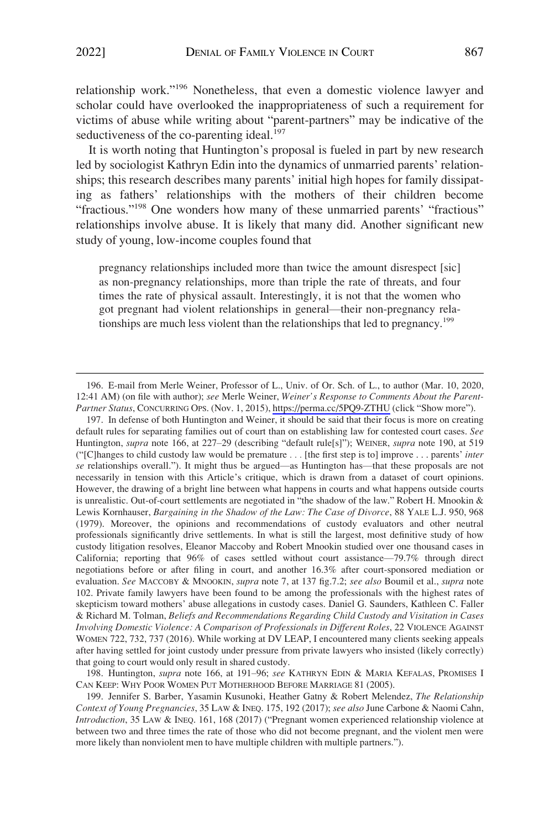relationship work."<sup>196</sup> Nonetheless, that even a domestic violence lawyer and scholar could have overlooked the inappropriateness of such a requirement for victims of abuse while writing about "parent-partners" may be indicative of the seductiveness of the co-parenting ideal.<sup>197</sup>

It is worth noting that Huntington's proposal is fueled in part by new research led by sociologist Kathryn Edin into the dynamics of unmarried parents' relationships; this research describes many parents' initial high hopes for family dissipating as fathers' relationships with the mothers of their children become "fractious."198 One wonders how many of these unmarried parents' "fractious" relationships involve abuse. It is likely that many did. Another significant new study of young, low-income couples found that

pregnancy relationships included more than twice the amount disrespect [sic] as non-pregnancy relationships, more than triple the rate of threats, and four times the rate of physical assault. Interestingly, it is not that the women who got pregnant had violent relationships in general—their non-pregnancy relationships are much less violent than the relationships that led to pregnancy.<sup>199</sup>

197. In defense of both Huntington and Weiner, it should be said that their focus is more on creating default rules for separating families out of court than on establishing law for contested court cases. *See*  Huntington, *supra* note 166, at 227–29 (describing "default rule[s]"); WEINER, *supra* note 190, at 519 ("[C]hanges to child custody law would be premature *. . .* [the first step is to] improve . . . parents' *inter se* relationships overall."). It might thus be argued—as Huntington has—that these proposals are not necessarily in tension with this Article's critique, which is drawn from a dataset of court opinions. However, the drawing of a bright line between what happens in courts and what happens outside courts is unrealistic. Out-of-court settlements are negotiated in "the shadow of the law." Robert H. Mnookin & Lewis Kornhauser, *Bargaining in the Shadow of the Law: The Case of Divorce*, 88 YALE L.J. 950, 968 (1979). Moreover, the opinions and recommendations of custody evaluators and other neutral professionals significantly drive settlements. In what is still the largest, most definitive study of how custody litigation resolves, Eleanor Maccoby and Robert Mnookin studied over one thousand cases in California; reporting that 96% of cases settled without court assistance—79.7% through direct negotiations before or after filing in court, and another 16.3% after court-sponsored mediation or evaluation. *See* MACCOBY & MNOOKIN, *supra* note 7, at 137 fig.7.2; *see also* Boumil et al., *supra* note 102. Private family lawyers have been found to be among the professionals with the highest rates of skepticism toward mothers' abuse allegations in custody cases. Daniel G. Saunders, Kathleen C. Faller & Richard M. Tolman, *Beliefs and Recommendations Regarding Child Custody and Visitation in Cases Involving Domestic Violence: A Comparison of Professionals in Different Roles*, 22 VIOLENCE AGAINST WOMEN 722, 732, 737 (2016). While working at DV LEAP, I encountered many clients seeking appeals after having settled for joint custody under pressure from private lawyers who insisted (likely correctly) that going to court would only result in shared custody.

198. Huntington, *supra* note 166, at 191–96; *see* KATHRYN EDIN & MARIA KEFALAS, PROMISES I CAN KEEP: WHY POOR WOMEN PUT MOTHERHOOD BEFORE MARRIAGE 81 (2005).

E-mail from Merle Weiner, Professor of L., Univ. of Or. Sch. of L., to author (Mar. 10, 2020, 196. 12:41 AM) (on file with author); *see* Merle Weiner, *Weiner's Response to Comments About the Parent-Partner Status*, CONCURRING OPS. (Nov. 1, 2015),<https://perma.cc/5PQ9-ZTHU>(click "Show more").

<sup>199.</sup> Jennifer S. Barber, Yasamin Kusunoki, Heather Gatny & Robert Melendez, *The Relationship Context of Young Pregnancies*, 35 LAW & INEQ. 175, 192 (2017); *see also* June Carbone & Naomi Cahn, *Introduction*, 35 LAW & INEQ. 161, 168 (2017) ("Pregnant women experienced relationship violence at between two and three times the rate of those who did not become pregnant, and the violent men were more likely than nonviolent men to have multiple children with multiple partners.").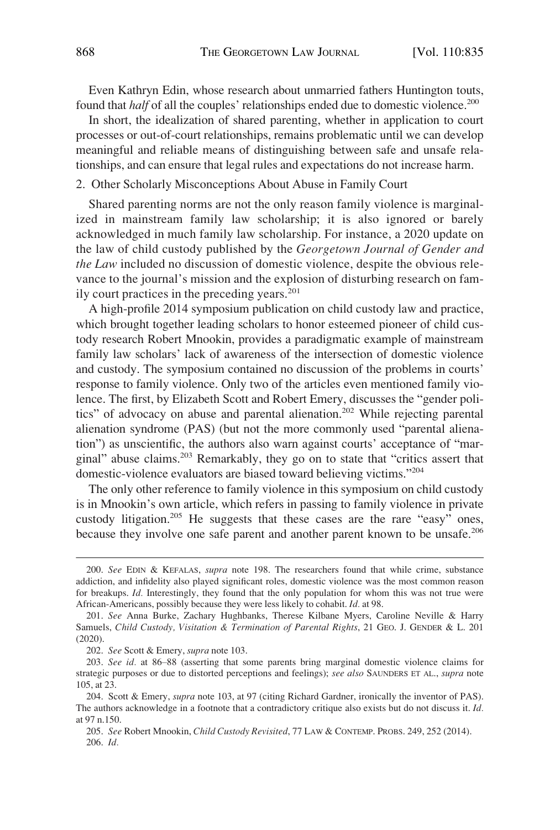<span id="page-33-0"></span>Even Kathryn Edin, whose research about unmarried fathers Huntington touts, found that *half* of all the couples' relationships ended due to domestic violence.<sup>200</sup>

In short, the idealization of shared parenting, whether in application to court processes or out-of-court relationships, remains problematic until we can develop meaningful and reliable means of distinguishing between safe and unsafe relationships, and can ensure that legal rules and expectations do not increase harm.

#### 2. Other Scholarly Misconceptions About Abuse in Family Court

Shared parenting norms are not the only reason family violence is marginalized in mainstream family law scholarship; it is also ignored or barely acknowledged in much family law scholarship. For instance, a 2020 update on the law of child custody published by the *Georgetown Journal of Gender and the Law* included no discussion of domestic violence, despite the obvious relevance to the journal's mission and the explosion of disturbing research on family court practices in the preceding years. $201$ 

A high-profile 2014 symposium publication on child custody law and practice, which brought together leading scholars to honor esteemed pioneer of child custody research Robert Mnookin, provides a paradigmatic example of mainstream family law scholars' lack of awareness of the intersection of domestic violence and custody. The symposium contained no discussion of the problems in courts' response to family violence. Only two of the articles even mentioned family violence. The first, by Elizabeth Scott and Robert Emery, discusses the "gender politics" of advocacy on abuse and parental alienation.<sup>202</sup> While rejecting parental alienation syndrome (PAS) (but not the more commonly used "parental alienation") as unscientific, the authors also warn against courts' acceptance of "marginal" abuse claims.203 Remarkably, they go on to state that "critics assert that domestic-violence evaluators are biased toward believing victims."<sup>204</sup>

The only other reference to family violence in this symposium on child custody is in Mnookin's own article, which refers in passing to family violence in private custody litigation.<sup>205</sup> He suggests that these cases are the rare "easy" ones, because they involve one safe parent and another parent known to be unsafe.<sup>206</sup>

<sup>200.</sup> *See* EDIN & KEFALAS, *supra* note 198. The researchers found that while crime, substance addiction, and infidelity also played significant roles, domestic violence was the most common reason for breakups. *Id.* Interestingly, they found that the only population for whom this was not true were African-Americans, possibly because they were less likely to cohabit. *Id.* at 98.

<sup>201.</sup> *See* Anna Burke, Zachary Hughbanks, Therese Kilbane Myers, Caroline Neville & Harry Samuels, *Child Custody, Visitation & Termination of Parental Rights*, 21 GEO. J. GENDER & L. 201 (2020).

<sup>202.</sup> *See* Scott & Emery, *supra* note 103.

<sup>203.</sup> *See id.* at 86–88 (asserting that some parents bring marginal domestic violence claims for strategic purposes or due to distorted perceptions and feelings); *see also* SAUNDERS ET AL., *supra* note 105, at 23.

<sup>204.</sup> Scott & Emery, *supra* note 103, at 97 (citing Richard Gardner, ironically the inventor of PAS). The authors acknowledge in a footnote that a contradictory critique also exists but do not discuss it. *Id.*  at 97 n.150.

<sup>205.</sup> *See* Robert Mnookin, *Child Custody Revisited*, 77 LAW & CONTEMP. PROBS. 249, 252 (2014). 206. *Id.*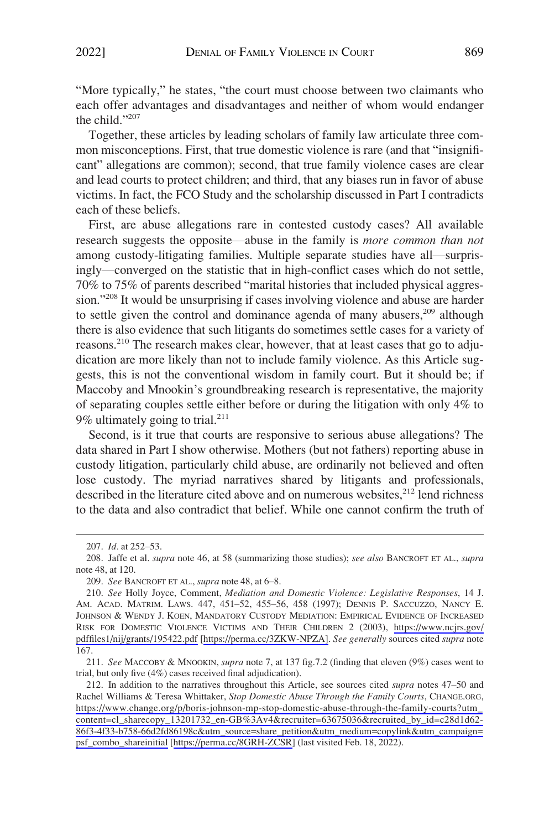"More typically," he states, "the court must choose between two claimants who each offer advantages and disadvantages and neither of whom would endanger the child."<sup>207</sup>

Together, these articles by leading scholars of family law articulate three common misconceptions. First, that true domestic violence is rare (and that "insignificant" allegations are common); second, that true family violence cases are clear and lead courts to protect children; and third, that any biases run in favor of abuse victims. In fact, the FCO Study and the scholarship discussed in Part I contradicts each of these beliefs.

First, are abuse allegations rare in contested custody cases? All available research suggests the opposite—abuse in the family is *more common than not*  among custody-litigating families. Multiple separate studies have all—surprisingly—converged on the statistic that in high-conflict cases which do not settle, 70% to 75% of parents described "marital histories that included physical aggression."208 It would be unsurprising if cases involving violence and abuse are harder to settle given the control and dominance agenda of many abusers, $209$  although there is also evidence that such litigants do sometimes settle cases for a variety of reasons.<sup>210</sup> The research makes clear, however, that at least cases that go to adjudication are more likely than not to include family violence. As this Article suggests, this is not the conventional wisdom in family court. But it should be; if Maccoby and Mnookin's groundbreaking research is representative, the majority of separating couples settle either before or during the litigation with only 4% to 9% ultimately going to trial.<sup>211</sup>

Second, is it true that courts are responsive to serious abuse allegations? The data shared in Part I show otherwise. Mothers (but not fathers) reporting abuse in custody litigation, particularly child abuse, are ordinarily not believed and often lose custody. The myriad narratives shared by litigants and professionals, described in the literature cited above and on numerous websites,<sup>212</sup> lend richness to the data and also contradict that belief. While one cannot confirm the truth of

211. *See* MACCOBY & MNOOKIN, *supra* note 7, at 137 fig.7.2 (finding that eleven (9%) cases went to trial, but only five (4%) cases received final adjudication).

<sup>207.</sup> *Id.* at 252–53.

<sup>208.</sup> Jaffe et al. *supra* note 46, at 58 (summarizing those studies); *see also* BANCROFT ET AL., *supra*  note 48, at 120.

<sup>209.</sup> *See* BANCROFT ET AL., *supra* note 48, at 6–8.

*See* Holly Joyce, Comment, *Mediation and Domestic Violence: Legislative Responses*, 14 J. 210. AM. ACAD. MATRIM. LAWS. 447, 451–52, 455–56, 458 (1997); DENNIS P. SACCUZZO, NANCY E. JOHNSON & WENDY J. KOEN, MANDATORY CUSTODY MEDIATION: EMPIRICAL EVIDENCE OF INCREASED RISK FOR DOMESTIC VIOLENCE VICTIMS AND THEIR CHILDREN 2 (2003), [https://www.ncjrs.gov/](https://www.ncjrs.gov/pdffiles1/nij/grants/195422.pdf)  [pdffiles1/nij/grants/195422.pdf](https://www.ncjrs.gov/pdffiles1/nij/grants/195422.pdf) [[https://perma.cc/3ZKW-NPZA\]](https://perma.cc/3ZKW-NPZA). *See generally* sources cited *supra* note 167.

<sup>212.</sup> In addition to the narratives throughout this Article, see sources cited *supra* notes 47–50 and Rachel Williams & Teresa Whittaker, *Stop Domestic Abuse Through the Family Courts*, CHANGE.ORG, [https://www.change.org/p/boris-johnson-mp-stop-domestic-abuse-through-the-family-courts?utm\\_](https://www.change.org/p/boris-johnson-mp-stop-domestic-abuse-through-the-family-courts?utm_content=cl_sharecopy_13201732_en-GB&hx0025;3Av4&recruiter=63675036&recruited_by_id=c28d1d62-86f3-4f33-b758-66d2fd86198c&utm_source=share_petition&utm_medium=copylink&utm_campaign=psf_combo_shareinitial) [content=cl\\_sharecopy\\_13201732\\_en-GB%3Av4&recruiter=63675036&recruited\\_by\\_id=c28d1d62-](https://www.change.org/p/boris-johnson-mp-stop-domestic-abuse-through-the-family-courts?utm_content=cl_sharecopy_13201732_en-GB&hx0025;3Av4&recruiter=63675036&recruited_by_id=c28d1d62-86f3-4f33-b758-66d2fd86198c&utm_source=share_petition&utm_medium=copylink&utm_campaign=psf_combo_shareinitial)  [86f3-4f33-b758-66d2fd86198c&utm\\_source=share\\_petition&utm\\_medium=copylink&utm\\_campaign=](https://www.change.org/p/boris-johnson-mp-stop-domestic-abuse-through-the-family-courts?utm_content=cl_sharecopy_13201732_en-GB&hx0025;3Av4&recruiter=63675036&recruited_by_id=c28d1d62-86f3-4f33-b758-66d2fd86198c&utm_source=share_petition&utm_medium=copylink&utm_campaign=psf_combo_shareinitial) [psf\\_combo\\_shareinitial](https://www.change.org/p/boris-johnson-mp-stop-domestic-abuse-through-the-family-courts?utm_content=cl_sharecopy_13201732_en-GB&hx0025;3Av4&recruiter=63675036&recruited_by_id=c28d1d62-86f3-4f33-b758-66d2fd86198c&utm_source=share_petition&utm_medium=copylink&utm_campaign=psf_combo_shareinitial) [[https://perma.cc/8GRH-ZCSR\]](https://perma.cc/8GRH-ZCSR) (last visited Feb. 18, 2022).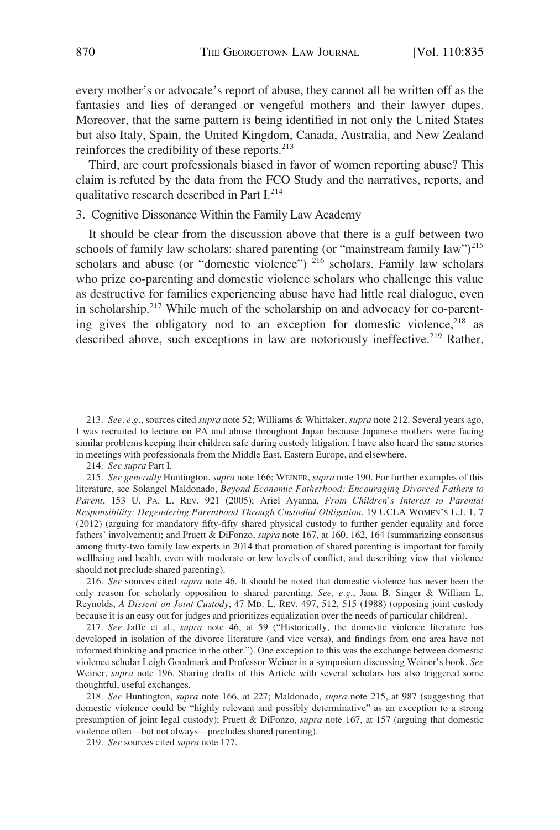<span id="page-35-0"></span>every mother's or advocate's report of abuse, they cannot all be written off as the fantasies and lies of deranged or vengeful mothers and their lawyer dupes. Moreover, that the same pattern is being identified in not only the United States but also Italy, Spain, the United Kingdom, Canada, Australia, and New Zealand reinforces the credibility of these reports.<sup>213</sup>

Third, are court professionals biased in favor of women reporting abuse? This claim is refuted by the data from the FCO Study and the narratives, reports, and qualitative research described in Part I.<sup>214</sup>

## 3. Cognitive Dissonance Within the Family Law Academy

It should be clear from the discussion above that there is a gulf between two schools of family law scholars: shared parenting (or "mainstream family law")<sup>215</sup> scholars and abuse (or "domestic violence")  $^{216}$  scholars. Family law scholars who prize co-parenting and domestic violence scholars who challenge this value as destructive for families experiencing abuse have had little real dialogue, even in scholarship.<sup>217</sup> While much of the scholarship on and advocacy for co-parenting gives the obligatory nod to an exception for domestic violence, $218$  as described above, such exceptions in law are notoriously ineffective.<sup>219</sup> Rather,

<sup>213.</sup> *See, e.g.*, sources cited *supra* note 52; Williams & Whittaker, *supra* note 212. Several years ago, I was recruited to lecture on PA and abuse throughout Japan because Japanese mothers were facing similar problems keeping their children safe during custody litigation. I have also heard the same stories in meetings with professionals from the Middle East, Eastern Europe, and elsewhere.

<sup>214.</sup> *See supra* Part I.

<sup>215.</sup> *See generally* Huntington, *supra* note 166; WEINER, *supra* note 190. For further examples of this literature, see Solangel Maldonado, *Beyond Economic Fatherhood: Encouraging Divorced Fathers to Parent*, 153 U. PA. L. REV. 921 (2005); Ariel Ayanna, *From Children's Interest to Parental Responsibility: Degendering Parenthood Through Custodial Obligation*, 19 UCLA WOMEN'S L.J. 1, 7 (2012) (arguing for mandatory fifty-fifty shared physical custody to further gender equality and force fathers' involvement); and Pruett & DiFonzo, *supra* note 167, at 160, 162, 164 (summarizing consensus among thirty-two family law experts in 2014 that promotion of shared parenting is important for family wellbeing and health, even with moderate or low levels of conflict, and describing view that violence should not preclude shared parenting).

<sup>216.</sup> *See* sources cited *supra* note 46. It should be noted that domestic violence has never been the only reason for scholarly opposition to shared parenting. *See, e.g.*, Jana B. Singer & William L. Reynolds, *A Dissent on Joint Custody*, 47 MD. L. REV. 497, 512, 515 (1988) (opposing joint custody because it is an easy out for judges and prioritizes equalization over the needs of particular children).

<sup>217.</sup> *See* Jaffe et al., *supra* note 46, at 59 ("Historically, the domestic violence literature has developed in isolation of the divorce literature (and vice versa), and findings from one area have not informed thinking and practice in the other."). One exception to this was the exchange between domestic violence scholar Leigh Goodmark and Professor Weiner in a symposium discussing Weiner's book. *See*  Weiner, *supra* note 196. Sharing drafts of this Article with several scholars has also triggered some thoughtful, useful exchanges.

<sup>218.</sup> *See* Huntington, *supra* note 166, at 227; Maldonado, *supra* note 215, at 987 (suggesting that domestic violence could be "highly relevant and possibly determinative" as an exception to a strong presumption of joint legal custody); Pruett & DiFonzo, *supra* note 167, at 157 (arguing that domestic violence often—but not always—precludes shared parenting).

<sup>219.</sup> *See* sources cited *supra* note 177.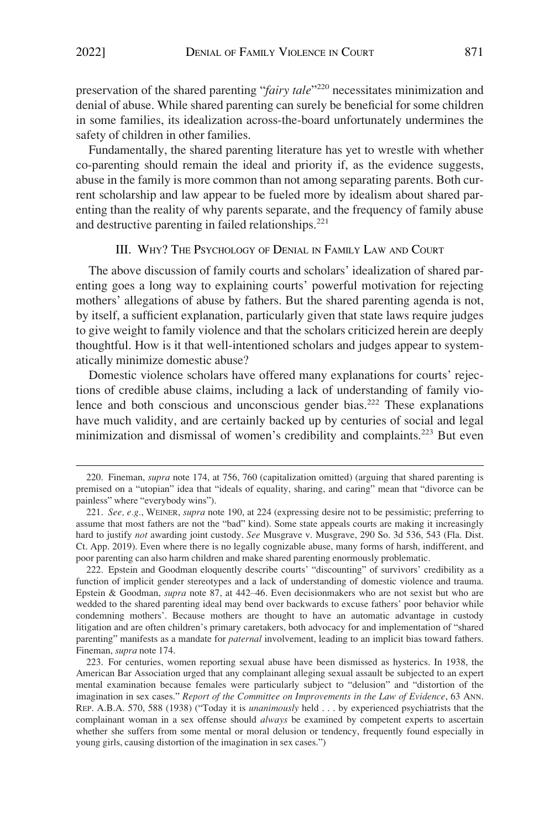<span id="page-36-0"></span>preservation of the shared parenting "*fairy tale*"220 necessitates minimization and denial of abuse. While shared parenting can surely be beneficial for some children in some families, its idealization across-the-board unfortunately undermines the safety of children in other families.

Fundamentally, the shared parenting literature has yet to wrestle with whether co-parenting should remain the ideal and priority if, as the evidence suggests, abuse in the family is more common than not among separating parents. Both current scholarship and law appear to be fueled more by idealism about shared parenting than the reality of why parents separate, and the frequency of family abuse and destructive parenting in failed relationships. $221$ 

# III. WHY? THE PSYCHOLOGY OF DENIAL IN FAMILY LAW AND COURT

The above discussion of family courts and scholars' idealization of shared parenting goes a long way to explaining courts' powerful motivation for rejecting mothers' allegations of abuse by fathers. But the shared parenting agenda is not, by itself, a sufficient explanation, particularly given that state laws require judges to give weight to family violence and that the scholars criticized herein are deeply thoughtful. How is it that well-intentioned scholars and judges appear to systematically minimize domestic abuse?

Domestic violence scholars have offered many explanations for courts' rejections of credible abuse claims, including a lack of understanding of family violence and both conscious and unconscious gender bias.<sup>222</sup> These explanations have much validity, and are certainly backed up by centuries of social and legal minimization and dismissal of women's credibility and complaints.<sup>223</sup> But even

222. Epstein and Goodman eloquently describe courts' "discounting" of survivors' credibility as a function of implicit gender stereotypes and a lack of understanding of domestic violence and trauma. Epstein & Goodman, *supra* note 87, at 442–46. Even decisionmakers who are not sexist but who are wedded to the shared parenting ideal may bend over backwards to excuse fathers' poor behavior while condemning mothers'. Because mothers are thought to have an automatic advantage in custody litigation and are often children's primary caretakers, both advocacy for and implementation of "shared parenting" manifests as a mandate for *paternal* involvement, leading to an implicit bias toward fathers. Fineman, *supra* note 174.

223. For centuries, women reporting sexual abuse have been dismissed as hysterics. In 1938, the American Bar Association urged that any complainant alleging sexual assault be subjected to an expert mental examination because females were particularly subject to "delusion" and "distortion of the imagination in sex cases." *Report of the Committee on Improvements in the Law of Evidence*, 63 ANN. REP. A.B.A. 570, 588 (1938) ("Today it is *unanimously* held . . . by experienced psychiatrists that the complainant woman in a sex offense should *always* be examined by competent experts to ascertain whether she suffers from some mental or moral delusion or tendency, frequently found especially in young girls, causing distortion of the imagination in sex cases.")

<sup>220.</sup> Fineman, *supra* note 174, at 756, 760 (capitalization omitted) (arguing that shared parenting is premised on a "utopian" idea that "ideals of equality, sharing, and caring" mean that "divorce can be painless" where "everybody wins").

<sup>221.</sup> *See, e.g.*, WEINER, *supra* note 190, at 224 (expressing desire not to be pessimistic; preferring to assume that most fathers are not the "bad" kind). Some state appeals courts are making it increasingly hard to justify *not* awarding joint custody. *See* Musgrave v. Musgrave, 290 So. 3d 536, 543 (Fla. Dist. Ct. App. 2019). Even where there is no legally cognizable abuse, many forms of harsh, indifferent, and poor parenting can also harm children and make shared parenting enormously problematic.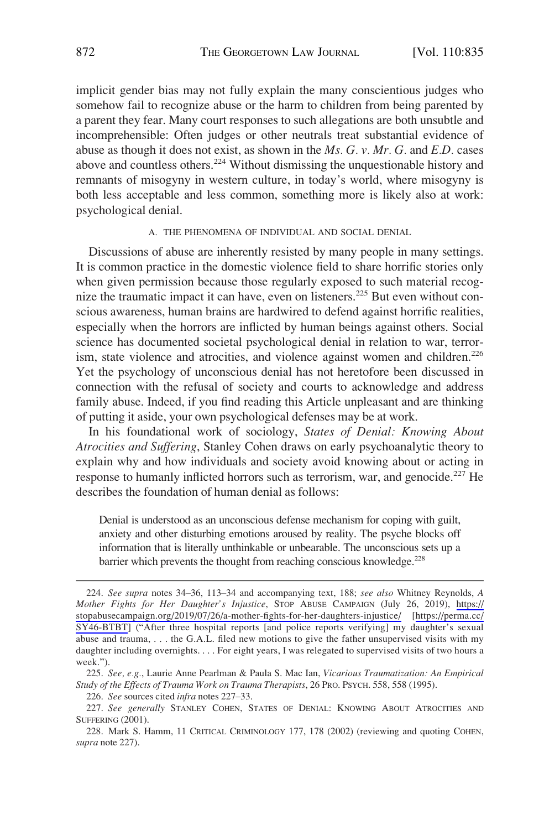<span id="page-37-0"></span>implicit gender bias may not fully explain the many conscientious judges who somehow fail to recognize abuse or the harm to children from being parented by a parent they fear. Many court responses to such allegations are both unsubtle and incomprehensible: Often judges or other neutrals treat substantial evidence of abuse as though it does not exist, as shown in the *Ms. G. v. Mr. G.* and *E.D.* cases above and countless others.<sup>224</sup> Without dismissing the unquestionable history and remnants of misogyny in western culture, in today's world, where misogyny is both less acceptable and less common, something more is likely also at work: psychological denial.

#### A. THE PHENOMENA OF INDIVIDUAL AND SOCIAL DENIAL

Discussions of abuse are inherently resisted by many people in many settings. It is common practice in the domestic violence field to share horrific stories only when given permission because those regularly exposed to such material recognize the traumatic impact it can have, even on listeners.<sup>225</sup> But even without conscious awareness, human brains are hardwired to defend against horrific realities, especially when the horrors are inflicted by human beings against others. Social science has documented societal psychological denial in relation to war, terrorism, state violence and atrocities, and violence against women and children.<sup>226</sup> Yet the psychology of unconscious denial has not heretofore been discussed in connection with the refusal of society and courts to acknowledge and address family abuse. Indeed, if you find reading this Article unpleasant and are thinking of putting it aside, your own psychological defenses may be at work.

In his foundational work of sociology, *States of Denial: Knowing About Atrocities and Suffering*, Stanley Cohen draws on early psychoanalytic theory to explain why and how individuals and society avoid knowing about or acting in response to humanly inflicted horrors such as terrorism, war, and genocide.<sup>227</sup> He describes the foundation of human denial as follows:

Denial is understood as an unconscious defense mechanism for coping with guilt, anxiety and other disturbing emotions aroused by reality. The psyche blocks off information that is literally unthinkable or unbearable. The unconscious sets up a barrier which prevents the thought from reaching conscious knowledge.<sup>228</sup>

*See supra* notes 34–36, 113–34 and accompanying text, 188; *see also* Whitney Reynolds, *A*  224. *Mother Fights for Her Daughter's Injustice*, STOP ABUSE CAMPAIGN (July 26, 2019), [https://](https://stopabusecampaign.org/2019/07/26/a-mother-fights-for-her-daughters-injustice/)  [stopabusecampaign.org/2019/07/26/a-mother-fights-for-her-daughters-injustice/](https://stopabusecampaign.org/2019/07/26/a-mother-fights-for-her-daughters-injustice/) [[https://perma.cc/](https://perma.cc/SY46-BTBT) [SY46-BTBT](https://perma.cc/SY46-BTBT)] ("After three hospital reports [and police reports verifying] my daughter's sexual abuse and trauma, . . . the G.A.L. filed new motions to give the father unsupervised visits with my daughter including overnights. . . . For eight years, I was relegated to supervised visits of two hours a week.").

<sup>225.</sup> *See, e.g.*, Laurie Anne Pearlman & Paula S. Mac Ian, *Vicarious Traumatization: An Empirical Study of the Effects of Trauma Work on Trauma Therapists*, 26 PRO. PSYCH. 558, 558 (1995).

<sup>226.</sup> *See* sources cited *infra* notes 227–33.

<sup>227.</sup> *See generally* STANLEY COHEN, STATES OF DENIAL: KNOWING ABOUT ATROCITIES AND SUFFERING (2001).

<sup>228.</sup> Mark S. Hamm, 11 CRITICAL CRIMINOLOGY 177, 178 (2002) (reviewing and quoting COHEN, *supra* note 227).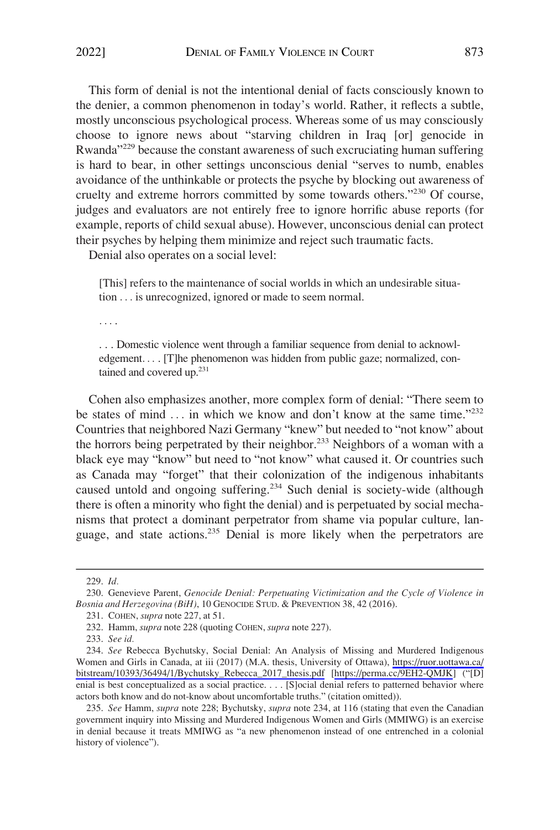This form of denial is not the intentional denial of facts consciously known to the denier, a common phenomenon in today's world. Rather, it reflects a subtle, mostly unconscious psychological process. Whereas some of us may consciously choose to ignore news about "starving children in Iraq [or] genocide in Rwanda"229 because the constant awareness of such excruciating human suffering is hard to bear, in other settings unconscious denial "serves to numb, enables avoidance of the unthinkable or protects the psyche by blocking out awareness of cruelty and extreme horrors committed by some towards others."230 Of course, judges and evaluators are not entirely free to ignore horrific abuse reports (for example, reports of child sexual abuse). However, unconscious denial can protect their psyches by helping them minimize and reject such traumatic facts.

Denial also operates on a social level:

[This] refers to the maintenance of social worlds in which an undesirable situation . . . is unrecognized, ignored or made to seem normal.

. . . .

. . . Domestic violence went through a familiar sequence from denial to acknowledgement.... [T]he phenomenon was hidden from public gaze; normalized, contained and covered up.<sup>231</sup>

Cohen also emphasizes another, more complex form of denial: "There seem to be states of mind ... in which we know and don't know at the same time."<sup>232</sup> Countries that neighbored Nazi Germany "knew" but needed to "not know" about the horrors being perpetrated by their neighbor.<sup>233</sup> Neighbors of a woman with a black eye may "know" but need to "not know" what caused it. Or countries such as Canada may "forget" that their colonization of the indigenous inhabitants caused untold and ongoing suffering.<sup>234</sup> Such denial is society-wide (although there is often a minority who fight the denial) and is perpetuated by social mechanisms that protect a dominant perpetrator from shame via popular culture, language, and state actions.235 Denial is more likely when the perpetrators are

233. *See id.* 

<sup>229.</sup> *Id.* 

<sup>230.</sup> Genevieve Parent, *Genocide Denial: Perpetuating Victimization and the Cycle of Violence in Bosnia and Herzegovina (BiH)*, 10 GENOCIDE STUD. & PREVENTION 38, 42 (2016).

<sup>231.</sup> COHEN, *supra* note 227, at 51.

<sup>232.</sup> Hamm, *supra* note 228 (quoting COHEN, *supra* note 227).

*See* Rebecca Bychutsky, Social Denial: An Analysis of Missing and Murdered Indigenous 234. Women and Girls in Canada, at iii (2017) (M.A. thesis, University of Ottawa), [https://ruor.uottawa.ca/](https://ruor.uottawa.ca/bitstream/10393/36494/1/Bychutsky_Rebecca_2017_thesis.pdf)  [bitstream/10393/36494/1/Bychutsky\\_Rebecca\\_2017\\_thesis.pdf](https://ruor.uottawa.ca/bitstream/10393/36494/1/Bychutsky_Rebecca_2017_thesis.pdf) [\[https://perma.cc/9EH2-QMJK](https://perma.cc/9EH2-QMJK)] ("[D] enial is best conceptualized as a social practice. . . . [S]ocial denial refers to patterned behavior where actors both know and do not-know about uncomfortable truths." (citation omitted)).

<sup>235.</sup> *See* Hamm, *supra* note 228; Bychutsky, *supra* note 234, at 116 (stating that even the Canadian government inquiry into Missing and Murdered Indigenous Women and Girls (MMIWG) is an exercise in denial because it treats MMIWG as "a new phenomenon instead of one entrenched in a colonial history of violence").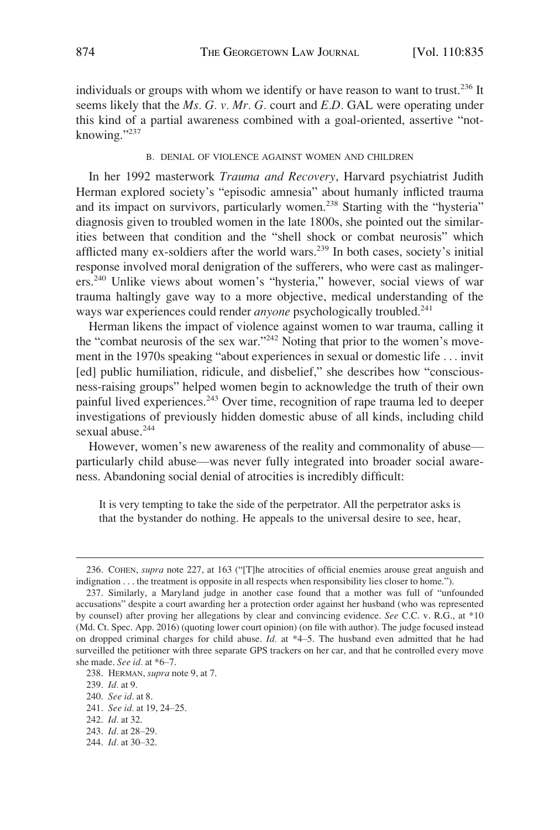<span id="page-39-0"></span>individuals or groups with whom we identify or have reason to want to trust.<sup>236</sup> It seems likely that the *Ms. G. v. Mr. G.* court and *E.D.* GAL were operating under this kind of a partial awareness combined with a goal-oriented, assertive "notknowing."<sup>237</sup>

#### B. DENIAL OF VIOLENCE AGAINST WOMEN AND CHILDREN

In her 1992 masterwork *Trauma and Recovery*, Harvard psychiatrist Judith Herman explored society's "episodic amnesia" about humanly inflicted trauma and its impact on survivors, particularly women.<sup>238</sup> Starting with the "hysteria" diagnosis given to troubled women in the late 1800s, she pointed out the similarities between that condition and the "shell shock or combat neurosis" which afflicted many ex-soldiers after the world wars.239 In both cases, society's initial response involved moral denigration of the sufferers, who were cast as malingerers.240 Unlike views about women's "hysteria," however, social views of war trauma haltingly gave way to a more objective, medical understanding of the ways war experiences could render *anyone* psychologically troubled.241

Herman likens the impact of violence against women to war trauma, calling it the "combat neurosis of the sex war."<sup>242</sup> Noting that prior to the women's movement in the 1970s speaking "about experiences in sexual or domestic life . . . invit [ed] public humiliation, ridicule, and disbelief," she describes how "consciousness-raising groups" helped women begin to acknowledge the truth of their own painful lived experiences.<sup>243</sup> Over time, recognition of rape trauma led to deeper investigations of previously hidden domestic abuse of all kinds, including child sexual abuse.<sup>244</sup>

However, women's new awareness of the reality and commonality of abuse particularly child abuse—was never fully integrated into broader social awareness. Abandoning social denial of atrocities is incredibly difficult:

It is very tempting to take the side of the perpetrator. All the perpetrator asks is that the bystander do nothing. He appeals to the universal desire to see, hear,

<sup>236.</sup> COHEN, *supra* note 227, at 163 ("[T]he atrocities of official enemies arouse great anguish and indignation . . . the treatment is opposite in all respects when responsibility lies closer to home.").

<sup>237.</sup> Similarly, a Maryland judge in another case found that a mother was full of "unfounded accusations" despite a court awarding her a protection order against her husband (who was represented by counsel) after proving her allegations by clear and convincing evidence. *See* C.C. v. R.G., at \*10 (Md. Ct. Spec. App. 2016) (quoting lower court opinion) (on file with author). The judge focused instead on dropped criminal charges for child abuse. *Id.* at \*4–5. The husband even admitted that he had surveilled the petitioner with three separate GPS trackers on her car, and that he controlled every move she made. *See id.* at \*6–7.

<sup>238.</sup> HERMAN, *supra* note 9, at 7.

<sup>239.</sup> *Id.* at 9.

<sup>240.</sup> *See id.* at 8.

<sup>241.</sup> *See id.* at 19, 24–25.

<sup>242.</sup> *Id.* at 32.

<sup>243.</sup> *Id.* at 28–29.

<sup>244.</sup> *Id.* at 30–32.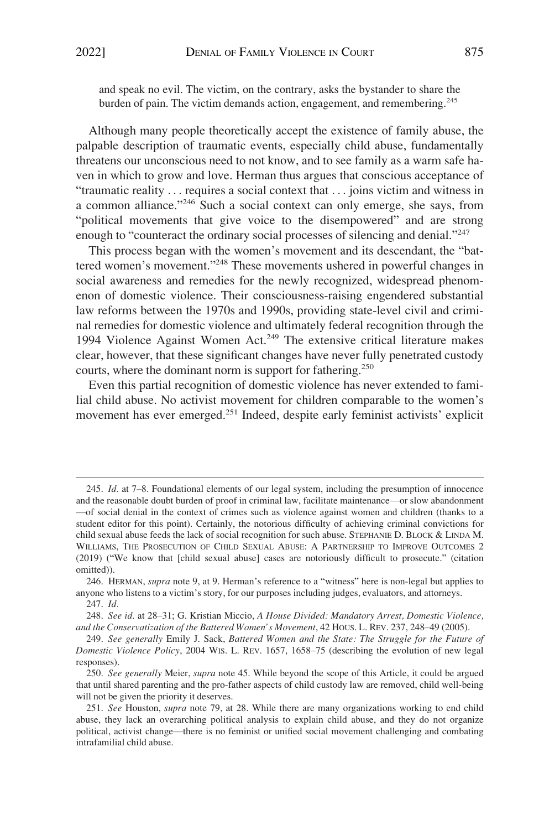and speak no evil. The victim, on the contrary, asks the bystander to share the burden of pain. The victim demands action, engagement, and remembering.<sup>245</sup>

Although many people theoretically accept the existence of family abuse, the palpable description of traumatic events, especially child abuse, fundamentally threatens our unconscious need to not know, and to see family as a warm safe haven in which to grow and love. Herman thus argues that conscious acceptance of "traumatic reality . . . requires a social context that . . . joins victim and witness in a common alliance."246 Such a social context can only emerge, she says, from "political movements that give voice to the disempowered" and are strong enough to "counteract the ordinary social processes of silencing and denial."<sup>247</sup>

This process began with the women's movement and its descendant, the "battered women's movement."248 These movements ushered in powerful changes in social awareness and remedies for the newly recognized, widespread phenomenon of domestic violence. Their consciousness-raising engendered substantial law reforms between the 1970s and 1990s, providing state-level civil and criminal remedies for domestic violence and ultimately federal recognition through the 1994 Violence Against Women Act.<sup>249</sup> The extensive critical literature makes clear, however, that these significant changes have never fully penetrated custody courts, where the dominant norm is support for fathering.<sup>250</sup>

Even this partial recognition of domestic violence has never extended to familial child abuse. No activist movement for children comparable to the women's movement has ever emerged.251 Indeed, despite early feminist activists' explicit

<sup>245.</sup> *Id.* at 7–8. Foundational elements of our legal system, including the presumption of innocence and the reasonable doubt burden of proof in criminal law, facilitate maintenance—or slow abandonment —of social denial in the context of crimes such as violence against women and children (thanks to a student editor for this point). Certainly, the notorious difficulty of achieving criminal convictions for child sexual abuse feeds the lack of social recognition for such abuse. STEPHANIE D. BLOCK & LINDA M. WILLIAMS, THE PROSECUTION OF CHILD SEXUAL ABUSE: A PARTNERSHIP TO IMPROVE OUTCOMES 2 (2019) ("We know that [child sexual abuse] cases are notoriously difficult to prosecute." (citation omitted)).

<sup>246.</sup> HERMAN, *supra* note 9, at 9. Herman's reference to a "witness" here is non-legal but applies to anyone who listens to a victim's story, for our purposes including judges, evaluators, and attorneys. 247. *Id.* 

<sup>248.</sup> *See id.* at 28–31; G. Kristian Miccio, *A House Divided: Mandatory Arrest, Domestic Violence, and the Conservatization of the Battered Women's Movement*, 42 HOUS. L. REV. 237, 248–49 (2005).

<sup>249.</sup> *See generally* Emily J. Sack, *Battered Women and the State: The Struggle for the Future of Domestic Violence Policy*, 2004 WIS. L. REV. 1657, 1658–75 (describing the evolution of new legal responses).

<sup>250.</sup> *See generally* Meier, *supra* note 45. While beyond the scope of this Article, it could be argued that until shared parenting and the pro-father aspects of child custody law are removed, child well-being will not be given the priority it deserves.

<sup>251.</sup> *See* Houston, *supra* note 79, at 28. While there are many organizations working to end child abuse, they lack an overarching political analysis to explain child abuse, and they do not organize political, activist change—there is no feminist or unified social movement challenging and combating intrafamilial child abuse.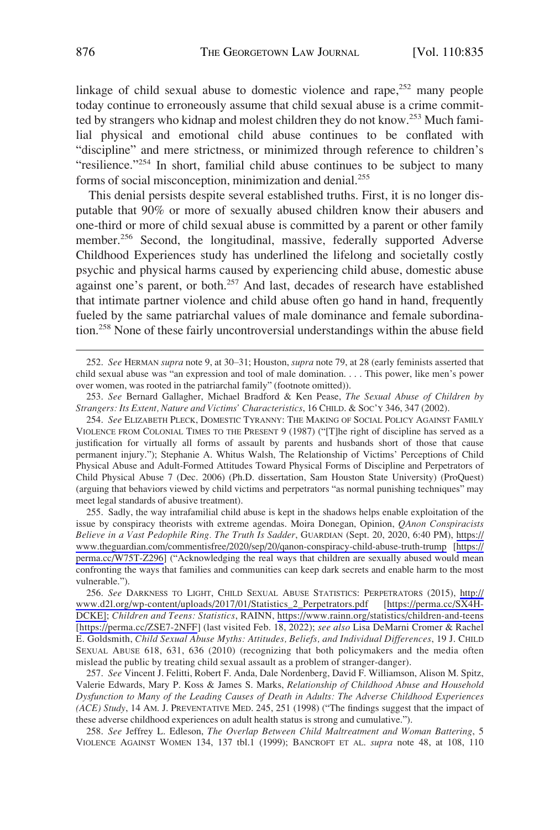linkage of child sexual abuse to domestic violence and rape, $252$  many people today continue to erroneously assume that child sexual abuse is a crime committed by strangers who kidnap and molest children they do not know.253 Much familial physical and emotional child abuse continues to be conflated with "discipline" and mere strictness, or minimized through reference to children's "resilience."<sup>254</sup> In short, familial child abuse continues to be subject to many forms of social misconception, minimization and denial.<sup>255</sup>

This denial persists despite several established truths. First, it is no longer disputable that 90% or more of sexually abused children know their abusers and one-third or more of child sexual abuse is committed by a parent or other family member.<sup>256</sup> Second, the longitudinal, massive, federally supported Adverse Childhood Experiences study has underlined the lifelong and societally costly psychic and physical harms caused by experiencing child abuse, domestic abuse against one's parent, or both.<sup>257</sup> And last, decades of research have established that intimate partner violence and child abuse often go hand in hand, frequently fueled by the same patriarchal values of male dominance and female subordination.258 None of these fairly uncontroversial understandings within the abuse field

254. *See* ELIZABETH PLECK, DOMESTIC TYRANNY: THE MAKING OF SOCIAL POLICY AGAINST FAMILY VIOLENCE FROM COLONIAL TIMES TO THE PRESENT 9 (1987) ("[T]he right of discipline has served as a justification for virtually all forms of assault by parents and husbands short of those that cause permanent injury."); Stephanie A. Whitus Walsh, The Relationship of Victims' Perceptions of Child Physical Abuse and Adult-Formed Attitudes Toward Physical Forms of Discipline and Perpetrators of Child Physical Abuse 7 (Dec. 2006) (Ph.D. dissertation, Sam Houston State University) (ProQuest) (arguing that behaviors viewed by child victims and perpetrators "as normal punishing techniques" may meet legal standards of abusive treatment).

255. Sadly, the way intrafamilial child abuse is kept in the shadows helps enable exploitation of the issue by conspiracy theorists with extreme agendas. Moira Donegan, Opinion, *QAnon Conspiracists Believe in a Vast Pedophile Ring. The Truth Is Sadder*, GUARDIAN (Sept. 20, 2020, 6:40 PM), [https://](https://www.theguardian.com/commentisfree/2020/sep/20/qanon-conspiracy-child-abuse-truth-trump)  [www.theguardian.com/commentisfree/2020/sep/20/qanon-conspiracy-child-abuse-truth-trump](https://www.theguardian.com/commentisfree/2020/sep/20/qanon-conspiracy-child-abuse-truth-trump) [\[https://](https://perma.cc/W75T-Z296)  [perma.cc/W75T-Z296\]](https://perma.cc/W75T-Z296) ("Acknowledging the real ways that children are sexually abused would mean confronting the ways that families and communities can keep dark secrets and enable harm to the most vulnerable.").

*See* DARKNESS TO LIGHT, CHILD SEXUAL ABUSE STATISTICS: PERPETRATORS (2015), [http://](http://www.d2l.org/wp-content/uploads/2017/01/Statistics_2_Perpetrators.pdf)  256. [www.d2l.org/wp-content/uploads/2017/01/Statistics\\_2\\_Perpetrators.pdf](http://www.d2l.org/wp-content/uploads/2017/01/Statistics_2_Perpetrators.pdf) [\[https://perma.cc/SX4H-](https://perma.cc/SX4H-DCKE)[DCKE\];](https://perma.cc/SX4H-DCKE) *Children and Teens: Statistics*, RAINN, <https://www.rainn.org/statistics/children-and-teens> [<https://perma.cc/ZSE7-2NFF>] (last visited Feb. 18, 2022); *see also* Lisa DeMarni Cromer & Rachel E. Goldsmith, *Child Sexual Abuse Myths: Attitudes, Beliefs, and Individual Differences*, 19 J. CHILD SEXUAL ABUSE 618, 631, 636 (2010) (recognizing that both policymakers and the media often mislead the public by treating child sexual assault as a problem of stranger-danger).

257. *See* Vincent J. Felitti, Robert F. Anda, Dale Nordenberg, David F. Williamson, Alison M. Spitz, Valerie Edwards, Mary P. Koss & James S. Marks, *Relationship of Childhood Abuse and Household Dysfunction to Many of the Leading Causes of Death in Adults: The Adverse Childhood Experiences (ACE) Study*, 14 AM. J. PREVENTATIVE MED. 245, 251 (1998) ("The findings suggest that the impact of these adverse childhood experiences on adult health status is strong and cumulative.").

258. *See* Jeffrey L. Edleson, *The Overlap Between Child Maltreatment and Woman Battering*, 5 VIOLENCE AGAINST WOMEN 134, 137 tbl.1 (1999); BANCROFT ET AL. *supra* note 48, at 108, 110

<sup>252.</sup> *See* HERMAN *supra* note 9, at 30–31; Houston, *supra* note 79, at 28 (early feminists asserted that child sexual abuse was "an expression and tool of male domination. . . . This power, like men's power over women, was rooted in the patriarchal family" (footnote omitted)).

<sup>253.</sup> *See* Bernard Gallagher, Michael Bradford & Ken Pease, *The Sexual Abuse of Children by Strangers: Its Extent, Nature and Victims' Characteristics*, 16 CHILD. & SOC'Y 346, 347 (2002).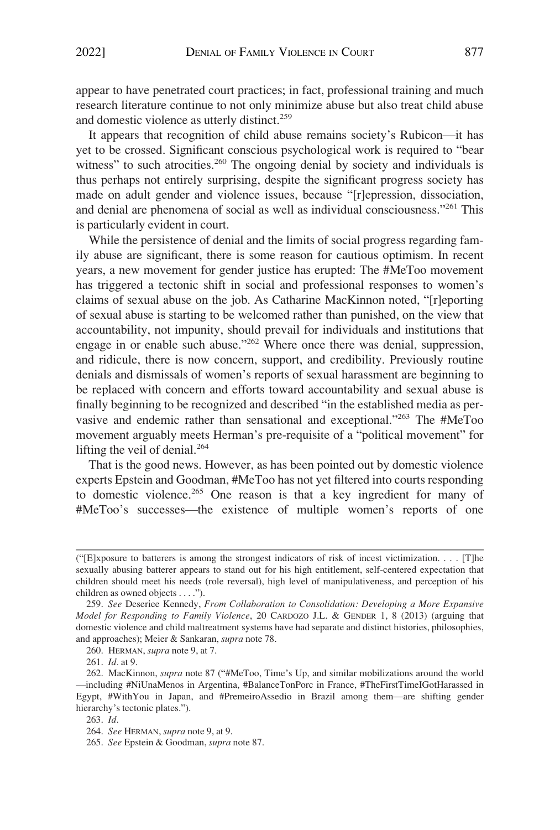appear to have penetrated court practices; in fact, professional training and much research literature continue to not only minimize abuse but also treat child abuse and domestic violence as utterly distinct.<sup>259</sup>

It appears that recognition of child abuse remains society's Rubicon—it has yet to be crossed. Significant conscious psychological work is required to "bear witness" to such atrocities.<sup>260</sup> The ongoing denial by society and individuals is thus perhaps not entirely surprising, despite the significant progress society has made on adult gender and violence issues, because "[r]epression, dissociation, and denial are phenomena of social as well as individual consciousness."261 This is particularly evident in court.

While the persistence of denial and the limits of social progress regarding family abuse are significant, there is some reason for cautious optimism. In recent years, a new movement for gender justice has erupted: The #MeToo movement has triggered a tectonic shift in social and professional responses to women's claims of sexual abuse on the job. As Catharine MacKinnon noted, "[r]eporting of sexual abuse is starting to be welcomed rather than punished, on the view that accountability, not impunity, should prevail for individuals and institutions that engage in or enable such abuse."262 Where once there was denial, suppression, and ridicule, there is now concern, support, and credibility. Previously routine denials and dismissals of women's reports of sexual harassment are beginning to be replaced with concern and efforts toward accountability and sexual abuse is finally beginning to be recognized and described "in the established media as pervasive and endemic rather than sensational and exceptional."263 The #MeToo movement arguably meets Herman's pre-requisite of a "political movement" for lifting the veil of denial. $264$ 

That is the good news. However, as has been pointed out by domestic violence experts Epstein and Goodman, #MeToo has not yet filtered into courts responding to domestic violence.265 One reason is that a key ingredient for many of #MeToo's successes—the existence of multiple women's reports of one

<sup>(</sup>"[E]xposure to batterers is among the strongest indicators of risk of incest victimization. . . . [T]he sexually abusing batterer appears to stand out for his high entitlement, self-centered expectation that children should meet his needs (role reversal), high level of manipulativeness, and perception of his children as owned objects . . . .").

<sup>259.</sup> *See* Deseriee Kennedy, *From Collaboration to Consolidation: Developing a More Expansive Model for Responding to Family Violence*, 20 CARDOZO J.L. & GENDER 1, 8 (2013) (arguing that domestic violence and child maltreatment systems have had separate and distinct histories, philosophies, and approaches); Meier & Sankaran, *supra* note 78.

<sup>260.</sup> HERMAN, *supra* note 9, at 7.

<sup>261.</sup> *Id.* at 9.

<sup>262.</sup> MacKinnon, *supra* note 87 ("#MeToo, Time's Up, and similar mobilizations around the world —including #NiUnaMenos in Argentina, #BalanceTonPorc in France, #TheFirstTimeIGotHarassed in Egypt, #WithYou in Japan, and #PremeiroAssedio in Brazil among them—are shifting gender hierarchy's tectonic plates.").

<sup>263.</sup> *Id.* 

<sup>264.</sup> *See* HERMAN, *supra* note 9, at 9.

<sup>265.</sup> *See* Epstein & Goodman, *supra* note 87.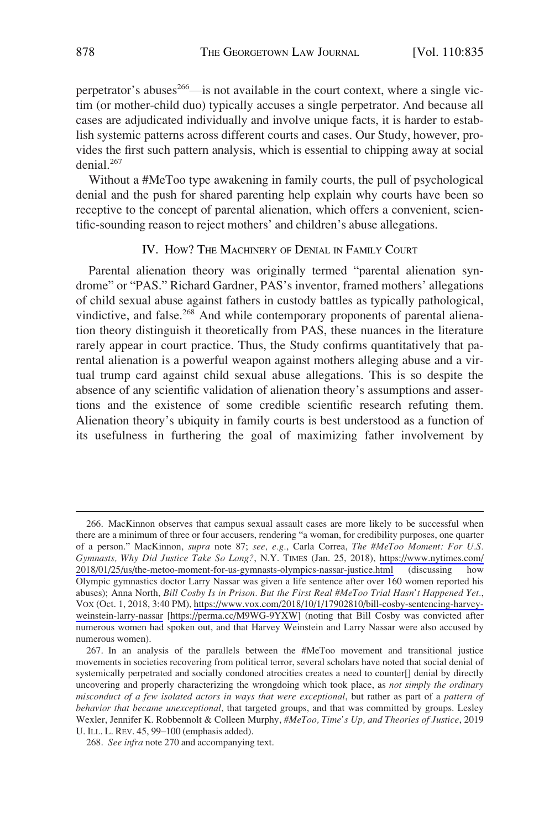<span id="page-43-0"></span>perpetrator's abuses<sup>266</sup>—is not available in the court context, where a single victim (or mother-child duo) typically accuses a single perpetrator. And because all cases are adjudicated individually and involve unique facts, it is harder to establish systemic patterns across different courts and cases. Our Study, however, provides the first such pattern analysis, which is essential to chipping away at social denial.267

Without a #MeToo type awakening in family courts, the pull of psychological denial and the push for shared parenting help explain why courts have been so receptive to the concept of parental alienation, which offers a convenient, scientific-sounding reason to reject mothers' and children's abuse allegations.

## IV. HOW? THE MACHINERY OF DENIAL IN FAMILY COURT

Parental alienation theory was originally termed "parental alienation syndrome" or "PAS." Richard Gardner, PAS's inventor, framed mothers' allegations of child sexual abuse against fathers in custody battles as typically pathological, vindictive, and false.<sup>268</sup> And while contemporary proponents of parental alienation theory distinguish it theoretically from PAS, these nuances in the literature rarely appear in court practice. Thus, the Study confirms quantitatively that parental alienation is a powerful weapon against mothers alleging abuse and a virtual trump card against child sexual abuse allegations. This is so despite the absence of any scientific validation of alienation theory's assumptions and assertions and the existence of some credible scientific research refuting them. Alienation theory's ubiquity in family courts is best understood as a function of its usefulness in furthering the goal of maximizing father involvement by

<sup>266.</sup> MacKinnon observes that campus sexual assault cases are more likely to be successful when there are a minimum of three or four accusers, rendering "a woman, for credibility purposes, one quarter of a person." MacKinnon, *supra* note 87; *see, e.g.*, Carla Correa, *The #MeToo Moment: For U.S. Gymnasts, Why Did Justice Take So Long?*, N.Y. TIMES (Jan. 25, 2018), [https://www.nytimes.com/](https://www.nytimes.com/2018/01/25/us/the-metoo-moment-for-us-gymnasts-olympics-nassar-justice.html)  [2018/01/25/us/the-metoo-moment-for-us-gymnasts-olympics-nassar-justice.html](https://www.nytimes.com/2018/01/25/us/the-metoo-moment-for-us-gymnasts-olympics-nassar-justice.html) (discussing how Olympic gymnastics doctor Larry Nassar was given a life sentence after over 160 women reported his abuses); Anna North, *Bill Cosby Is in Prison. But the First Real #MeToo Trial Hasn't Happened Yet.*, VOX (Oct. 1, 2018, 3:40 PM), [https://www.vox.com/2018/10/1/17902810/bill-cosby-sentencing-harvey](https://www.vox.com/2018/10/1/17902810/bill-cosby-sentencing-harvey-weinstein-larry-nassar)[weinstein-larry-nassar](https://www.vox.com/2018/10/1/17902810/bill-cosby-sentencing-harvey-weinstein-larry-nassar) [\[https://perma.cc/M9WG-9YXW\]](https://perma.cc/M9WG-9YXW) (noting that Bill Cosby was convicted after numerous women had spoken out, and that Harvey Weinstein and Larry Nassar were also accused by numerous women).

<sup>267.</sup> In an analysis of the parallels between the #MeToo movement and transitional justice movements in societies recovering from political terror, several scholars have noted that social denial of systemically perpetrated and socially condoned atrocities creates a need to counter[] denial by directly uncovering and properly characterizing the wrongdoing which took place, as *not simply the ordinary misconduct of a few isolated actors in ways that were exceptional*, but rather as part of a *pattern of behavior that became unexceptional*, that targeted groups, and that was committed by groups. Lesley Wexler, Jennifer K. Robbennolt & Colleen Murphy, *#MeToo, Time's Up, and Theories of Justice*, 2019 U. ILL. L. REV. 45, 99–100 (emphasis added).

<sup>268.</sup> *See infra* note 270 and accompanying text.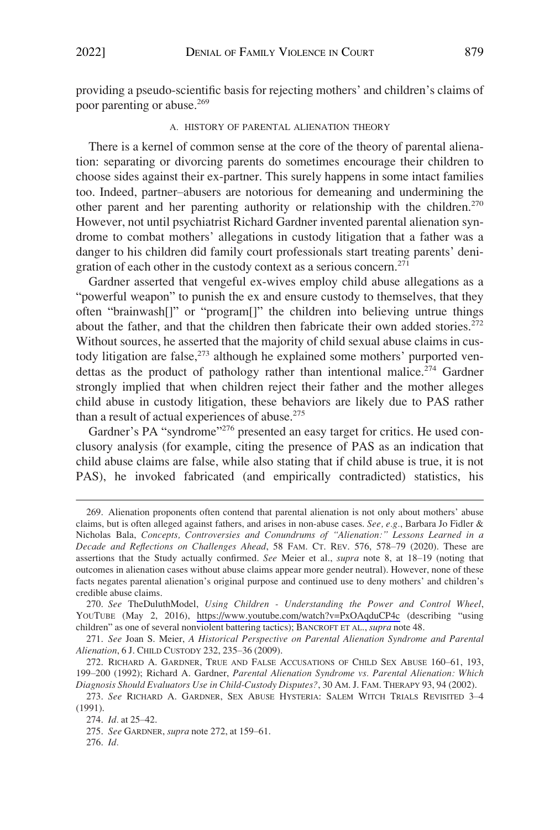<span id="page-44-0"></span>providing a pseudo-scientific basis for rejecting mothers' and children's claims of poor parenting or abuse.269

## A. HISTORY OF PARENTAL ALIENATION THEORY

There is a kernel of common sense at the core of the theory of parental alienation: separating or divorcing parents do sometimes encourage their children to choose sides against their ex-partner. This surely happens in some intact families too. Indeed, partner–abusers are notorious for demeaning and undermining the other parent and her parenting authority or relationship with the children.<sup>270</sup> However, not until psychiatrist Richard Gardner invented parental alienation syndrome to combat mothers' allegations in custody litigation that a father was a danger to his children did family court professionals start treating parents' denigration of each other in the custody context as a serious concern. $271$ 

Gardner asserted that vengeful ex-wives employ child abuse allegations as a "powerful weapon" to punish the ex and ensure custody to themselves, that they often "brainwash[]" or "program[]" the children into believing untrue things about the father, and that the children then fabricate their own added stories.<sup>272</sup> Without sources, he asserted that the majority of child sexual abuse claims in custody litigation are false, $273$  although he explained some mothers' purported vendettas as the product of pathology rather than intentional malice.<sup>274</sup> Gardner strongly implied that when children reject their father and the mother alleges child abuse in custody litigation, these behaviors are likely due to PAS rather than a result of actual experiences of abuse.<sup>275</sup>

Gardner's PA "syndrome"<sup>276</sup> presented an easy target for critics. He used conclusory analysis (for example, citing the presence of PAS as an indication that child abuse claims are false, while also stating that if child abuse is true, it is not PAS), he invoked fabricated (and empirically contradicted) statistics, his

<sup>269.</sup> Alienation proponents often contend that parental alienation is not only about mothers' abuse claims, but is often alleged against fathers, and arises in non-abuse cases. *See, e.g.*, Barbara Jo Fidler & Nicholas Bala, *Concepts, Controversies and Conundrums of "Alienation:" Lessons Learned in a Decade and Reflections on Challenges Ahead*, 58 FAM. CT. REV. 576, 578–79 (2020). These are assertions that the Study actually confirmed. *See* Meier et al., *supra* note 8, at 18–19 (noting that outcomes in alienation cases without abuse claims appear more gender neutral). However, none of these facts negates parental alienation's original purpose and continued use to deny mothers' and children's credible abuse claims.

*See* TheDuluthModel, *Using Children - Understanding the Power and Control Wheel*, 270. YOUTUBE (May 2, 2016), <https://www.youtube.com/watch?v=PxOAqduCP4c> (describing "using children" as one of several nonviolent battering tactics); BANCROFT ET AL., *supra* note 48.

<sup>271.</sup> *See* Joan S. Meier, *A Historical Perspective on Parental Alienation Syndrome and Parental Alienation*, 6 J. CHILD CUSTODY 232, 235–36 (2009).

<sup>272.</sup> RICHARD A. GARDNER, TRUE AND FALSE ACCUSATIONS OF CHILD SEX ABUSE 160–61, 193, 199–200 (1992); Richard A. Gardner, *Parental Alienation Syndrome vs. Parental Alienation: Which Diagnosis Should Evaluators Use in Child-Custody Disputes?*, 30 AM. J. FAM. THERAPY 93, 94 (2002).

<sup>273.</sup> *See* RICHARD A. GARDNER, SEX ABUSE HYSTERIA: SALEM WITCH TRIALS REVISITED 3–4 (1991).

<sup>274.</sup> *Id.* at 25–42.

<sup>275.</sup> *See* GARDNER, *supra* note 272, at 159–61.

<sup>276.</sup> *Id.*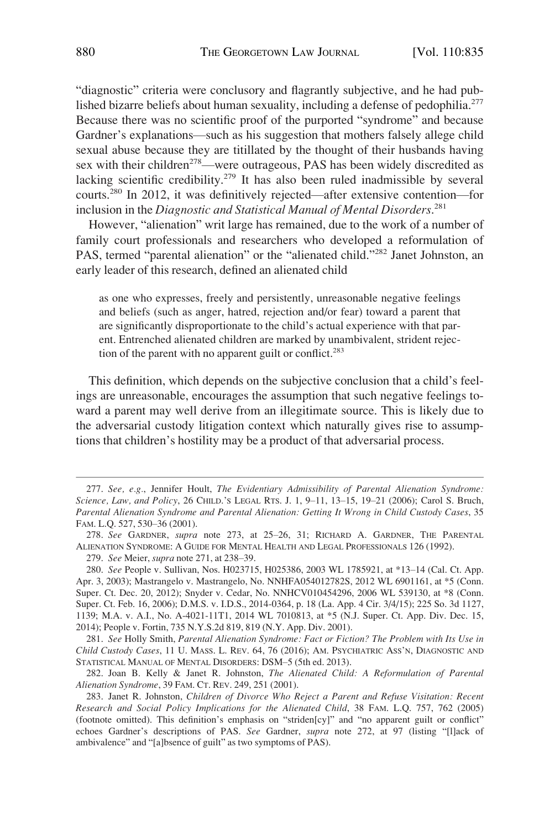"diagnostic" criteria were conclusory and flagrantly subjective, and he had published bizarre beliefs about human sexuality, including a defense of pedophilia.<sup>277</sup> Because there was no scientific proof of the purported "syndrome" and because Gardner's explanations—such as his suggestion that mothers falsely allege child sexual abuse because they are titillated by the thought of their husbands having sex with their children<sup>278</sup>—were outrageous, PAS has been widely discredited as lacking scientific credibility.<sup>279</sup> It has also been ruled inadmissible by several courts.280 In 2012, it was definitively rejected—after extensive contention—for inclusion in the *Diagnostic and Statistical Manual of Mental Disorders*. 281

However, "alienation" writ large has remained, due to the work of a number of family court professionals and researchers who developed a reformulation of PAS, termed "parental alienation" or the "alienated child."<sup>282</sup> Janet Johnston, an early leader of this research, defined an alienated child

as one who expresses, freely and persistently, unreasonable negative feelings and beliefs (such as anger, hatred, rejection and/or fear) toward a parent that are significantly disproportionate to the child's actual experience with that parent. Entrenched alienated children are marked by unambivalent, strident rejection of the parent with no apparent guilt or conflict.<sup>283</sup>

This definition, which depends on the subjective conclusion that a child's feelings are unreasonable, encourages the assumption that such negative feelings toward a parent may well derive from an illegitimate source. This is likely due to the adversarial custody litigation context which naturally gives rise to assumptions that children's hostility may be a product of that adversarial process.

<sup>277.</sup> *See, e.g.*, Jennifer Hoult, *The Evidentiary Admissibility of Parental Alienation Syndrome: Science, Law, and Policy*, 26 CHILD.'S LEGAL RTS. J. 1, 9–11, 13–15, 19–21 (2006); Carol S. Bruch, *Parental Alienation Syndrome and Parental Alienation: Getting It Wrong in Child Custody Cases*, 35 FAM. L.Q. 527, 530–36 (2001).

<sup>278.</sup> *See* GARDNER, *supra* note 273, at 25–26, 31; RICHARD A. GARDNER, THE PARENTAL ALIENATION SYNDROME: A GUIDE FOR MENTAL HEALTH AND LEGAL PROFESSIONALS 126 (1992).

<sup>279.</sup> *See* Meier, *supra* note 271, at 238–39.

<sup>280.</sup> *See* People v. Sullivan, Nos. H023715, H025386, 2003 WL 1785921, at \*13–14 (Cal. Ct. App. Apr. 3, 2003); Mastrangelo v. Mastrangelo, No. NNHFA054012782S, 2012 WL 6901161, at \*5 (Conn. Super. Ct. Dec. 20, 2012); Snyder v. Cedar, No. NNHCV010454296, 2006 WL 539130, at \*8 (Conn. Super. Ct. Feb. 16, 2006); D.M.S. v. I.D.S., 2014-0364, p. 18 (La. App. 4 Cir. 3/4/15); 225 So. 3d 1127, 1139; M.A. v. A.I., No. A-4021-11T1, 2014 WL 7010813, at \*5 (N.J. Super. Ct. App. Div. Dec. 15, 2014); People v. Fortin, 735 N.Y.S.2d 819, 819 (N.Y. App. Div. 2001).

<sup>281.</sup> *See* Holly Smith, *Parental Alienation Syndrome: Fact or Fiction? The Problem with Its Use in Child Custody Cases*, 11 U. MASS. L. REV. 64, 76 (2016); AM. PSYCHIATRIC ASS'N, DIAGNOSTIC AND STATISTICAL MANUAL OF MENTAL DISORDERS: DSM–5 (5th ed. 2013).

<sup>282.</sup> Joan B. Kelly & Janet R. Johnston, *The Alienated Child: A Reformulation of Parental Alienation Syndrome*, 39 FAM. CT. REV. 249, 251 (2001).

<sup>283.</sup> Janet R. Johnston, *Children of Divorce Who Reject a Parent and Refuse Visitation: Recent Research and Social Policy Implications for the Alienated Child*, 38 FAM. L.Q. 757, 762 (2005) (footnote omitted). This definition's emphasis on "striden[cy]" and "no apparent guilt or conflict" echoes Gardner's descriptions of PAS. *See* Gardner, *supra* note 272, at 97 (listing "[l]ack of ambivalence" and "[a]bsence of guilt" as two symptoms of PAS).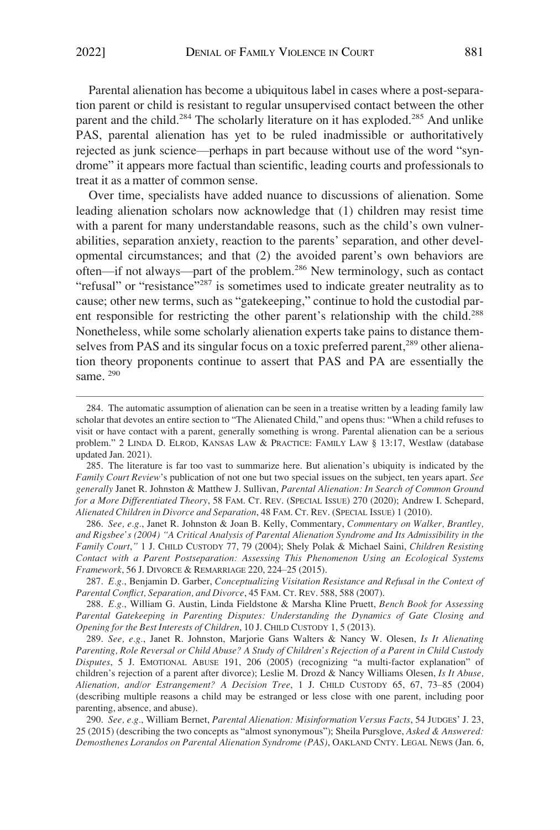Parental alienation has become a ubiquitous label in cases where a post-separation parent or child is resistant to regular unsupervised contact between the other parent and the child.<sup>284</sup> The scholarly literature on it has exploded.<sup>285</sup> And unlike PAS, parental alienation has yet to be ruled inadmissible or authoritatively rejected as junk science—perhaps in part because without use of the word "syndrome" it appears more factual than scientific, leading courts and professionals to treat it as a matter of common sense.

Over time, specialists have added nuance to discussions of alienation. Some leading alienation scholars now acknowledge that (1) children may resist time with a parent for many understandable reasons, such as the child's own vulnerabilities, separation anxiety, reaction to the parents' separation, and other developmental circumstances; and that (2) the avoided parent's own behaviors are often—if not always—part of the problem.286 New terminology, such as contact "refusal" or "resistance"<sup>287</sup> is sometimes used to indicate greater neutrality as to cause; other new terms, such as "gatekeeping," continue to hold the custodial parent responsible for restricting the other parent's relationship with the child.<sup>288</sup> Nonetheless, while some scholarly alienation experts take pains to distance themselves from PAS and its singular focus on a toxic preferred parent,<sup>289</sup> other alienation theory proponents continue to assert that PAS and PA are essentially the same.<sup>290</sup>

286. *See, e.g.*, Janet R. Johnston & Joan B. Kelly, Commentary, *Commentary on Walker, Brantley, and Rigsbee's (2004) "A Critical Analysis of Parental Alienation Syndrome and Its Admissibility in the Family Court*,*"* 1 J. CHILD CUSTODY 77, 79 (2004); Shely Polak & Michael Saini, *Children Resisting Contact with a Parent Postseparation: Assessing This Phenomenon Using an Ecological Systems Framework*, 56 J. DIVORCE & REMARRIAGE 220, 224–25 (2015).

287. *E.g.*, Benjamin D. Garber, *Conceptualizing Visitation Resistance and Refusal in the Context of Parental Conflict, Separation, and Divorce*, 45 FAM. CT. REV. 588, 588 (2007).

288. *E.g.*, William G. Austin, Linda Fieldstone & Marsha Kline Pruett, *Bench Book for Assessing Parental Gatekeeping in Parenting Disputes: Understanding the Dynamics of Gate Closing and Opening for the Best Interests of Children*, 10 J. CHILD CUSTODY 1, 5 (2013).

289. *See, e.g.*, Janet R. Johnston, Marjorie Gans Walters & Nancy W. Olesen, *Is It Alienating Parenting, Role Reversal or Child Abuse? A Study of Children's Rejection of a Parent in Child Custody Disputes*, 5 J. EMOTIONAL ABUSE 191, 206 (2005) (recognizing "a multi-factor explanation" of children's rejection of a parent after divorce); Leslie M. Drozd & Nancy Williams Olesen, *Is It Abuse, Alienation, and/or Estrangement? A Decision Tree*, 1 J. CHILD CUSTODY 65, 67, 73–85 (2004) (describing multiple reasons a child may be estranged or less close with one parent, including poor parenting, absence, and abuse).

*See, e.g.*, William Bernet, *Parental Alienation: Misinformation Versus Facts*, 54 JUDGES' J. 23, 290. 25 (2015) (describing the two concepts as "almost synonymous"); Sheila Pursglove, *Asked & Answered: Demosthenes Lorandos on Parental Alienation Syndrome (PAS)*, OAKLAND CNTY. LEGAL NEWS (Jan. 6,

<sup>284.</sup> The automatic assumption of alienation can be seen in a treatise written by a leading family law scholar that devotes an entire section to "The Alienated Child," and opens thus: "When a child refuses to visit or have contact with a parent, generally something is wrong. Parental alienation can be a serious problem." 2 LINDA D. ELROD, KANSAS LAW & PRACTICE: FAMILY LAW § 13:17, Westlaw (database updated Jan. 2021).

<sup>285.</sup> The literature is far too vast to summarize here. But alienation's ubiquity is indicated by the *Family Court Review*'s publication of not one but two special issues on the subject, ten years apart. *See generally* Janet R. Johnston & Matthew J. Sullivan, *Parental Alienation: In Search of Common Ground for a More Differentiated Theory*, 58 FAM. CT. REV. (SPECIAL ISSUE) 270 (2020); Andrew I. Schepard, *Alienated Children in Divorce and Separation*, 48 FAM. CT. REV. (SPECIAL ISSUE) 1 (2010).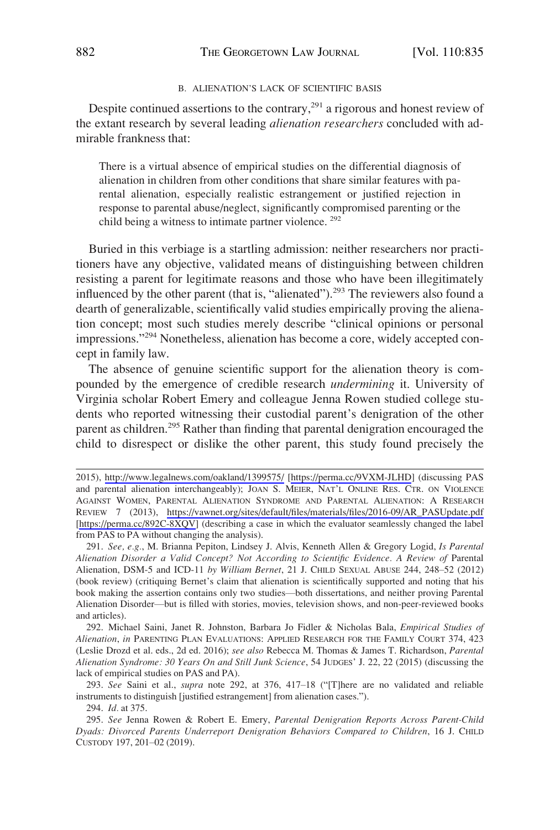#### B. ALIENATION'S LACK OF SCIENTIFIC BASIS

<span id="page-47-0"></span>Despite continued assertions to the contrary, $291$  a rigorous and honest review of the extant research by several leading *alienation researchers* concluded with admirable frankness that:

There is a virtual absence of empirical studies on the differential diagnosis of alienation in children from other conditions that share similar features with parental alienation, especially realistic estrangement or justified rejection in response to parental abuse/neglect, significantly compromised parenting or the child being a witness to intimate partner violence. 292

Buried in this verbiage is a startling admission: neither researchers nor practitioners have any objective, validated means of distinguishing between children resisting a parent for legitimate reasons and those who have been illegitimately influenced by the other parent (that is, "alienated").<sup>293</sup> The reviewers also found a dearth of generalizable, scientifically valid studies empirically proving the alienation concept; most such studies merely describe "clinical opinions or personal impressions."294 Nonetheless, alienation has become a core, widely accepted concept in family law.

The absence of genuine scientific support for the alienation theory is compounded by the emergence of credible research *undermining* it. University of Virginia scholar Robert Emery and colleague Jenna Rowen studied college students who reported witnessing their custodial parent's denigration of the other parent as children.<sup>295</sup> Rather than finding that parental denigration encouraged the child to disrespect or dislike the other parent, this study found precisely the

292. Michael Saini, Janet R. Johnston, Barbara Jo Fidler & Nicholas Bala, *Empirical Studies of Alienation*, *in* PARENTING PLAN EVALUATIONS: APPLIED RESEARCH FOR THE FAMILY COURT 374, 423 (Leslie Drozd et al. eds., 2d ed. 2016); *see also* Rebecca M. Thomas & James T. Richardson, *Parental Alienation Syndrome: 30 Years On and Still Junk Science*, 54 JUDGES' J. 22, 22 (2015) (discussing the lack of empirical studies on PAS and PA).

293. *See* Saini et al., *supra* note 292, at 376, 417–18 ("[T]here are no validated and reliable instruments to distinguish [justified estrangement] from alienation cases.").

<sup>2015),</sup> <http://www.legalnews.com/oakland/1399575/>[<https://perma.cc/9VXM-JLHD>] (discussing PAS and parental alienation interchangeably); JOAN S. MEIER, NAT'L ONLINE RES. CTR. ON VIOLENCE AGAINST WOMEN, PARENTAL ALIENATION SYNDROME AND PARENTAL ALIENATION: A RESEARCH REVIEW 7 (2013), [https://vawnet.org/sites/default/files/materials/files/2016-09/AR\\_PASUpdate.pdf](https://vawnet.org/sites/default/files/materials/files/2016-09/AR_PASUpdate.pdf)  [[https://perma.cc/892C-8XQV\]](https://perma.cc/892C-8XQV) (describing a case in which the evaluator seamlessly changed the label from PAS to PA without changing the analysis).

<sup>291.</sup> *See, e.g.*, M. Brianna Pepiton, Lindsey J. Alvis, Kenneth Allen & Gregory Logid, *Is Parental Alienation Disorder a Valid Concept? Not According to Scientific Evidence. A Review of* Parental Alienation, DSM-5 and ICD-11 *by William Bernet*, 21 J. CHILD SEXUAL ABUSE 244, 248–52 (2012) (book review) (critiquing Bernet's claim that alienation is scientifically supported and noting that his book making the assertion contains only two studies—both dissertations, and neither proving Parental Alienation Disorder—but is filled with stories, movies, television shows, and non-peer-reviewed books and articles).

<sup>294.</sup> *Id.* at 375.

<sup>295.</sup> *See* Jenna Rowen & Robert E. Emery, *Parental Denigration Reports Across Parent-Child Dyads: Divorced Parents Underreport Denigration Behaviors Compared to Children*, 16 J. CHILD CUSTODY 197, 201–02 (2019).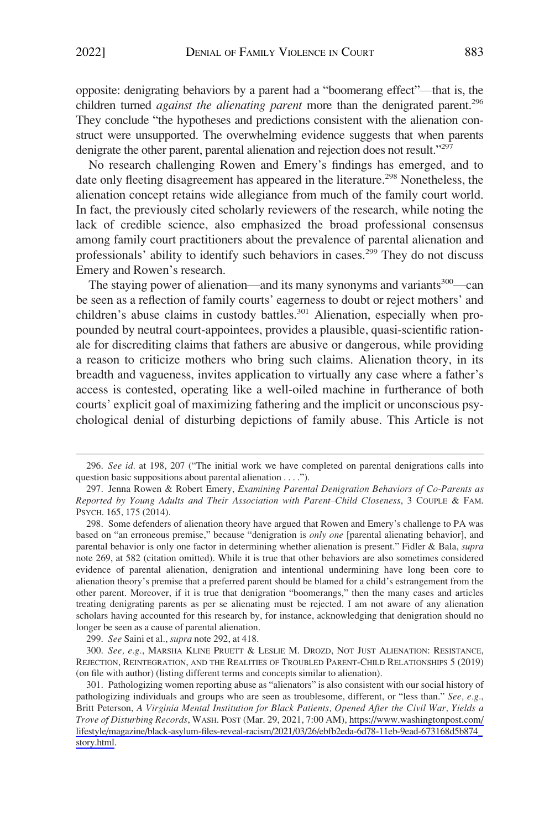opposite: denigrating behaviors by a parent had a "boomerang effect"—that is, the children turned *against the alienating parent* more than the denigrated parent.<sup>296</sup> They conclude "the hypotheses and predictions consistent with the alienation construct were unsupported. The overwhelming evidence suggests that when parents denigrate the other parent, parental alienation and rejection does not result."<sup>297</sup>

No research challenging Rowen and Emery's findings has emerged, and to date only fleeting disagreement has appeared in the literature.<sup>298</sup> Nonetheless, the alienation concept retains wide allegiance from much of the family court world. In fact, the previously cited scholarly reviewers of the research, while noting the lack of credible science, also emphasized the broad professional consensus among family court practitioners about the prevalence of parental alienation and professionals' ability to identify such behaviors in cases.<sup>299</sup> They do not discuss Emery and Rowen's research.

The staying power of alienation—and its many synonyms and variants $300$ —can be seen as a reflection of family courts' eagerness to doubt or reject mothers' and children's abuse claims in custody battles.<sup>301</sup> Alienation, especially when propounded by neutral court-appointees, provides a plausible, quasi-scientific rationale for discrediting claims that fathers are abusive or dangerous, while providing a reason to criticize mothers who bring such claims. Alienation theory, in its breadth and vagueness, invites application to virtually any case where a father's access is contested, operating like a well-oiled machine in furtherance of both courts' explicit goal of maximizing fathering and the implicit or unconscious psychological denial of disturbing depictions of family abuse. This Article is not

<sup>296.</sup> *See id.* at 198, 207 ("The initial work we have completed on parental denigrations calls into question basic suppositions about parental alienation . . . .").

<sup>297.</sup> Jenna Rowen & Robert Emery, *Examining Parental Denigration Behaviors of Co-Parents as Reported by Young Adults and Their Association with Parent*–*Child Closeness*, 3 COUPLE & FAM. PSYCH. 165, 175 (2014).

<sup>298.</sup> Some defenders of alienation theory have argued that Rowen and Emery's challenge to PA was based on "an erroneous premise," because "denigration is *only one* [parental alienating behavior], and parental behavior is only one factor in determining whether alienation is present." Fidler & Bala, *supra*  note 269, at 582 (citation omitted). While it is true that other behaviors are also sometimes considered evidence of parental alienation, denigration and intentional undermining have long been core to alienation theory's premise that a preferred parent should be blamed for a child's estrangement from the other parent. Moreover, if it is true that denigration "boomerangs," then the many cases and articles treating denigrating parents as per se alienating must be rejected. I am not aware of any alienation scholars having accounted for this research by, for instance, acknowledging that denigration should no longer be seen as a cause of parental alienation.

<sup>299.</sup> *See* Saini et al., *supra* note 292, at 418.

<sup>300.</sup> *See, e.g.*, MARSHA KLINE PRUETT & LESLIE M. DROZD, NOT JUST ALIENATION: RESISTANCE, REJECTION, REINTEGRATION, AND THE REALITIES OF TROUBLED PARENT-CHILD RELATIONSHIPS 5 (2019) (on file with author) (listing different terms and concepts similar to alienation).

<sup>301.</sup> Pathologizing women reporting abuse as "alienators" is also consistent with our social history of pathologizing individuals and groups who are seen as troublesome, different, or "less than." *See, e.g.*, Britt Peterson, *A Virginia Mental Institution for Black Patients, Opened After the Civil War, Yields a Trove of Disturbing Records*, WASH. POST (Mar. 29, 2021, 7:00 AM), [https://www.washingtonpost.com/](https://www.washingtonpost.com/lifestyle/magazine/black-asylum-files-reveal-racism/2021/03/26/ebfb2eda-6d78-11eb-9ead-673168d5b874_story.html)  [lifestyle/magazine/black-asylum-files-reveal-racism/2021/03/26/ebfb2eda-6d78-11eb-9ead-673168d5b874\\_](https://www.washingtonpost.com/lifestyle/magazine/black-asylum-files-reveal-racism/2021/03/26/ebfb2eda-6d78-11eb-9ead-673168d5b874_story.html) [story.html](https://www.washingtonpost.com/lifestyle/magazine/black-asylum-files-reveal-racism/2021/03/26/ebfb2eda-6d78-11eb-9ead-673168d5b874_story.html).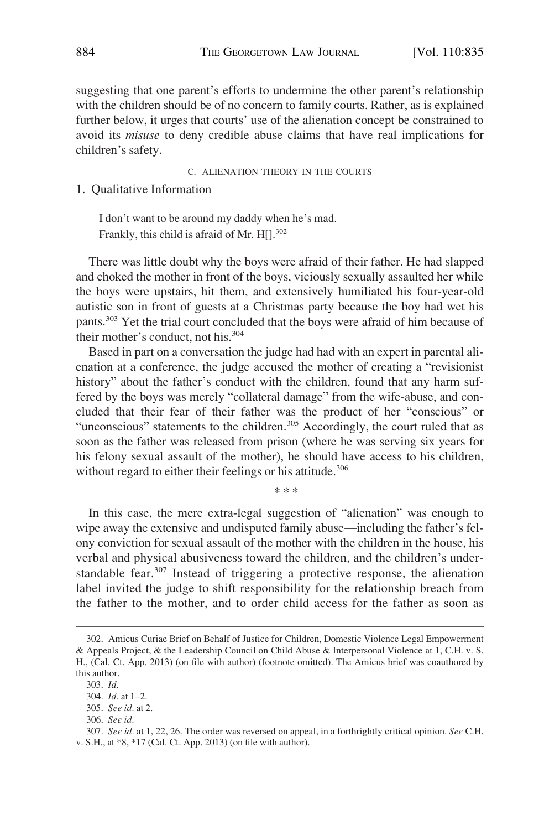<span id="page-49-0"></span>suggesting that one parent's efforts to undermine the other parent's relationship with the children should be of no concern to family courts. Rather, as is explained further below, it urges that courts' use of the alienation concept be constrained to avoid its *misuse* to deny credible abuse claims that have real implications for children's safety.

C. ALIENATION THEORY IN THE COURTS

1. Qualitative Information

I don't want to be around my daddy when he's mad. Frankly, this child is afraid of Mr. H[].<sup>302</sup>

There was little doubt why the boys were afraid of their father. He had slapped and choked the mother in front of the boys, viciously sexually assaulted her while the boys were upstairs, hit them, and extensively humiliated his four-year-old autistic son in front of guests at a Christmas party because the boy had wet his pants.303 Yet the trial court concluded that the boys were afraid of him because of their mother's conduct, not his.<sup>304</sup>

Based in part on a conversation the judge had had with an expert in parental alienation at a conference, the judge accused the mother of creating a "revisionist history" about the father's conduct with the children, found that any harm suffered by the boys was merely "collateral damage" from the wife-abuse, and concluded that their fear of their father was the product of her "conscious" or "unconscious" statements to the children.<sup>305</sup> Accordingly, the court ruled that as soon as the father was released from prison (where he was serving six years for his felony sexual assault of the mother), he should have access to his children, without regard to either their feelings or his attitude.<sup>306</sup>

\* \* \*

In this case, the mere extra-legal suggestion of "alienation" was enough to wipe away the extensive and undisputed family abuse—including the father's felony conviction for sexual assault of the mother with the children in the house, his verbal and physical abusiveness toward the children, and the children's understandable fear.<sup>307</sup> Instead of triggering a protective response, the alienation label invited the judge to shift responsibility for the relationship breach from the father to the mother, and to order child access for the father as soon as

<sup>302.</sup> Amicus Curiae Brief on Behalf of Justice for Children, Domestic Violence Legal Empowerment & Appeals Project, & the Leadership Council on Child Abuse & Interpersonal Violence at 1, C.H. v. S. H., (Cal. Ct. App. 2013) (on file with author) (footnote omitted). The Amicus brief was coauthored by this author.

<sup>303.</sup> *Id.* 

<sup>304.</sup> *Id.* at 1–2.

<sup>305.</sup> *See id.* at 2.

<sup>306.</sup> *See id.* 

<sup>307.</sup> *See id.* at 1, 22, 26. The order was reversed on appeal, in a forthrightly critical opinion. *See* C.H. v. S.H., at \*8, \*17 (Cal. Ct. App. 2013) (on file with author).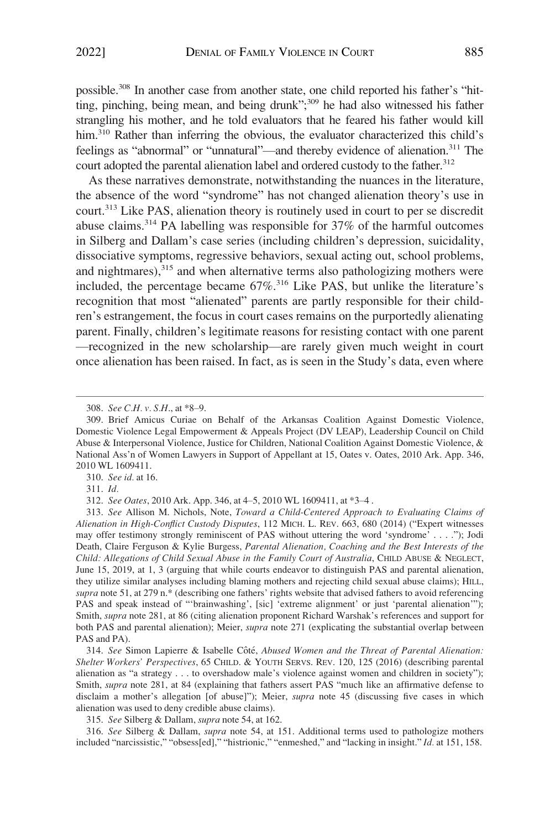possible.308 In another case from another state, one child reported his father's "hitting, pinching, being mean, and being drunk"; 309 he had also witnessed his father strangling his mother, and he told evaluators that he feared his father would kill him.<sup>310</sup> Rather than inferring the obvious, the evaluator characterized this child's feelings as "abnormal" or "unnatural"—and thereby evidence of alienation.311 The court adopted the parental alienation label and ordered custody to the father.<sup>312</sup>

As these narratives demonstrate, notwithstanding the nuances in the literature, the absence of the word "syndrome" has not changed alienation theory's use in court.313 Like PAS, alienation theory is routinely used in court to per se discredit abuse claims.<sup>314</sup> PA labelling was responsible for  $37\%$  of the harmful outcomes in Silberg and Dallam's case series (including children's depression, suicidality, dissociative symptoms, regressive behaviors, sexual acting out, school problems, and nightmares), $315$  and when alternative terms also pathologizing mothers were included, the percentage became  $67\%$ <sup>316</sup> Like PAS, but unlike the literature's recognition that most "alienated" parents are partly responsible for their children's estrangement, the focus in court cases remains on the purportedly alienating parent. Finally, children's legitimate reasons for resisting contact with one parent —recognized in the new scholarship—are rarely given much weight in court once alienation has been raised. In fact, as is seen in the Study's data, even where

310. *See id.* at 16.

311. *Id.* 

315. *See* Silberg & Dallam, *supra* note 54, at 162.

316. *See* Silberg & Dallam, *supra* note 54, at 151. Additional terms used to pathologize mothers included "narcissistic," "obsess[ed]," "histrionic," "enmeshed," and "lacking in insight." *Id.* at 151, 158.

<sup>308.</sup> *See C.H. v. S.H*., at \*8–9.

<sup>309.</sup> Brief Amicus Curiae on Behalf of the Arkansas Coalition Against Domestic Violence, Domestic Violence Legal Empowerment & Appeals Project (DV LEAP), Leadership Council on Child Abuse & Interpersonal Violence, Justice for Children, National Coalition Against Domestic Violence, & National Ass'n of Women Lawyers in Support of Appellant at 15, Oates v. Oates, 2010 Ark. App. 346, 2010 WL 1609411.

<sup>312.</sup> *See Oates*, 2010 Ark. App. 346, at 4–5, 2010 WL 1609411, at \*3–4 .

<sup>313.</sup> *See* Allison M. Nichols, Note, *Toward a Child-Centered Approach to Evaluating Claims of Alienation in High-Conflict Custody Disputes*, 112 MICH. L. REV. 663, 680 (2014) ("Expert witnesses may offer testimony strongly reminiscent of PAS without uttering the word 'syndrome' . . . ."); Jodi Death, Claire Ferguson & Kylie Burgess, *Parental Alienation, Coaching and the Best Interests of the Child: Allegations of Child Sexual Abuse in the Family Court of Australia*, CHILD ABUSE & NEGLECT, June 15, 2019, at 1, 3 (arguing that while courts endeavor to distinguish PAS and parental alienation, they utilize similar analyses including blaming mothers and rejecting child sexual abuse claims); HILL, *supra* note 51, at 279 n.\* (describing one fathers' rights website that advised fathers to avoid referencing PAS and speak instead of "'brainwashing', [sic] 'extreme alignment' or just 'parental alienation'"); Smith, *supra* note 281, at 86 (citing alienation proponent Richard Warshak's references and support for both PAS and parental alienation); Meier, *supra* note 271 (explicating the substantial overlap between PAS and PA).

<sup>314.</sup> See Simon Lapierre & Isabelle Côté, *Abused Women and the Threat of Parental Alienation*: *Shelter Workers' Perspectives*, 65 CHILD. & YOUTH SERVS. REV. 120, 125 (2016) (describing parental alienation as "a strategy . . . to overshadow male's violence against women and children in society"); Smith, *supra* note 281, at 84 (explaining that fathers assert PAS "much like an affirmative defense to disclaim a mother's allegation [of abuse]"); Meier, *supra* note 45 (discussing five cases in which alienation was used to deny credible abuse claims).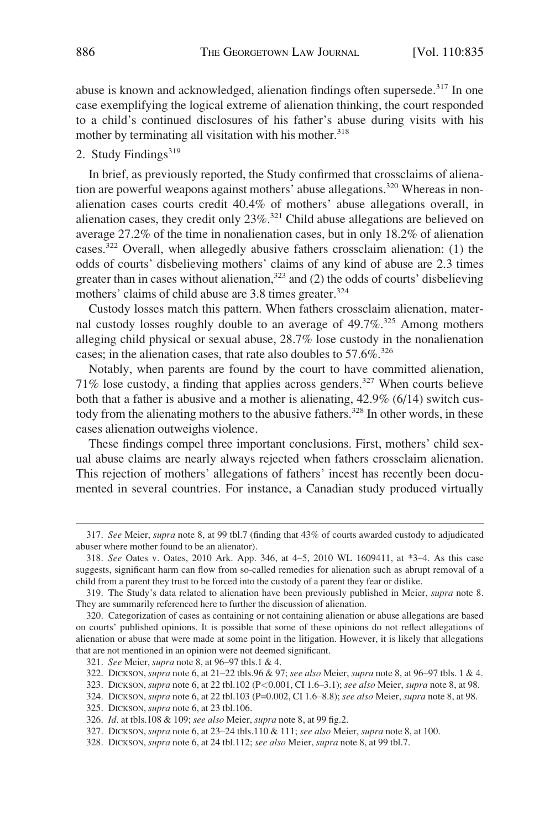<span id="page-51-0"></span>abuse is known and acknowledged, alienation findings often supersede.<sup>317</sup> In one case exemplifying the logical extreme of alienation thinking, the court responded to a child's continued disclosures of his father's abuse during visits with his mother by terminating all visitation with his mother.<sup>318</sup>

# 2. Study Findings<sup>319</sup>

In brief, as previously reported, the Study confirmed that crossclaims of alienation are powerful weapons against mothers' abuse allegations.<sup>320</sup> Whereas in nonalienation cases courts credit 40.4% of mothers' abuse allegations overall, in alienation cases, they credit only  $23\%$ <sup>321</sup> Child abuse allegations are believed on average 27.2% of the time in nonalienation cases, but in only 18.2% of alienation cases.322 Overall, when allegedly abusive fathers crossclaim alienation: (1) the odds of courts' disbelieving mothers' claims of any kind of abuse are 2.3 times greater than in cases without alienation, $323$  and (2) the odds of courts' disbelieving mothers' claims of child abuse are 3.8 times greater.<sup>324</sup>

Custody losses match this pattern. When fathers crossclaim alienation, maternal custody losses roughly double to an average of 49.7%.<sup>325</sup> Among mothers alleging child physical or sexual abuse, 28.7% lose custody in the nonalienation cases; in the alienation cases, that rate also doubles to  $57.6\%$ <sup>326</sup>

Notably, when parents are found by the court to have committed alienation, 71% lose custody, a finding that applies across genders.327 When courts believe both that a father is abusive and a mother is alienating,  $42.9\%$  (6/14) switch custody from the alienating mothers to the abusive fathers.<sup>328</sup> In other words, in these cases alienation outweighs violence.

These findings compel three important conclusions. First, mothers' child sexual abuse claims are nearly always rejected when fathers crossclaim alienation. This rejection of mothers' allegations of fathers' incest has recently been documented in several countries. For instance, a Canadian study produced virtually

<sup>317.</sup> *See* Meier, *supra* note 8, at 99 tbl.7 (finding that 43% of courts awarded custody to adjudicated abuser where mother found to be an alienator).

<sup>318.</sup> *See* Oates v. Oates, 2010 Ark. App. 346, at 4–5, 2010 WL 1609411, at \*3–4. As this case suggests, significant harm can flow from so-called remedies for alienation such as abrupt removal of a child from a parent they trust to be forced into the custody of a parent they fear or dislike.

<sup>319.</sup> The Study's data related to alienation have been previously published in Meier, *supra* note 8. They are summarily referenced here to further the discussion of alienation.

<sup>320.</sup> Categorization of cases as containing or not containing alienation or abuse allegations are based on courts' published opinions. It is possible that some of these opinions do not reflect allegations of alienation or abuse that were made at some point in the litigation. However, it is likely that allegations that are not mentioned in an opinion were not deemed significant.

<sup>321.</sup> *See* Meier, *supra* note 8, at 96–97 tbls.1 & 4.

<sup>322.</sup> DICKSON, *supra* note 6, at 21–22 tbls.96 & 97; *see also* Meier, *supra* note 8, at 96–97 tbls. 1 & 4.

<sup>323.</sup> DICKSON, *supra* note 6, at 22 tbl.102 (P*<*0.001, CI 1.6–3.1); *see also* Meier, *supra* note 8, at 98.

<sup>324.</sup> DICKSON, *supra* note 6, at 22 tbl.103 (P=0.002, CI 1.6–8.8); *see also* Meier, *supra* note 8, at 98.

<sup>325.</sup> DICKSON, *supra* note 6, at 23 tbl.106.

<sup>326.</sup> *Id.* at tbls.108 & 109; *see also* Meier, *supra* note 8, at 99 fig.2.

<sup>327.</sup> DICKSON, *supra* note 6, at 23–24 tbls.110 & 111; *see also* Meier, *supra* note 8, at 100.

<sup>328.</sup> DICKSON, *supra* note 6, at 24 tbl.112; *see also* Meier, *supra* note 8, at 99 tbl.7.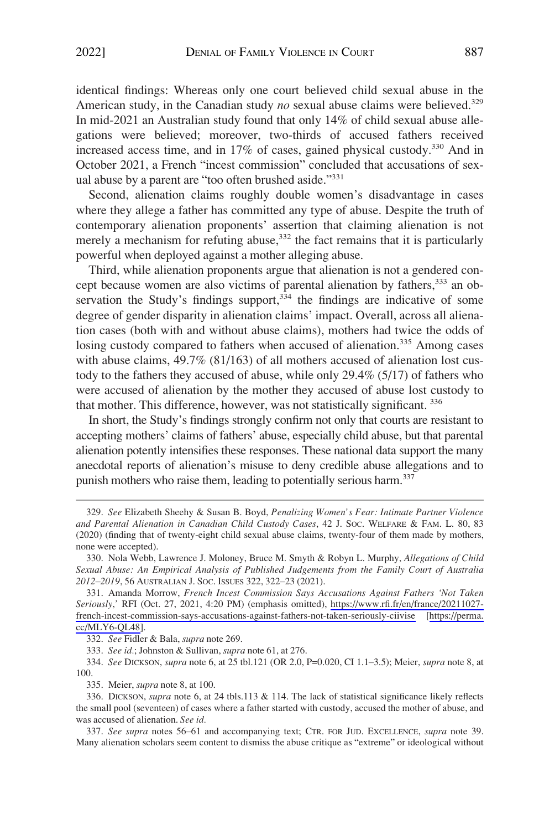identical findings: Whereas only one court believed child sexual abuse in the American study, in the Canadian study *no* sexual abuse claims were believed.<sup>329</sup> In mid-2021 an Australian study found that only 14% of child sexual abuse allegations were believed; moreover, two-thirds of accused fathers received increased access time, and in 17% of cases, gained physical custody.<sup>330</sup> And in October 2021, a French "incest commission" concluded that accusations of sexual abuse by a parent are "too often brushed aside."<sup>331</sup>

Second, alienation claims roughly double women's disadvantage in cases where they allege a father has committed any type of abuse. Despite the truth of contemporary alienation proponents' assertion that claiming alienation is not merely a mechanism for refuting abuse, $332$  the fact remains that it is particularly powerful when deployed against a mother alleging abuse.

Third, while alienation proponents argue that alienation is not a gendered concept because women are also victims of parental alienation by fathers,<sup>333</sup> an observation the Study's findings support,  $334$  the findings are indicative of some degree of gender disparity in alienation claims' impact. Overall, across all alienation cases (both with and without abuse claims), mothers had twice the odds of losing custody compared to fathers when accused of alienation.<sup>335</sup> Among cases with abuse claims, 49.7% (81/163) of all mothers accused of alienation lost custody to the fathers they accused of abuse, while only 29.4% (5/17) of fathers who were accused of alienation by the mother they accused of abuse lost custody to that mother. This difference, however, was not statistically significant. 336

In short, the Study's findings strongly confirm not only that courts are resistant to accepting mothers' claims of fathers' abuse, especially child abuse, but that parental alienation potently intensifies these responses. These national data support the many anecdotal reports of alienation's misuse to deny credible abuse allegations and to punish mothers who raise them, leading to potentially serious harm.<sup>337</sup>

333. *See id.*; Johnston & Sullivan, *supra* note 61, at 276.

334. *See* DICKSON, *supra* note 6, at 25 tbl.121 (OR 2.0, P=0.020, CI 1.1–3.5); Meier, *supra* note 8, at 100.

335. Meier, *supra* note 8, at 100.

336. DICKSON, *supra* note 6, at 24 tbls.113 & 114. The lack of statistical significance likely reflects the small pool (seventeen) of cases where a father started with custody, accused the mother of abuse, and was accused of alienation. *See id.* 

337. *See supra* notes 56–61 and accompanying text; CTR. FOR JUD. EXCELLENCE, *supra* note 39. Many alienation scholars seem content to dismiss the abuse critique as "extreme" or ideological without

<sup>329.</sup> *See* Elizabeth Sheehy & Susan B. Boyd, *Penalizing Women's Fear: Intimate Partner Violence and Parental Alienation in Canadian Child Custody Cases*, 42 J. SOC. WELFARE & FAM. L. 80, 83 (2020) (finding that of twenty-eight child sexual abuse claims, twenty-four of them made by mothers, none were accepted).

<sup>330.</sup> Nola Webb, Lawrence J. Moloney, Bruce M. Smyth & Robyn L. Murphy, *Allegations of Child Sexual Abuse: An Empirical Analysis of Published Judgements from the Family Court of Australia 2012*–*2019*, 56 AUSTRALIAN J. SOC. ISSUES 322, 322–23 (2021).

Amanda Morrow, *French Incest Commission Says Accusations Against Fathers 'Not Taken*  331. *Seriously*,*'* RFI (Oct. 27, 2021, 4:20 PM) (emphasis omitted), [https://www.rfi.fr/en/france/20211027](https://www.rfi.fr/en/france/20211027-french-incest-commission-says-accusations-against-fathers-not-taken-seriously-ciivise)  [french-incest-commission-says-accusations-against-fathers-not-taken-seriously-ciivise](https://www.rfi.fr/en/france/20211027-french-incest-commission-says-accusations-against-fathers-not-taken-seriously-ciivise) [[https://perma.](https://perma.cc/MLY6-QL48)  [cc/MLY6-QL48\]](https://perma.cc/MLY6-QL48).

<sup>332.</sup> *See* Fidler & Bala, *supra* note 269.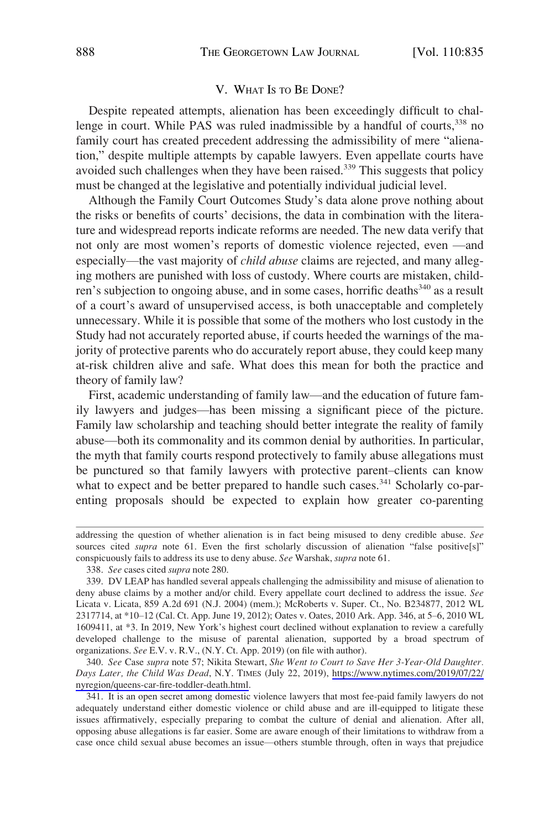# V. WHAT IS TO BE DONE?

<span id="page-53-0"></span>Despite repeated attempts, alienation has been exceedingly difficult to challenge in court. While PAS was ruled inadmissible by a handful of courts,<sup>338</sup> no family court has created precedent addressing the admissibility of mere "alienation," despite multiple attempts by capable lawyers. Even appellate courts have avoided such challenges when they have been raised.<sup>339</sup> This suggests that policy must be changed at the legislative and potentially individual judicial level.

Although the Family Court Outcomes Study's data alone prove nothing about the risks or benefits of courts' decisions, the data in combination with the literature and widespread reports indicate reforms are needed. The new data verify that not only are most women's reports of domestic violence rejected, even —and especially—the vast majority of *child abuse* claims are rejected, and many alleging mothers are punished with loss of custody. Where courts are mistaken, children's subjection to ongoing abuse, and in some cases, horrific deaths<sup>340</sup> as a result of a court's award of unsupervised access, is both unacceptable and completely unnecessary. While it is possible that some of the mothers who lost custody in the Study had not accurately reported abuse, if courts heeded the warnings of the majority of protective parents who do accurately report abuse, they could keep many at-risk children alive and safe. What does this mean for both the practice and theory of family law?

First, academic understanding of family law—and the education of future family lawyers and judges—has been missing a significant piece of the picture. Family law scholarship and teaching should better integrate the reality of family abuse—both its commonality and its common denial by authorities. In particular, the myth that family courts respond protectively to family abuse allegations must be punctured so that family lawyers with protective parent–clients can know what to expect and be better prepared to handle such cases.<sup>341</sup> Scholarly co-parenting proposals should be expected to explain how greater co-parenting

*See* Case *supra* note 57; Nikita Stewart, *She Went to Court to Save Her 3-Year-Old Daughter.*  340. *Days Later, the Child Was Dead*, N.Y. TIMES (July 22, 2019), [https://www.nytimes.com/2019/07/22/](https://www.nytimes.com/2019/07/22/nyregion/queens-car-fire-toddler-death.html)  [nyregion/queens-car-fire-toddler-death.html.](https://www.nytimes.com/2019/07/22/nyregion/queens-car-fire-toddler-death.html)

341. It is an open secret among domestic violence lawyers that most fee-paid family lawyers do not adequately understand either domestic violence or child abuse and are ill-equipped to litigate these issues affirmatively, especially preparing to combat the culture of denial and alienation. After all, opposing abuse allegations is far easier. Some are aware enough of their limitations to withdraw from a case once child sexual abuse becomes an issue—others stumble through, often in ways that prejudice

addressing the question of whether alienation is in fact being misused to deny credible abuse. *See*  sources cited *supra* note 61. Even the first scholarly discussion of alienation "false positive[s]" conspicuously fails to address its use to deny abuse. *See* Warshak, *supra* note 61.

<sup>338.</sup> *See* cases cited *supra* note 280.

<sup>339.</sup> DV LEAP has handled several appeals challenging the admissibility and misuse of alienation to deny abuse claims by a mother and/or child. Every appellate court declined to address the issue. *See*  Licata v. Licata, 859 A.2d 691 (N.J. 2004) (mem.); McRoberts v. Super. Ct., No. B234877, 2012 WL 2317714, at \*10–12 (Cal. Ct. App. June 19, 2012); Oates v. Oates, 2010 Ark. App. 346, at 5–6, 2010 WL 1609411, at \*3. In 2019, New York's highest court declined without explanation to review a carefully developed challenge to the misuse of parental alienation, supported by a broad spectrum of organizations. *See* E.V. v. R.V., (N.Y. Ct. App. 2019) (on file with author).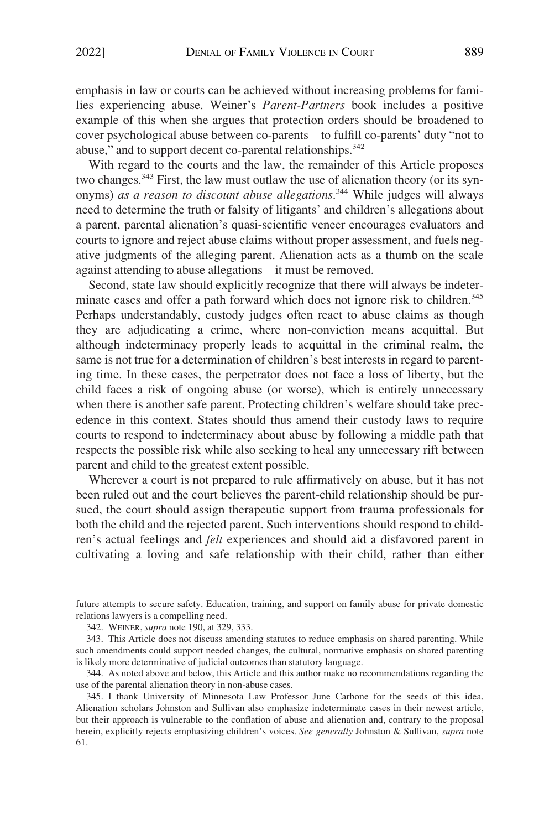emphasis in law or courts can be achieved without increasing problems for families experiencing abuse. Weiner's *Parent-Partners* book includes a positive example of this when she argues that protection orders should be broadened to cover psychological abuse between co-parents—to fulfill co-parents' duty "not to abuse," and to support decent co-parental relationships.<sup>342</sup>

With regard to the courts and the law, the remainder of this Article proposes two changes.<sup>343</sup> First, the law must outlaw the use of alienation theory (or its synonyms) *as a reason to discount abuse allegations*. 344 While judges will always need to determine the truth or falsity of litigants' and children's allegations about a parent, parental alienation's quasi-scientific veneer encourages evaluators and courts to ignore and reject abuse claims without proper assessment, and fuels negative judgments of the alleging parent. Alienation acts as a thumb on the scale against attending to abuse allegations—it must be removed.

Second, state law should explicitly recognize that there will always be indeterminate cases and offer a path forward which does not ignore risk to children.<sup>345</sup> Perhaps understandably, custody judges often react to abuse claims as though they are adjudicating a crime, where non-conviction means acquittal. But although indeterminacy properly leads to acquittal in the criminal realm, the same is not true for a determination of children's best interests in regard to parenting time. In these cases, the perpetrator does not face a loss of liberty, but the child faces a risk of ongoing abuse (or worse), which is entirely unnecessary when there is another safe parent. Protecting children's welfare should take precedence in this context. States should thus amend their custody laws to require courts to respond to indeterminacy about abuse by following a middle path that respects the possible risk while also seeking to heal any unnecessary rift between parent and child to the greatest extent possible.

Wherever a court is not prepared to rule affirmatively on abuse, but it has not been ruled out and the court believes the parent-child relationship should be pursued, the court should assign therapeutic support from trauma professionals for both the child and the rejected parent. Such interventions should respond to children's actual feelings and *felt* experiences and should aid a disfavored parent in cultivating a loving and safe relationship with their child, rather than either

future attempts to secure safety. Education, training, and support on family abuse for private domestic relations lawyers is a compelling need.

<sup>342.</sup> WEINER, *supra* note 190, at 329, 333.

<sup>343.</sup> This Article does not discuss amending statutes to reduce emphasis on shared parenting. While such amendments could support needed changes, the cultural, normative emphasis on shared parenting is likely more determinative of judicial outcomes than statutory language.

<sup>344.</sup> As noted above and below, this Article and this author make no recommendations regarding the use of the parental alienation theory in non-abuse cases.

<sup>345.</sup> I thank University of Minnesota Law Professor June Carbone for the seeds of this idea. Alienation scholars Johnston and Sullivan also emphasize indeterminate cases in their newest article, but their approach is vulnerable to the conflation of abuse and alienation and, contrary to the proposal herein, explicitly rejects emphasizing children's voices. *See generally* Johnston & Sullivan, *supra* note 61.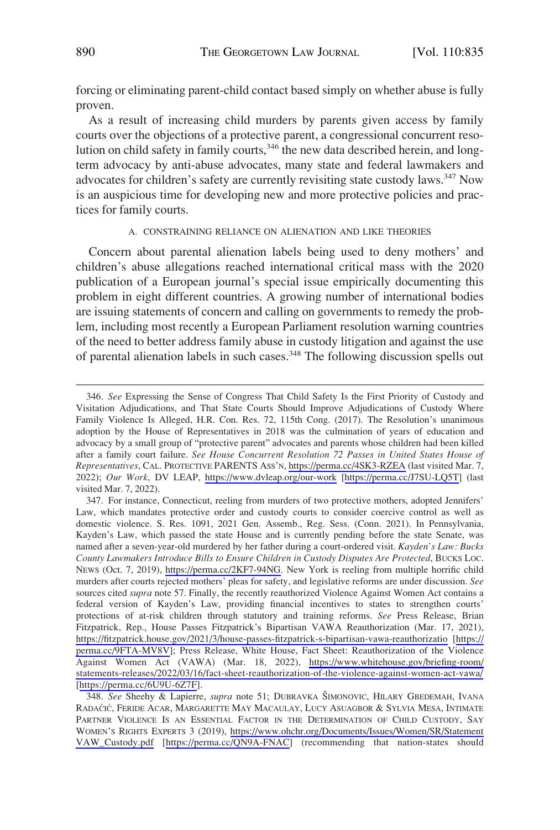<span id="page-55-0"></span>forcing or eliminating parent-child contact based simply on whether abuse is fully proven.

As a result of increasing child murders by parents given access by family courts over the objections of a protective parent, a congressional concurrent resolution on child safety in family courts,<sup>346</sup> the new data described herein, and longterm advocacy by anti-abuse advocates, many state and federal lawmakers and advocates for children's safety are currently revisiting state custody laws.<sup>347</sup> Now is an auspicious time for developing new and more protective policies and practices for family courts.

#### A. CONSTRAINING RELIANCE ON ALIENATION AND LIKE THEORIES

Concern about parental alienation labels being used to deny mothers' and children's abuse allegations reached international critical mass with the 2020 publication of a European journal's special issue empirically documenting this problem in eight different countries. A growing number of international bodies are issuing statements of concern and calling on governments to remedy the problem, including most recently a European Parliament resolution warning countries of the need to better address family abuse in custody litigation and against the use of parental alienation labels in such cases.<sup>348</sup> The following discussion spells out

*See* Expressing the Sense of Congress That Child Safety Is the First Priority of Custody and 346. Visitation Adjudications, and That State Courts Should Improve Adjudications of Custody Where Family Violence Is Alleged, H.R. Con. Res. 72, 115th Cong. (2017). The Resolution's unanimous adoption by the House of Representatives in 2018 was the culmination of years of education and advocacy by a small group of "protective parent" advocates and parents whose children had been killed after a family court failure. *See House Concurrent Resolution 72 Passes in United States House of Representatives*, CAL. PROTECTIVE PARENTS ASS'N, <https://perma.cc/4SK3-RZEA> (last visited Mar. 7, 2022); *Our Work*, DV LEAP, <https://www.dvleap.org/our-work> [\[https://perma.cc/J7SU-LQ5T](https://perma.cc/J7SU-LQ5T)] (last visited Mar. 7, 2022).

<sup>347.</sup> For instance, Connecticut, reeling from murders of two protective mothers, adopted Jennifers' Law, which mandates protective order and custody courts to consider coercive control as well as domestic violence. S. Res. 1091, 2021 Gen. Assemb., Reg. Sess. (Conn. 2021). In Pennsylvania, Kayden's Law, which passed the state House and is currently pending before the state Senate, was named after a seven-year-old murdered by her father during a court-ordered visit. *Kayden's Law: Bucks County Lawmakers Introduce Bills to Ensure Children in Custody Disputes Are Protected*, BUCKS LOC. NEWS (Oct. 7, 2019), [https://perma.cc/2KF7-94NG.](https://perma.cc/2KF7-94NG) New York is reeling from multiple horrific child murders after courts rejected mothers' pleas for safety, and legislative reforms are under discussion. *See*  sources cited *supra* note 57. Finally, the recently reauthorized Violence Against Women Act contains a federal version of Kayden's Law, providing financial incentives to states to strengthen courts' protections of at-risk children through statutory and training reforms. *See* Press Release, Brian Fitzpatrick, Rep., House Passes Fitzpatrick's Bipartisan VAWA Reauthorization (Mar. 17, 2021), <https://fitzpatrick.house.gov/2021/3/house-passes-fitzpatrick-s-bipartisan-vawa-reauthorizatio>[[https://](https://perma.cc/9FTA-MV8V) [perma.cc/9FTA-MV8V](https://perma.cc/9FTA-MV8V)]; Press Release, White House, Fact Sheet: Reauthorization of the Violence Against Women Act (VAWA) (Mar. 18, 2022), [https://www.whitehouse.gov/briefing-room/](https://www.whitehouse.gov/briefing-room/statements-releases/2022/03/16/fact-sheet-reauthorization-of-the-violence-against-women-act-vawa/) [statements-releases/2022/03/16/fact-sheet-reauthorization-of-the-violence-against-women-act-vawa/](https://www.whitehouse.gov/briefing-room/statements-releases/2022/03/16/fact-sheet-reauthorization-of-the-violence-against-women-act-vawa/)  [[https://perma.cc/6U9U-6Z7F\]](https://perma.cc/6U9U-6Z7F).

<sup>348.</sup> See Sheehy & Lapierre, *supra* note 51; DUBRAVKA ŠIMONOVIC, HILARY GBEDEMAH, IVANA RADAČIĆ, FERIDE ACAR, MARGARETTE MAY MACAULAY, LUCY ASUAGBOR & SYLVIA MESA, INTIMATE PARTNER VIOLENCE IS AN ESSENTIAL FACTOR IN THE DETERMINATION OF CHILD CUSTODY, SAY WOMEN'S RIGHTS EXPERTS 3 (2019), [https://www.ohchr.org/Documents/Issues/Women/SR/Statement](https://www.ohchr.org/Documents/Issues/Women/SR/StatementVAW_Custody.pdf)  [VAW\\_Custody.pdf](https://www.ohchr.org/Documents/Issues/Women/SR/StatementVAW_Custody.pdf) [<https://perma.cc/QN9A-FNAC>] (recommending that nation-states should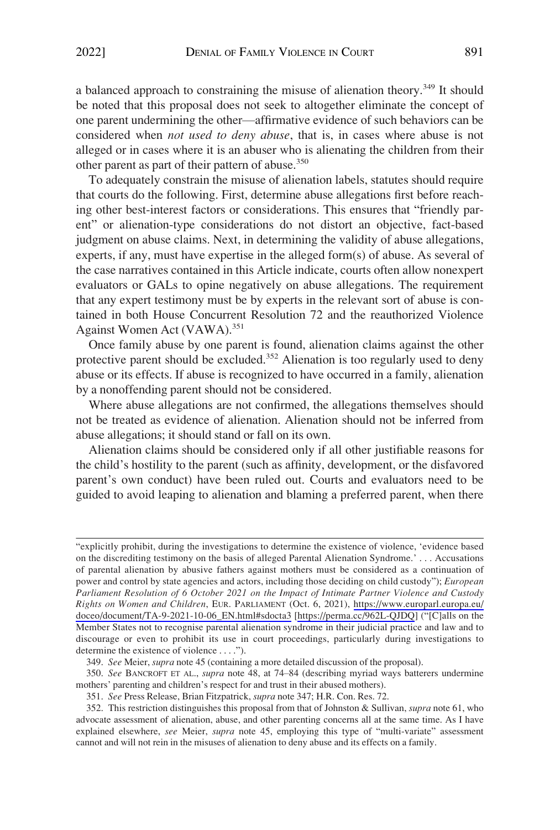a balanced approach to constraining the misuse of alienation theory.<sup>349</sup> It should be noted that this proposal does not seek to altogether eliminate the concept of one parent undermining the other—affirmative evidence of such behaviors can be considered when *not used to deny abuse*, that is, in cases where abuse is not alleged or in cases where it is an abuser who is alienating the children from their other parent as part of their pattern of abuse.<sup>350</sup>

To adequately constrain the misuse of alienation labels, statutes should require that courts do the following. First, determine abuse allegations first before reaching other best-interest factors or considerations. This ensures that "friendly parent" or alienation-type considerations do not distort an objective, fact-based judgment on abuse claims. Next, in determining the validity of abuse allegations, experts, if any, must have expertise in the alleged form(s) of abuse. As several of the case narratives contained in this Article indicate, courts often allow nonexpert evaluators or GALs to opine negatively on abuse allegations. The requirement that any expert testimony must be by experts in the relevant sort of abuse is contained in both House Concurrent Resolution 72 and the reauthorized Violence Against Women Act (VAWA).<sup>351</sup>

Once family abuse by one parent is found, alienation claims against the other protective parent should be excluded.<sup>352</sup> Alienation is too regularly used to deny abuse or its effects. If abuse is recognized to have occurred in a family, alienation by a nonoffending parent should not be considered.

Where abuse allegations are not confirmed, the allegations themselves should not be treated as evidence of alienation. Alienation should not be inferred from abuse allegations; it should stand or fall on its own.

Alienation claims should be considered only if all other justifiable reasons for the child's hostility to the parent (such as affinity, development, or the disfavored parent's own conduct) have been ruled out. Courts and evaluators need to be guided to avoid leaping to alienation and blaming a preferred parent, when there

<sup>&</sup>quot;explicitly prohibit, during the investigations to determine the existence of violence, 'evidence based on the discrediting testimony on the basis of alleged Parental Alienation Syndrome.' . . . Accusations of parental alienation by abusive fathers against mothers must be considered as a continuation of power and control by state agencies and actors, including those deciding on child custody"); *European Parliament Resolution of 6 October 2021 on the Impact of Intimate Partner Violence and Custody Rights on Women and Children*, EUR. PARLIAMENT (Oct. 6, 2021), [https://www.europarl.europa.eu/](https://www.europarl.europa.eu/doceo/document/TA-9-2021-10-06_EN.html#sdocta3) [doceo/document/TA-9-2021-10-06\\_EN.html#sdocta3](https://www.europarl.europa.eu/doceo/document/TA-9-2021-10-06_EN.html#sdocta3) [\[https://perma.cc/962L-QJDQ](https://perma.cc/962L-QJDQ)] ("[C]alls on the Member States not to recognise parental alienation syndrome in their judicial practice and law and to discourage or even to prohibit its use in court proceedings, particularly during investigations to determine the existence of violence . . . .").

<sup>349.</sup> *See* Meier, *supra* note 45 (containing a more detailed discussion of the proposal).

<sup>350.</sup> *See* BANCROFT ET AL., *supra* note 48, at 74–84 (describing myriad ways batterers undermine mothers' parenting and children's respect for and trust in their abused mothers).

<sup>351.</sup> *See* Press Release, Brian Fitzpatrick, *supra* note 347; H.R. Con. Res. 72.

<sup>352.</sup> This restriction distinguishes this proposal from that of Johnston & Sullivan, *supra* note 61, who advocate assessment of alienation, abuse, and other parenting concerns all at the same time. As I have explained elsewhere, *see* Meier, *supra* note 45, employing this type of "multi-variate" assessment cannot and will not rein in the misuses of alienation to deny abuse and its effects on a family.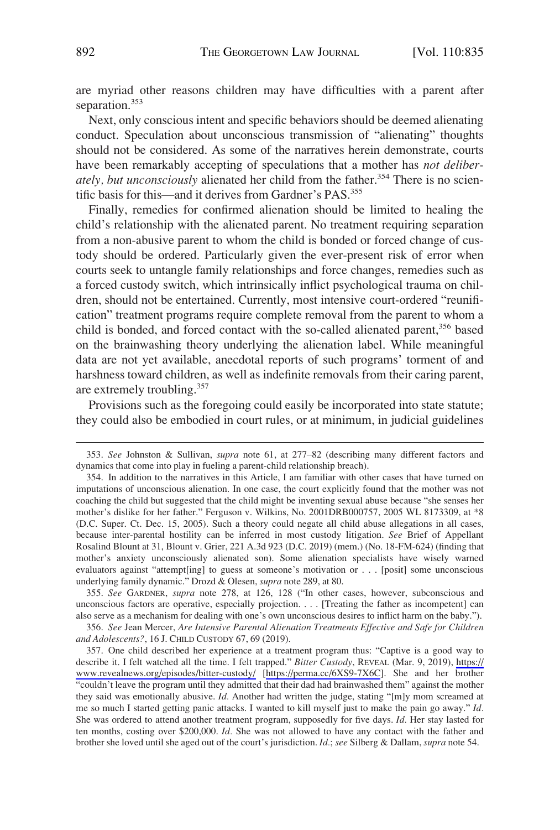are myriad other reasons children may have difficulties with a parent after separation.<sup>353</sup>

Next, only conscious intent and specific behaviors should be deemed alienating conduct. Speculation about unconscious transmission of "alienating" thoughts should not be considered. As some of the narratives herein demonstrate, courts have been remarkably accepting of speculations that a mother has *not deliberately, but unconsciously* alienated her child from the father.<sup>354</sup> There is no scientific basis for this—and it derives from Gardner's PAS.<sup>355</sup>

Finally, remedies for confirmed alienation should be limited to healing the child's relationship with the alienated parent. No treatment requiring separation from a non-abusive parent to whom the child is bonded or forced change of custody should be ordered. Particularly given the ever-present risk of error when courts seek to untangle family relationships and force changes, remedies such as a forced custody switch, which intrinsically inflict psychological trauma on children, should not be entertained. Currently, most intensive court-ordered "reunification" treatment programs require complete removal from the parent to whom a child is bonded, and forced contact with the so-called alienated parent,<sup>356</sup> based on the brainwashing theory underlying the alienation label. While meaningful data are not yet available, anecdotal reports of such programs' torment of and harshness toward children, as well as indefinite removals from their caring parent, are extremely troubling.357

Provisions such as the foregoing could easily be incorporated into state statute; they could also be embodied in court rules, or at minimum, in judicial guidelines

355. *See* GARDNER, *supra* note 278, at 126, 128 ("In other cases, however, subconscious and unconscious factors are operative, especially projection. . . . [Treating the father as incompetent] can also serve as a mechanism for dealing with one's own unconscious desires to inflict harm on the baby.").

356. *See* Jean Mercer, *Are Intensive Parental Alienation Treatments Effective and Safe for Children and Adolescents?*, 16 J. CHILD CUSTODY 67, 69 (2019).

357. One child described her experience at a treatment program thus: "Captive is a good way to describe it. I felt watched all the time. I felt trapped." *Bitter Custody*, REVEAL (Mar. 9, 2019), [https://](https://www.revealnews.org/episodes/bitter-custody/)  [www.revealnews.org/episodes/bitter-custody/](https://www.revealnews.org/episodes/bitter-custody/) [<https://perma.cc/6XS9-7X6C>]. She and her brother "couldn't leave the program until they admitted that their dad had brainwashed them" against the mother they said was emotionally abusive. *Id.* Another had written the judge, stating "[m]y mom screamed at me so much I started getting panic attacks. I wanted to kill myself just to make the pain go away." *Id.*  She was ordered to attend another treatment program, supposedly for five days. *Id.* Her stay lasted for ten months, costing over \$200,000. *Id.* She was not allowed to have any contact with the father and brother she loved until she aged out of the court's jurisdiction. *Id.*; *see* Silberg & Dallam, *supra* note 54.

<sup>353.</sup> *See* Johnston & Sullivan, *supra* note 61, at 277–82 (describing many different factors and dynamics that come into play in fueling a parent-child relationship breach).

<sup>354.</sup> In addition to the narratives in this Article, I am familiar with other cases that have turned on imputations of unconscious alienation. In one case, the court explicitly found that the mother was not coaching the child but suggested that the child might be inventing sexual abuse because "she senses her mother's dislike for her father." Ferguson v. Wilkins, No. 2001DRB000757, 2005 WL 8173309, at \*8 (D.C. Super. Ct. Dec. 15, 2005). Such a theory could negate all child abuse allegations in all cases, because inter-parental hostility can be inferred in most custody litigation. *See* Brief of Appellant Rosalind Blount at 31, Blount v. Grier, 221 A.3d 923 (D.C. 2019) (mem.) (No. 18-FM-624) (finding that mother's anxiety unconsciously alienated son). Some alienation specialists have wisely warned evaluators against "attempt[ing] to guess at someone's motivation or . . . [posit] some unconscious underlying family dynamic." Drozd & Olesen, *supra* note 289, at 80.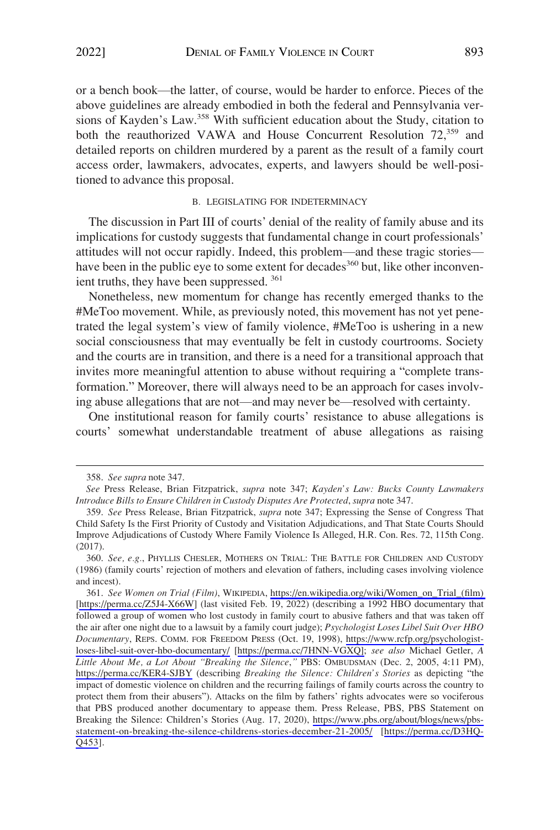<span id="page-58-0"></span>or a bench book—the latter, of course, would be harder to enforce. Pieces of the above guidelines are already embodied in both the federal and Pennsylvania versions of Kayden's Law.<sup>358</sup> With sufficient education about the Study, citation to both the reauthorized VAWA and House Concurrent Resolution 72,<sup>359</sup> and detailed reports on children murdered by a parent as the result of a family court access order, lawmakers, advocates, experts, and lawyers should be well-positioned to advance this proposal.

## B. LEGISLATING FOR INDETERMINACY

The discussion in Part III of courts' denial of the reality of family abuse and its implications for custody suggests that fundamental change in court professionals' attitudes will not occur rapidly. Indeed, this problem—and these tragic stories have been in the public eye to some extent for decades<sup>360</sup> but, like other inconvenient truths, they have been suppressed. 361

Nonetheless, new momentum for change has recently emerged thanks to the #MeToo movement. While, as previously noted, this movement has not yet penetrated the legal system's view of family violence, #MeToo is ushering in a new social consciousness that may eventually be felt in custody courtrooms. Society and the courts are in transition, and there is a need for a transitional approach that invites more meaningful attention to abuse without requiring a "complete transformation." Moreover, there will always need to be an approach for cases involving abuse allegations that are not—and may never be—resolved with certainty.

One institutional reason for family courts' resistance to abuse allegations is courts' somewhat understandable treatment of abuse allegations as raising

<sup>358.</sup> *See supra* note 347.

*See* Press Release, Brian Fitzpatrick, *supra* note 347; *Kayden's Law: Bucks County Lawmakers Introduce Bills to Ensure Children in Custody Disputes Are Protected*, *supra* note 347.

<sup>359.</sup> *See* Press Release, Brian Fitzpatrick, *supra* note 347; Expressing the Sense of Congress That Child Safety Is the First Priority of Custody and Visitation Adjudications, and That State Courts Should Improve Adjudications of Custody Where Family Violence Is Alleged, H.R. Con. Res. 72, 115th Cong. (2017).

<sup>360.</sup> *See, e.g.*, PHYLLIS CHESLER, MOTHERS ON TRIAL: THE BATTLE FOR CHILDREN AND CUSTODY (1986) (family courts' rejection of mothers and elevation of fathers, including cases involving violence and incest).

*See Women on Trial (Film)*, WIKIPEDIA, [https://en.wikipedia.org/wiki/Women\\_on\\_Trial\\_\(film\)](https://en.wikipedia.org/wiki/Women_on_Trial_(film))  361. [<https://perma.cc/Z5J4-X66W>] (last visited Feb. 19, 2022) (describing a 1992 HBO documentary that followed a group of women who lost custody in family court to abusive fathers and that was taken off the air after one night due to a lawsuit by a family court judge); *Psychologist Loses Libel Suit Over HBO Documentary*, REPS. COMM. FOR FREEDOM PRESS (Oct. 19, 1998), [https://www.rcfp.org/psychologist](https://www.rcfp.org/psychologist-loses-libel-suit-over-hbo-documentary/)[loses-libel-suit-over-hbo-documentary/](https://www.rcfp.org/psychologist-loses-libel-suit-over-hbo-documentary/) [\[https://perma.cc/7HNN-VGXQ\]](https://perma.cc/7HNN-VGXQ];); *see also* Michael Getler, *A Little About Me, a Lot About "Breaking the Silence*,*"* PBS: OMBUDSMAN (Dec. 2, 2005, 4:11 PM), <https://perma.cc/KER4-SJBY>(describing *Breaking the Silence: Children's Stories* as depicting "the impact of domestic violence on children and the recurring failings of family courts across the country to protect them from their abusers"). Attacks on the film by fathers' rights advocates were so vociferous that PBS produced another documentary to appease them. Press Release, PBS, PBS Statement on Breaking the Silence: Children's Stories (Aug. 17, 2020), [https://www.pbs.org/about/blogs/news/pbs](https://www.pbs.org/about/blogs/news/pbs-statement-on-breaking-the-silence-childrens-stories-december-21-2005/)[statement-on-breaking-the-silence-childrens-stories-december-21-2005/](https://www.pbs.org/about/blogs/news/pbs-statement-on-breaking-the-silence-childrens-stories-december-21-2005/) [[https://perma.cc/D3HQ-](https://perma.cc/D3HQ-Q453)[Q453\]](https://perma.cc/D3HQ-Q453).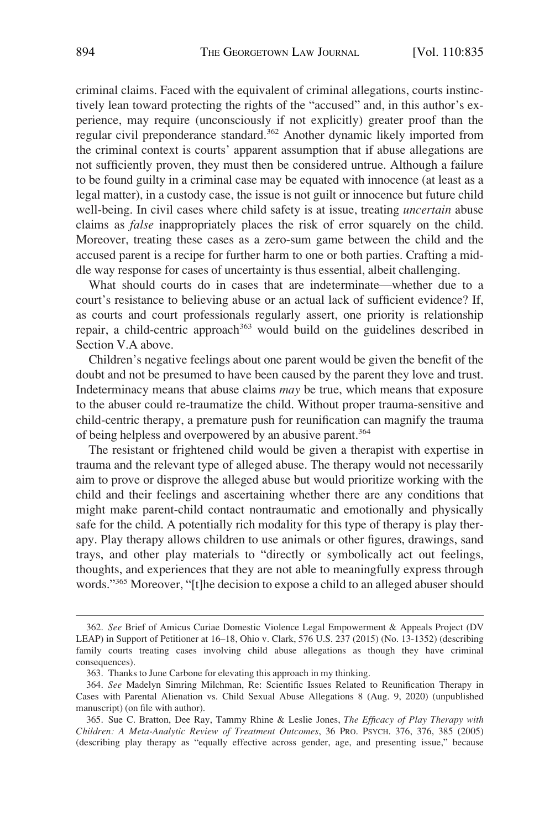criminal claims. Faced with the equivalent of criminal allegations, courts instinctively lean toward protecting the rights of the "accused" and, in this author's experience, may require (unconsciously if not explicitly) greater proof than the regular civil preponderance standard.362 Another dynamic likely imported from the criminal context is courts' apparent assumption that if abuse allegations are not sufficiently proven, they must then be considered untrue. Although a failure to be found guilty in a criminal case may be equated with innocence (at least as a legal matter), in a custody case, the issue is not guilt or innocence but future child well-being. In civil cases where child safety is at issue, treating *uncertain* abuse claims as *false* inappropriately places the risk of error squarely on the child. Moreover, treating these cases as a zero-sum game between the child and the accused parent is a recipe for further harm to one or both parties. Crafting a middle way response for cases of uncertainty is thus essential, albeit challenging.

What should courts do in cases that are indeterminate—whether due to a court's resistance to believing abuse or an actual lack of sufficient evidence? If, as courts and court professionals regularly assert, one priority is relationship repair, a child-centric approach<sup>363</sup> would build on the guidelines described in Section V.A above.

Children's negative feelings about one parent would be given the benefit of the doubt and not be presumed to have been caused by the parent they love and trust. Indeterminacy means that abuse claims *may* be true, which means that exposure to the abuser could re-traumatize the child. Without proper trauma-sensitive and child-centric therapy, a premature push for reunification can magnify the trauma of being helpless and overpowered by an abusive parent.<sup>364</sup>

The resistant or frightened child would be given a therapist with expertise in trauma and the relevant type of alleged abuse. The therapy would not necessarily aim to prove or disprove the alleged abuse but would prioritize working with the child and their feelings and ascertaining whether there are any conditions that might make parent-child contact nontraumatic and emotionally and physically safe for the child. A potentially rich modality for this type of therapy is play therapy. Play therapy allows children to use animals or other figures, drawings, sand trays, and other play materials to "directly or symbolically act out feelings, thoughts, and experiences that they are not able to meaningfully express through words."<sup>365</sup> Moreover, "[t]he decision to expose a child to an alleged abuser should

<sup>362.</sup> *See* Brief of Amicus Curiae Domestic Violence Legal Empowerment & Appeals Project (DV LEAP) in Support of Petitioner at 16–18, Ohio v. Clark, 576 U.S. 237 (2015) (No. 13-1352) (describing family courts treating cases involving child abuse allegations as though they have criminal consequences).

<sup>363.</sup> Thanks to June Carbone for elevating this approach in my thinking.

<sup>364.</sup> *See* Madelyn Simring Milchman, Re: Scientific Issues Related to Reunification Therapy in Cases with Parental Alienation vs. Child Sexual Abuse Allegations 8 (Aug. 9, 2020) (unpublished manuscript) (on file with author).

<sup>365.</sup> Sue C. Bratton, Dee Ray, Tammy Rhine & Leslie Jones, *The Efficacy of Play Therapy with Children: A Meta-Analytic Review of Treatment Outcomes*, 36 PRO. PSYCH. 376, 376, 385 (2005) (describing play therapy as "equally effective across gender, age, and presenting issue," because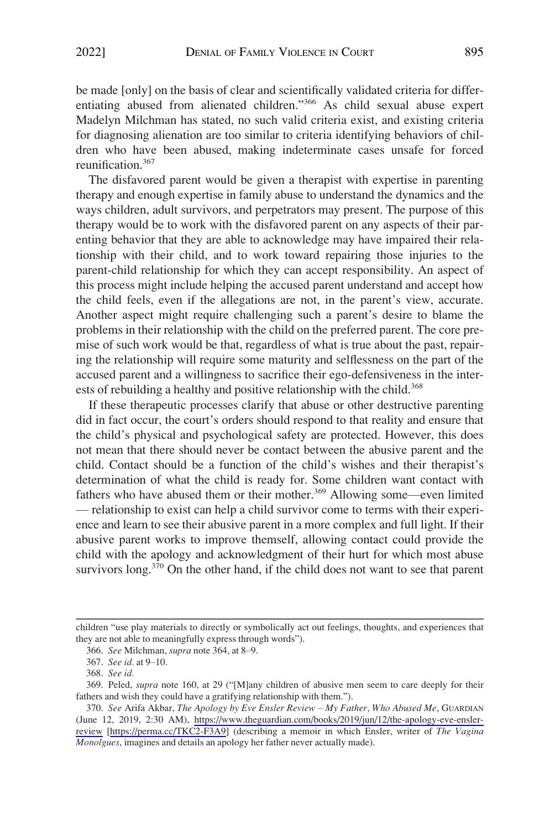be made [only] on the basis of clear and scientifically validated criteria for differentiating abused from alienated children."366 As child sexual abuse expert Madelyn Milchman has stated, no such valid criteria exist, and existing criteria for diagnosing alienation are too similar to criteria identifying behaviors of children who have been abused, making indeterminate cases unsafe for forced reunification.367

The disfavored parent would be given a therapist with expertise in parenting therapy and enough expertise in family abuse to understand the dynamics and the ways children, adult survivors, and perpetrators may present. The purpose of this therapy would be to work with the disfavored parent on any aspects of their parenting behavior that they are able to acknowledge may have impaired their relationship with their child, and to work toward repairing those injuries to the parent-child relationship for which they can accept responsibility. An aspect of this process might include helping the accused parent understand and accept how the child feels, even if the allegations are not, in the parent's view, accurate. Another aspect might require challenging such a parent's desire to blame the problems in their relationship with the child on the preferred parent. The core premise of such work would be that, regardless of what is true about the past, repairing the relationship will require some maturity and selflessness on the part of the accused parent and a willingness to sacrifice their ego-defensiveness in the interests of rebuilding a healthy and positive relationship with the child.<sup>368</sup>

If these therapeutic processes clarify that abuse or other destructive parenting did in fact occur, the court's orders should respond to that reality and ensure that the child's physical and psychological safety are protected. However, this does not mean that there should never be contact between the abusive parent and the child. Contact should be a function of the child's wishes and their therapist's determination of what the child is ready for. Some children want contact with fathers who have abused them or their mother.<sup>369</sup> Allowing some—even limited — relationship to exist can help a child survivor come to terms with their experience and learn to see their abusive parent in a more complex and full light. If their abusive parent works to improve themself, allowing contact could provide the child with the apology and acknowledgment of their hurt for which most abuse survivors long.<sup>370</sup> On the other hand, if the child does not want to see that parent

children "use play materials to directly or symbolically act out feelings, thoughts, and experiences that they are not able to meaningfully express through words").

<sup>366.</sup> *See* Milchman, *supra* note 364, at 8–9.

<sup>367.</sup> *See id.* at 9–10.

<sup>368.</sup> *See id.* 

<sup>369.</sup> Peled, *supra* note 160, at 29 ("[M]any children of abusive men seem to care deeply for their fathers and wish they could have a gratifying relationship with them.").

*See* Arifa Akbar, *The Apology by Eve Ensler Review* – *My Father, Who Abused Me*, GUARDIAN 370. (June 12, 2019, 2:30 AM), [https://www.theguardian.com/books/2019/jun/12/the-apology-eve-ensler](https://www.theguardian.com/books/2019/jun/12/the-apology-eve-ensler-review)[review](https://www.theguardian.com/books/2019/jun/12/the-apology-eve-ensler-review) [<https://perma.cc/TKC2-F3A9>] (describing a memoir in which Ensler, writer of *The Vagina Monolgues*, imagines and details an apology her father never actually made).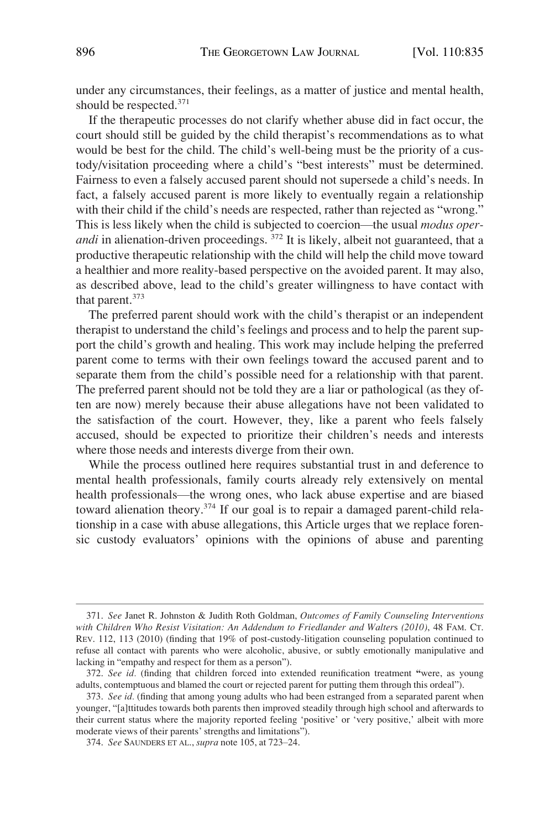under any circumstances, their feelings, as a matter of justice and mental health, should be respected.371

If the therapeutic processes do not clarify whether abuse did in fact occur, the court should still be guided by the child therapist's recommendations as to what would be best for the child. The child's well-being must be the priority of a custody/visitation proceeding where a child's "best interests" must be determined. Fairness to even a falsely accused parent should not supersede a child's needs. In fact, a falsely accused parent is more likely to eventually regain a relationship with their child if the child's needs are respected, rather than rejected as "wrong." This is less likely when the child is subjected to coercion—the usual *modus operandi* in alienation-driven proceedings. <sup>372</sup> It is likely, albeit not guaranteed, that a productive therapeutic relationship with the child will help the child move toward a healthier and more reality-based perspective on the avoided parent. It may also, as described above, lead to the child's greater willingness to have contact with that parent.<sup>373</sup>

The preferred parent should work with the child's therapist or an independent therapist to understand the child's feelings and process and to help the parent support the child's growth and healing. This work may include helping the preferred parent come to terms with their own feelings toward the accused parent and to separate them from the child's possible need for a relationship with that parent. The preferred parent should not be told they are a liar or pathological (as they often are now) merely because their abuse allegations have not been validated to the satisfaction of the court. However, they, like a parent who feels falsely accused, should be expected to prioritize their children's needs and interests where those needs and interests diverge from their own.

While the process outlined here requires substantial trust in and deference to mental health professionals, family courts already rely extensively on mental health professionals––the wrong ones, who lack abuse expertise and are biased toward alienation theory.<sup>374</sup> If our goal is to repair a damaged parent-child relationship in a case with abuse allegations, this Article urges that we replace forensic custody evaluators' opinions with the opinions of abuse and parenting

<sup>371.</sup> *See* Janet R. Johnston & Judith Roth Goldman, *Outcomes of Family Counseling Interventions with Children Who Resist Visitation: An Addendum to Friedlander and Walter*s *(2010)*, 48 FAM. CT. REV. 112, 113 (2010) (finding that 19% of post-custody-litigation counseling population continued to refuse all contact with parents who were alcoholic, abusive, or subtly emotionally manipulative and lacking in "empathy and respect for them as a person").

<sup>372.</sup> *See id.* (finding that children forced into extended reunification treatment **"**were, as young adults, contemptuous and blamed the court or rejected parent for putting them through this ordeal").

<sup>373.</sup> *See id.* (finding that among young adults who had been estranged from a separated parent when younger, "[a]ttitudes towards both parents then improved steadily through high school and afterwards to their current status where the majority reported feeling 'positive' or 'very positive,' albeit with more moderate views of their parents' strengths and limitations").

<sup>374.</sup> *See* SAUNDERS ET AL., *supra* note 105, at 723–24.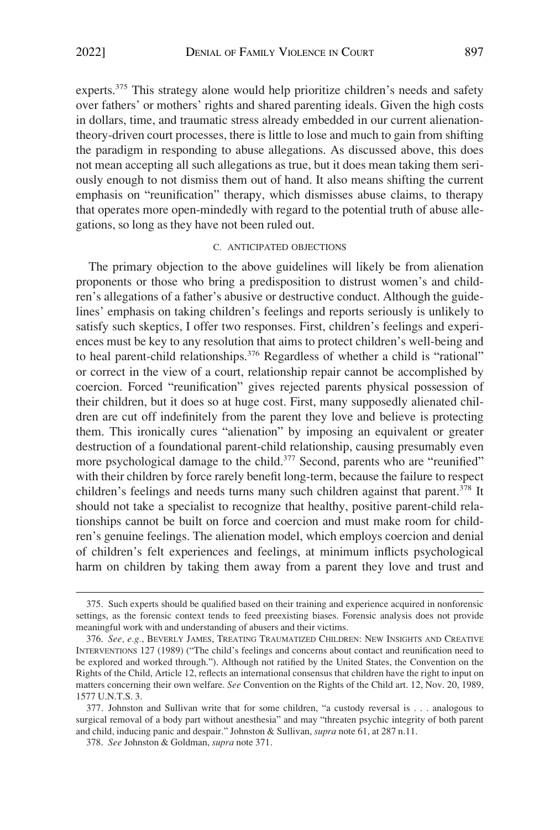<span id="page-62-0"></span>experts.375 This strategy alone would help prioritize children's needs and safety over fathers' or mothers' rights and shared parenting ideals. Given the high costs in dollars, time, and traumatic stress already embedded in our current alienationtheory-driven court processes, there is little to lose and much to gain from shifting the paradigm in responding to abuse allegations. As discussed above, this does not mean accepting all such allegations as true, but it does mean taking them seriously enough to not dismiss them out of hand. It also means shifting the current emphasis on "reunification" therapy, which dismisses abuse claims, to therapy that operates more open-mindedly with regard to the potential truth of abuse allegations, so long as they have not been ruled out.

#### C. ANTICIPATED OBJECTIONS

The primary objection to the above guidelines will likely be from alienation proponents or those who bring a predisposition to distrust women's and children's allegations of a father's abusive or destructive conduct. Although the guidelines' emphasis on taking children's feelings and reports seriously is unlikely to satisfy such skeptics, I offer two responses. First, children's feelings and experiences must be key to any resolution that aims to protect children's well-being and to heal parent-child relationships.<sup>376</sup> Regardless of whether a child is "rational" or correct in the view of a court, relationship repair cannot be accomplished by coercion. Forced "reunification" gives rejected parents physical possession of their children, but it does so at huge cost. First, many supposedly alienated children are cut off indefinitely from the parent they love and believe is protecting them. This ironically cures "alienation" by imposing an equivalent or greater destruction of a foundational parent-child relationship, causing presumably even more psychological damage to the child.<sup>377</sup> Second, parents who are "reunified" with their children by force rarely benefit long-term, because the failure to respect children's feelings and needs turns many such children against that parent.<sup>378</sup> It should not take a specialist to recognize that healthy, positive parent-child relationships cannot be built on force and coercion and must make room for children's genuine feelings. The alienation model, which employs coercion and denial of children's felt experiences and feelings, at minimum inflicts psychological harm on children by taking them away from a parent they love and trust and

<sup>375.</sup> Such experts should be qualified based on their training and experience acquired in nonforensic settings, as the forensic context tends to feed preexisting biases. Forensic analysis does not provide meaningful work with and understanding of abusers and their victims.

<sup>376.</sup> *See, e.g.*, BEVERLY JAMES, TREATING TRAUMATIZED CHILDREN: NEW INSIGHTS AND CREATIVE INTERVENTIONS 127 (1989) ("The child's feelings and concerns about contact and reunification need to be explored and worked through."). Although not ratified by the United States, the Convention on the Rights of the Child, Article 12, reflects an international consensus that children have the right to input on matters concerning their own welfare. *See* Convention on the Rights of the Child art. 12, Nov. 20, 1989, 1577 U.N.T.S. 3.

<sup>377.</sup> Johnston and Sullivan write that for some children, "a custody reversal is . . . analogous to surgical removal of a body part without anesthesia" and may "threaten psychic integrity of both parent and child, inducing panic and despair." Johnston & Sullivan, *supra* note 61, at 287 n.11.

<sup>378.</sup> *See* Johnston & Goldman, *supra* note 371.